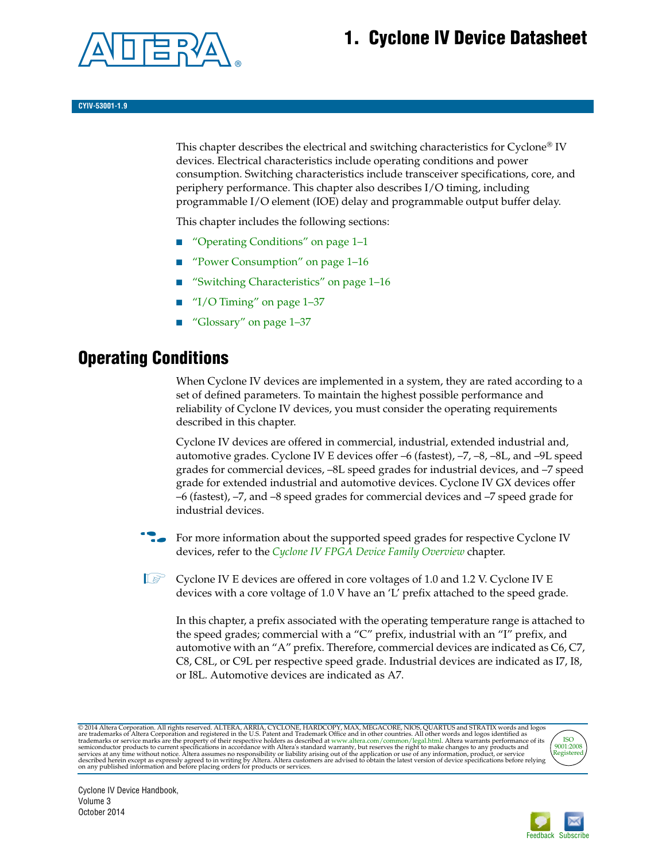# **1. Cyclone IV Device Datasheet**



This chapter describes the electrical and switching characteristics for Cyclone<sup>®</sup> IV devices. Electrical characteristics include operating conditions and power consumption. Switching characteristics include transceiver specifications, core, and periphery performance. This chapter also describes I/O timing, including programmable I/O element (IOE) delay and programmable output buffer delay.

This chapter includes the following sections:

- ["Operating Conditions" on page 1–1](#page-0-0)
- ["Power Consumption" on page 1–16](#page-15-0)
- ["Switching Characteristics" on page 1–16](#page-15-1)
- "I/O Timing" on page  $1-37$
- ["Glossary" on page 1–37](#page-36-1)

## <span id="page-0-0"></span>**Operating Conditions**

When Cyclone IV devices are implemented in a system, they are rated according to a set of defined parameters. To maintain the highest possible performance and reliability of Cyclone IV devices, you must consider the operating requirements described in this chapter.

Cyclone IV devices are offered in commercial, industrial, extended industrial and, automotive grades. Cyclone IV E devices offer –6 (fastest), –7, –8, –8L, and –9L speed grades for commercial devices, –8L speed grades for industrial devices, and –7 speed grade for extended industrial and automotive devices. Cyclone IV GX devices offer –6 (fastest), –7, and –8 speed grades for commercial devices and –7 speed grade for industrial devices.

For more information about the supported speed grades for respective Cyclone IV devices, refer to the *[Cyclone IV FPGA Device Family Overview](http://www.altera.com/literature/hb/cyclone-iv/cyiv-51001.pdf)* chapter.

 $\mathbb{I}$  Cyclone IV E devices are offered in core voltages of 1.0 and 1.2 V. Cyclone IV E devices with a core voltage of 1.0 V have an 'L' prefix attached to the speed grade.

In this chapter, a prefix associated with the operating temperature range is attached to the speed grades; commercial with a "C" prefix, industrial with an "I" prefix, and automotive with an "A" prefix. Therefore, commercial devices are indicated as C6, C7, C8, C8L, or C9L per respective speed grade. Industrial devices are indicated as I7, I8, or I8L. Automotive devices are indicated as A7.

@2014 Altera Corporation. All rights reserved. ALTERA, ARRIA, CYCLONE, HARDCOPY, MAX, MEGACORE, NIOS, QUARTUS and STRATIX words and logos are trademarks of Altera Corporation and registered in the U.S. Patent and Trademark



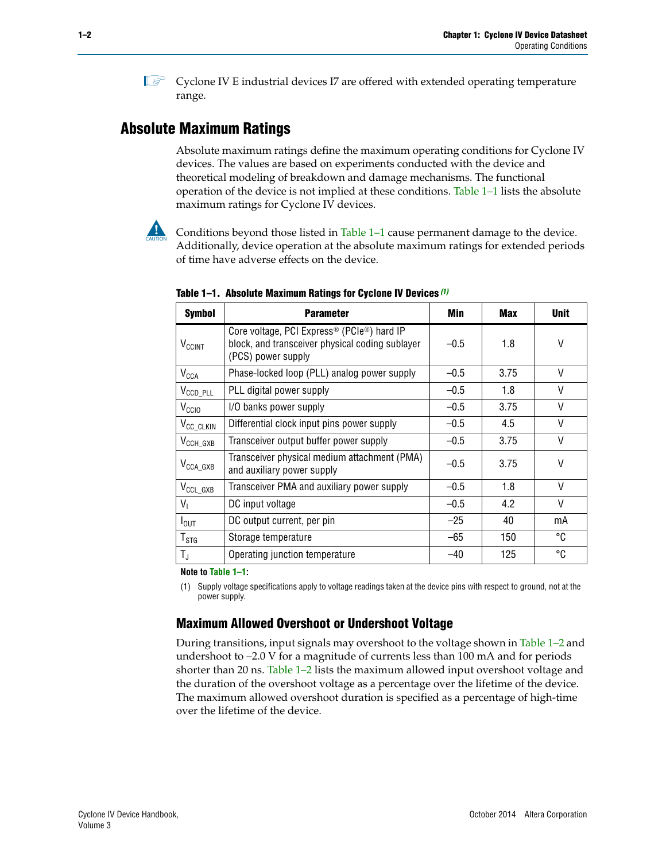$\mathbb{I}$  Cyclone IV E industrial devices I7 are offered with extended operating temperature range.

### **Absolute Maximum Ratings**

Absolute maximum ratings define the maximum operating conditions for Cyclone IV devices. The values are based on experiments conducted with the device and theoretical modeling of breakdown and damage mechanisms. The functional operation of the device is not implied at these conditions. [Table 1–1](#page-1-1) lists the absolute maximum ratings for Cyclone IV devices.

Conditions beyond those listed in Table  $1-1$  cause permanent damage to the device. Additionally, device operation at the absolute maximum ratings for extended periods of time have adverse effects on the device.

| <b>Symbol</b>              | <b>Parameter</b>                                                                                                                             | Min    | Max  | <b>Unit</b> |
|----------------------------|----------------------------------------------------------------------------------------------------------------------------------------------|--------|------|-------------|
| $V_{CClNT}$                | Core voltage, PCI Express <sup>®</sup> (PCIe <sup>®</sup> ) hard IP<br>block, and transceiver physical coding sublayer<br>(PCS) power supply | $-0.5$ | 1.8  | V           |
| $V_{CCA}$                  | Phase-locked loop (PLL) analog power supply                                                                                                  | $-0.5$ | 3.75 | V           |
| $V_{\text{CCD\_PLL}}$      | PLL digital power supply                                                                                                                     | $-0.5$ | 1.8  | V           |
| V <sub>CCIO</sub>          | I/O banks power supply                                                                                                                       | $-0.5$ | 3.75 | V           |
| V <sub>CC_CLKIN</sub>      | Differential clock input pins power supply                                                                                                   | $-0.5$ | 4.5  | V           |
| $V_{\text{CCH_GXB}}$       | Transceiver output buffer power supply                                                                                                       | $-0.5$ | 3.75 | V           |
| $V_{\text{CCA\_GXB}}$      | Transceiver physical medium attachment (PMA)<br>and auxiliary power supply                                                                   | $-0.5$ | 3.75 | V           |
| $V_{\rm CCL_GXB}$          | Transceiver PMA and auxiliary power supply                                                                                                   | $-0.5$ | 1.8  | V           |
| $V_{1}$                    | DC input voltage                                                                                                                             | $-0.5$ | 4.2  | V           |
| $I_{\text{OUT}}$           | DC output current, per pin                                                                                                                   | $-25$  | 40   | mA          |
| ${\mathsf T}_{\text{STG}}$ | Storage temperature                                                                                                                          | -65    | 150  | °C          |
| $T_{\rm J}$                | Operating junction temperature                                                                                                               | $-40$  | 125  | °C          |

<span id="page-1-1"></span>**Table 1–1. Absolute Maximum Ratings for Cyclone IV Devices** *[\(1\)](#page-1-0)*

**Note to [Table 1–1](#page-1-1):**

<span id="page-1-0"></span>(1) Supply voltage specifications apply to voltage readings taken at the device pins with respect to ground, not at the power supply.

### **Maximum Allowed Overshoot or Undershoot Voltage**

During transitions, input signals may overshoot to the voltage shown in [Table 1–2](#page-2-0) and undershoot to –2.0 V for a magnitude of currents less than 100 mA and for periods shorter than 20 ns. [Table 1–2](#page-2-0) lists the maximum allowed input overshoot voltage and the duration of the overshoot voltage as a percentage over the lifetime of the device. The maximum allowed overshoot duration is specified as a percentage of high-time over the lifetime of the device.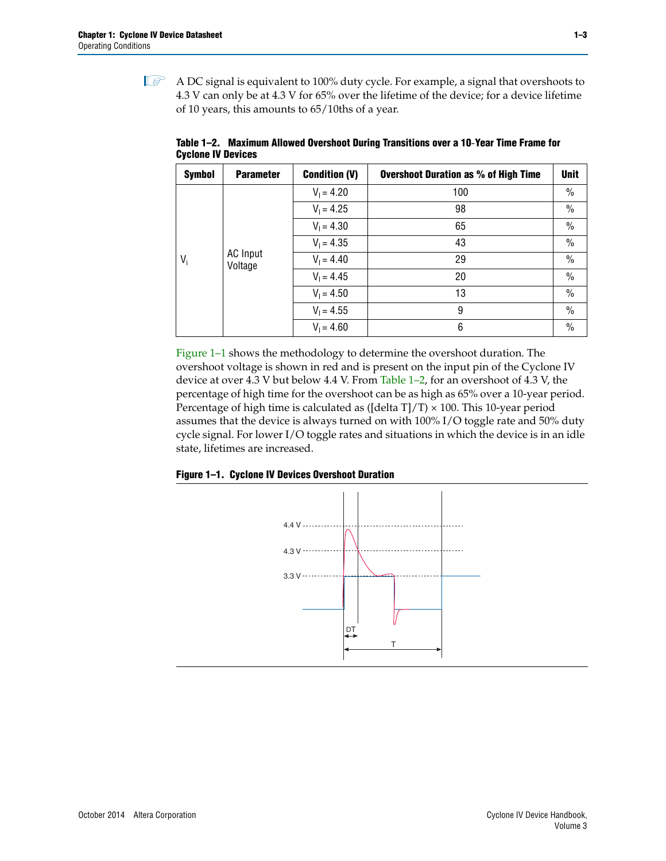$\mathbb{I}$  A DC signal is equivalent to 100% duty cycle. For example, a signal that overshoots to 4.3 V can only be at 4.3 V for 65% over the lifetime of the device; for a device lifetime of 10 years, this amounts to 65/10ths of a year.

| <b>Symbol</b> | <b>Parameter</b> | <b>Condition (V)</b> | <b>Overshoot Duration as % of High Time</b> | <b>Unit</b>   |
|---------------|------------------|----------------------|---------------------------------------------|---------------|
|               |                  | $V_1 = 4.20$         | 100                                         | $\frac{0}{0}$ |
|               |                  | $V_1 = 4.25$         | 98                                          | $\%$          |
|               |                  | $V_1 = 4.30$         | 65                                          | $\frac{0}{0}$ |
|               | <b>AC</b> Input  | $V_1 = 4.35$         | 43                                          | $\frac{0}{0}$ |
| $V_i$         |                  | Voltage              | $V_1 = 4.40$                                | 29            |
|               |                  | $V_1 = 4.45$         | 20                                          | $\frac{0}{0}$ |
|               |                  | $V_1 = 4.50$         | 13                                          | $\%$          |
|               |                  | $V_1 = 4.55$         | 9                                           | $\%$          |
|               |                  | $V_1 = 4.60$         | 6                                           | $\frac{0}{0}$ |

<span id="page-2-0"></span>**Table 1–2. Maximum Allowed Overshoot During Transitions over a 10**-**Year Time Frame for Cyclone IV Devices**

[Figure 1–1](#page-2-1) shows the methodology to determine the overshoot duration. The overshoot voltage is shown in red and is present on the input pin of the Cyclone IV device at over 4.3 V but below 4.4 V. From [Table 1–2,](#page-2-0) for an overshoot of 4.3 V, the percentage of high time for the overshoot can be as high as 65% over a 10-year period. Percentage of high time is calculated as ([delta T]/T)  $\times$  100. This 10-year period assumes that the device is always turned on with 100% I/O toggle rate and 50% duty cycle signal. For lower I/O toggle rates and situations in which the device is in an idle state, lifetimes are increased.

<span id="page-2-1"></span>

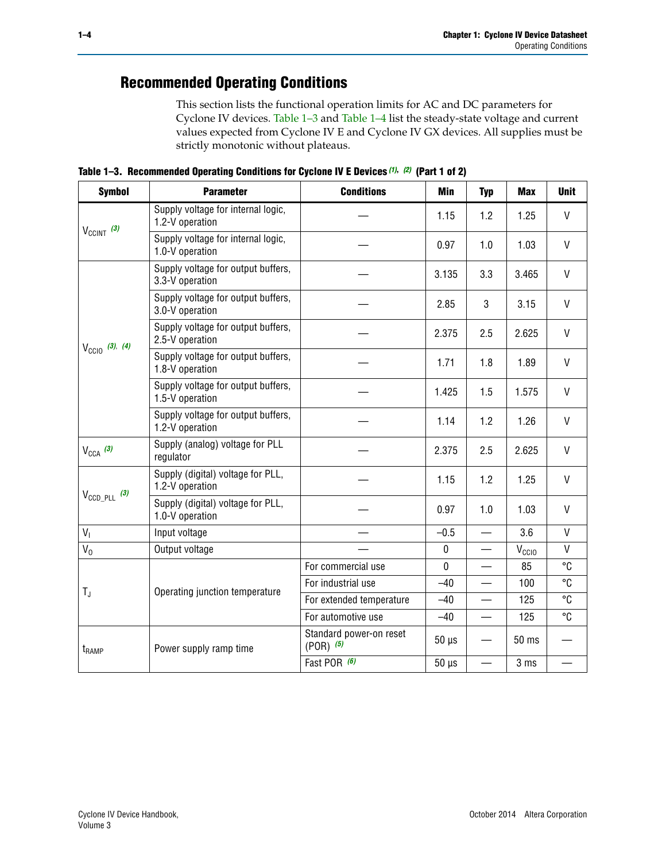# **Recommended Operating Conditions**

This section lists the functional operation limits for AC and DC parameters for Cyclone IV devices. [Table 1–3](#page-3-0) and [Table 1–4](#page-4-0) list the steady-state voltage and current values expected from Cyclone IV E and Cyclone IV GX devices. All supplies must be strictly monotonic without plateaus.

<span id="page-3-0"></span>**Table 1–3. Recommended Operating Conditions for Cyclone IV E Devices** *[\(1\)](#page-4-1)***,** *[\(2\)](#page-4-2)* **(Part 1 of 2)**

| <b>Symbol</b>              | <b>Parameter</b>                                      | <b>Conditions</b>                      | Min        | <b>Typ</b>               | <b>Max</b>        | <b>Unit</b>  |
|----------------------------|-------------------------------------------------------|----------------------------------------|------------|--------------------------|-------------------|--------------|
|                            | Supply voltage for internal logic,<br>1.2-V operation |                                        | 1.15       | 1.2                      | 1.25              | V            |
| $V_{CClNT}$ (3)            | Supply voltage for internal logic,<br>1.0-V operation |                                        | 0.97       | 1.0                      | 1.03              | $\mathsf{V}$ |
|                            | Supply voltage for output buffers,<br>3.3-V operation |                                        | 3.135      | 3.3                      | 3.465             | V            |
|                            | Supply voltage for output buffers,<br>3.0-V operation |                                        | 2.85       | 3                        | 3.15              | V            |
| $V_{\text{CCIO}}$ (3), (4) | Supply voltage for output buffers,<br>2.5-V operation |                                        | 2.375      | 2.5                      | 2.625             | V            |
|                            | Supply voltage for output buffers,<br>1.8-V operation |                                        | 1.71       | 1.8                      | 1.89              | $\mathsf{V}$ |
|                            | Supply voltage for output buffers,<br>1.5-V operation |                                        | 1.425      | 1.5                      | 1.575             | V            |
|                            | Supply voltage for output buffers,<br>1.2-V operation |                                        | 1.14       | 1.2                      | 1.26              | $\mathsf{V}$ |
| $V_{CCA}$ (3)              | Supply (analog) voltage for PLL<br>regulator          |                                        | 2.375      | 2.5                      | 2.625             | $\vee$       |
|                            | Supply (digital) voltage for PLL,<br>1.2-V operation  |                                        | 1.15       | 1.2                      | 1.25              | V            |
| $V_{\text{CCD\_PLL}}$ (3)  | Supply (digital) voltage for PLL,<br>1.0-V operation  |                                        | 0.97       | 1.0                      | 1.03              | V            |
| V <sub>1</sub>             | Input voltage                                         |                                        | $-0.5$     |                          | 3.6               | V            |
| $V_0$                      | Output voltage                                        |                                        | 0          |                          | V <sub>CCIO</sub> | V            |
|                            |                                                       | For commercial use                     | 0          |                          | 85                | °C           |
| $T_{\rm J}$                | Operating junction temperature                        | For industrial use                     | $-40$      | $\overline{\phantom{0}}$ | 100               | °C           |
|                            |                                                       | For extended temperature               | $-40$      |                          | 125               | °C           |
|                            |                                                       | For automotive use                     | $-40$      | $\equiv$                 | 125               | °C           |
| $t_{\rm{RAMP}}$            | Power supply ramp time                                | Standard power-on reset<br>$(POR)$ (5) | $50 \mu s$ |                          | 50 ms             |              |
|                            |                                                       | Fast POR (6)                           | $50 \mu s$ |                          | 3 <sub>ms</sub>   |              |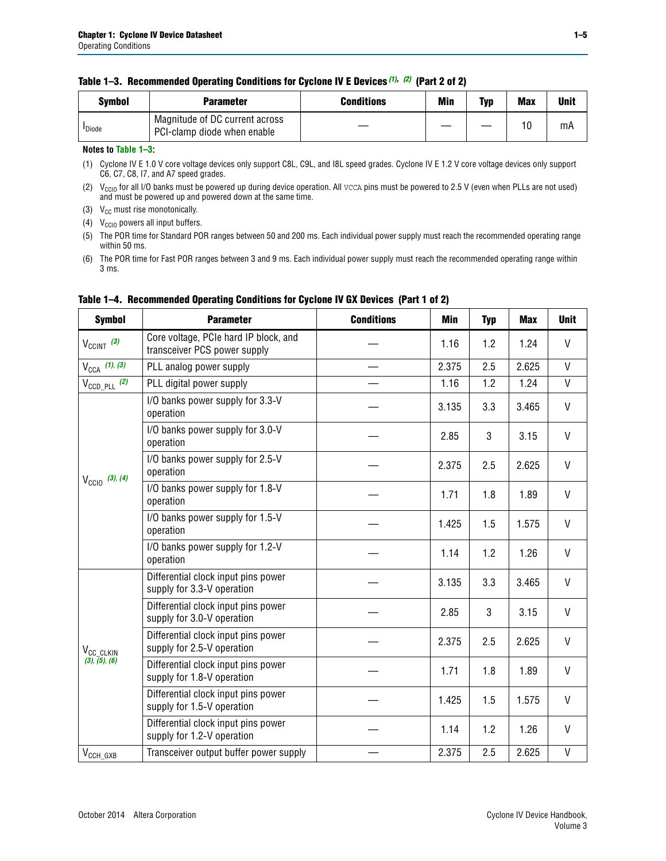#### **Table 1–3. Recommended Operating Conditions for Cyclone IV E Devices** *(1)***,** *(2)* **(Part 2 of 2)**

| Svmbol             | <b>Parameter</b>                                              | <b>Conditions</b> | Min | Typ | <b>Max</b> | Unit |
|--------------------|---------------------------------------------------------------|-------------------|-----|-----|------------|------|
| <sup>I</sup> Diode | Magnitude of DC current across<br>PCI-clamp diode when enable |                   |     |     | 10         | mA   |

#### **Notes to [Table 1–3](#page-3-0):**

<span id="page-4-1"></span>(1) Cyclone IV E 1.0 V core voltage devices only support C8L, C9L, and I8L speed grades. Cyclone IV E 1.2 V core voltage devices only support C6, C7, C8, I7, and A7 speed grades.

<span id="page-4-2"></span>(2)  $V_{CCIO}$  for all I/O banks must be powered up during device operation. All vcca pins must be powered to 2.5 V (even when PLLs are not used) and must be powered up and powered down at the same time.

<span id="page-4-3"></span>(3)  $V_{CC}$  must rise monotonically.

<span id="page-4-4"></span>(4)  $V_{\text{CCIO}}$  powers all input buffers.

<span id="page-4-5"></span>(5) The POR time for Standard POR ranges between 50 and 200 ms. Each individual power supply must reach the recommended operating range within 50 ms.

<span id="page-4-6"></span>(6) The POR time for Fast POR ranges between 3 and 9 ms. Each individual power supply must reach the recommended operating range within 3 ms.

| <b>Symbol</b>              | <b>Parameter</b>                                                      | <b>Conditions</b> | <b>Min</b> | <b>Typ</b> | <b>Max</b> | <b>Unit</b>  |
|----------------------------|-----------------------------------------------------------------------|-------------------|------------|------------|------------|--------------|
| $V_{CClNT}$ (3)            | Core voltage, PCIe hard IP block, and<br>transceiver PCS power supply |                   | 1.16       | 1.2        | 1.24       | V            |
| $V_{CCA}$ (1), (3)         | PLL analog power supply                                               |                   | 2.375      | 2.5        | 2.625      | V            |
| $V_{\text{CCD\_PLL}}$ (2)  | PLL digital power supply                                              |                   | 1.16       | 1.2        | 1.24       | V            |
|                            | I/O banks power supply for 3.3-V<br>operation                         |                   | 3.135      | 3.3        | 3.465      | $\mathsf{V}$ |
|                            | I/O banks power supply for 3.0-V<br>operation                         |                   | 2.85       | 3          | 3.15       | V            |
| $V_{\text{CC10}}$ (3), (4) | I/O banks power supply for 2.5-V<br>operation                         |                   | 2.375      | 2.5        | 2.625      | V            |
|                            | I/O banks power supply for 1.8-V<br>operation                         |                   | 1.71       | 1.8        | 1.89       | V            |
|                            | I/O banks power supply for 1.5-V<br>operation                         |                   | 1.425      | 1.5        | 1.575      | V            |
|                            | I/O banks power supply for 1.2-V<br>operation                         |                   | 1.14       | 1.2        | 1.26       | $\mathsf{V}$ |
|                            | Differential clock input pins power<br>supply for 3.3-V operation     |                   | 3.135      | 3.3        | 3.465      | V            |
|                            | Differential clock input pins power<br>supply for 3.0-V operation     |                   | 2.85       | 3          | 3.15       | $\mathsf{V}$ |
| V <sub>CC_CLKIN</sub>      | Differential clock input pins power<br>supply for 2.5-V operation     |                   | 2.375      | 2.5        | 2.625      | $\mathsf{V}$ |
| (3), (5), (6)              | Differential clock input pins power<br>supply for 1.8-V operation     |                   | 1.71       | 1.8        | 1.89       | V            |
|                            | Differential clock input pins power<br>supply for 1.5-V operation     |                   | 1.425      | 1.5        | 1.575      | V            |
|                            | Differential clock input pins power<br>supply for 1.2-V operation     |                   | 1.14       | 1.2        | 1.26       | V            |
| $V_{\text{CCH_GXB}}$       | Transceiver output buffer power supply                                |                   | 2.375      | 2.5        | 2.625      | $\mathsf{V}$ |

### <span id="page-4-0"></span>**Table 1–4. Recommended Operating Conditions for Cyclone IV GX Devices (Part 1 of 2)**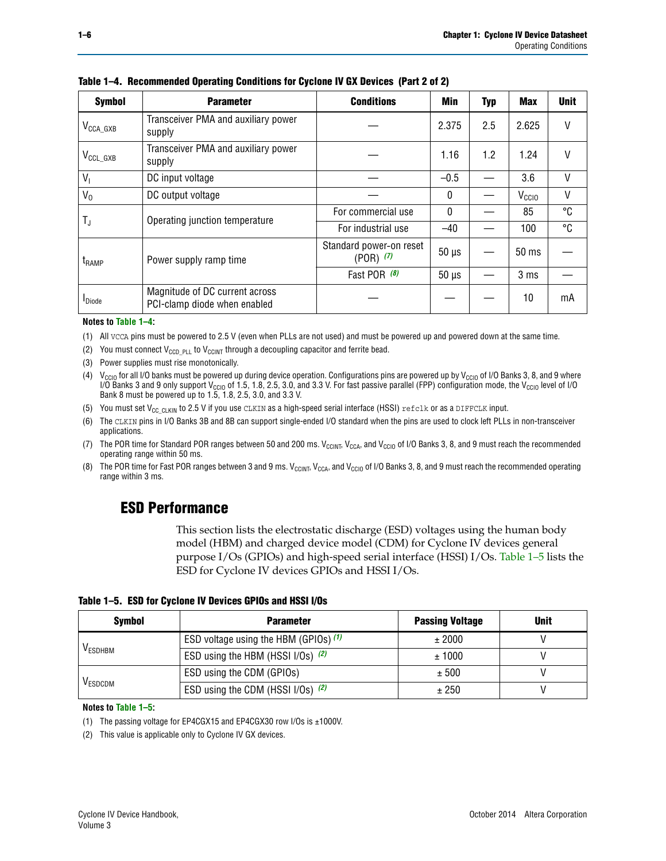| <b>Symbol</b>         | <b>Parameter</b>                                               | <b>Conditions</b>                        | Min          | <b>Typ</b> | <b>Max</b>        | <b>Unit</b> |
|-----------------------|----------------------------------------------------------------|------------------------------------------|--------------|------------|-------------------|-------------|
| $V_{\text{CCA\_GXB}}$ | Transceiver PMA and auxiliary power<br>supply                  |                                          | 2.375        | 2.5        | 2.625             | V           |
| $V_{\rm CCL\_GXB}$    | Transceiver PMA and auxiliary power<br>supply                  |                                          |              | 1.2        | 1.24              | V           |
| $V_{1}$               | DC input voltage                                               |                                          | $-0.5$       |            | 3.6               | $\vee$      |
| $V_0$                 | DC output voltage                                              |                                          | $\mathbf{0}$ |            | V <sub>CCIO</sub> | V           |
|                       | Operating junction temperature                                 | For commercial use                       | $\mathbf{0}$ |            | 85                | °C          |
| T,                    |                                                                | For industrial use                       | $-40$        |            | 100               | °C          |
| $t_{\rm{RAMP}}$       | Power supply ramp time                                         | Standard power-on reset<br>$(POR)$ $(7)$ | $50 \mu s$   |            | $50 \text{ ms}$   |             |
|                       |                                                                | Fast POR (8)                             | $50 \mu s$   |            | 3 <sub>ms</sub>   |             |
| <b>I</b> Diode        | Magnitude of DC current across<br>PCI-clamp diode when enabled |                                          |              |            | 10                | mA          |

**Table 1–4. Recommended Operating Conditions for Cyclone IV GX Devices (Part 2 of 2)**

#### **Notes to [Table 1–4](#page-4-0):**

- <span id="page-5-1"></span>(1) All VCCA pins must be powered to 2.5 V (even when PLLs are not used) and must be powered up and powered down at the same time.
- <span id="page-5-2"></span>(2) You must connect  $V_{CCD-PLL}$  to  $V_{CCINT}$  through a decoupling capacitor and ferrite bead.
- <span id="page-5-0"></span>(3) Power supplies must rise monotonically.
- <span id="page-5-3"></span>(4)  $V_{\text{CCIO}}$  for all I/O banks must be powered up during device operation. Configurations pins are powered up by V<sub>CCIO</sub> of I/O Banks 3, 8, and 9 where I/O Banks 3 and 9 only support V<sub>CCIO</sub> of 1.5, 1.8, 2.5, 3.0, and 3.3 V. For fast passive parallel (FPP) configuration mode, the V<sub>CCIO</sub> level of I/O<br>Bank 8 must be powered up to 1.5, 1.8, 2.5, 3.0, and 3.3 V.
- <span id="page-5-4"></span>(5) You must set  $V_{CC_CCLKIN}$  to 2.5 V if you use CLKIN as a high-speed serial interface (HSSI) refclk or as a DIFFCLK input.
- <span id="page-5-5"></span>(6) The CLKIN pins in I/O Banks 3B and 8B can support single-ended I/O standard when the pins are used to clock left PLLs in non-transceiver applications.
- <span id="page-5-6"></span>(7) The POR time for Standard POR ranges between 50 and 200 ms.  $V_{\text{CCIA}}$ ,  $V_{\text{CCIA}}$ , and  $V_{\text{CCIO}}$  of I/O Banks 3, 8, and 9 must reach the recommended operating range within 50 ms.
- <span id="page-5-7"></span>(8) The POR time for Fast POR ranges between 3 and 9 ms.  $V_{\text{CCH},T}$ ,  $V_{\text{CCA}}$ , and  $V_{\text{CCI}}$  of I/O Banks 3, 8, and 9 must reach the recommended operating range within 3 ms.

### **ESD Performance**

This section lists the electrostatic discharge (ESD) voltages using the human body model (HBM) and charged device model (CDM) for Cyclone IV devices general purpose I/Os (GPIOs) and high-speed serial interface (HSSI) I/Os. [Table 1–5](#page-5-8) lists the ESD for Cyclone IV devices GPIOs and HSSI I/Os.

<span id="page-5-8"></span>**Table 1–5. ESD for Cyclone IV Devices GPIOs and HSSI I/Os**

| <b>Symbol</b>  | <b>Parameter</b>                      | <b>Passing Voltage</b> | <b>Unit</b> |
|----------------|---------------------------------------|------------------------|-------------|
|                | ESD voltage using the HBM (GPIOs) (1) | ± 2000                 |             |
| <b>VESDHBM</b> | ESD using the HBM (HSSI I/Os) (2)     | ± 1000                 |             |
|                | ESD using the CDM (GPIOs)             | ± 500                  |             |
| <b>VESDCDM</b> | ESD using the CDM (HSSI I/Os) (2)     | ± 250                  |             |

#### **Notes to [Table 1–5](#page-5-8):**

<span id="page-5-10"></span>(1) The passing voltage for EP4CGX15 and EP4CGX30 row I/Os is ±1000V.

<span id="page-5-9"></span>(2) This value is applicable only to Cyclone IV GX devices.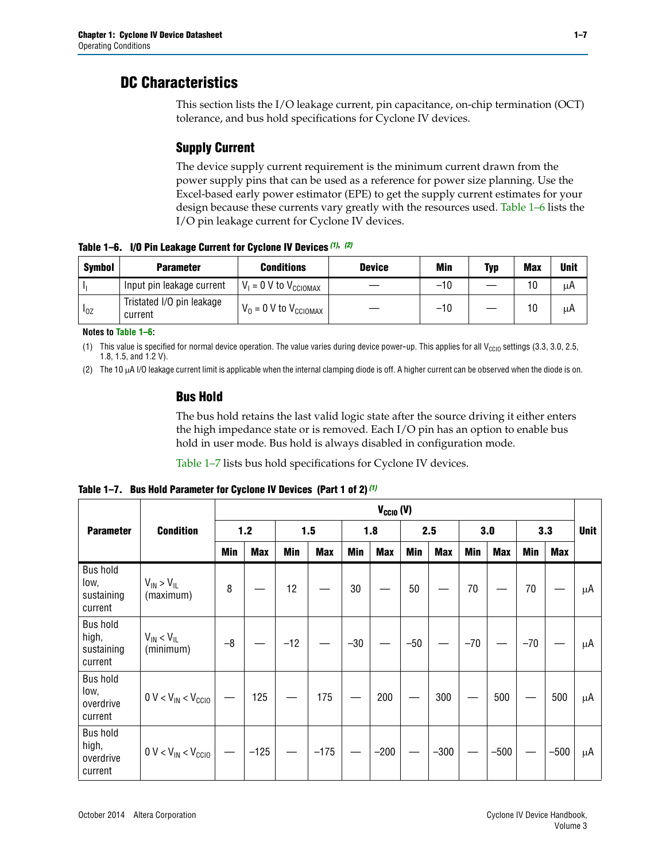### **DC Characteristics**

This section lists the I/O leakage current, pin capacitance, on-chip termination (OCT) tolerance, and bus hold specifications for Cyclone IV devices.

### **Supply Current**

The device supply current requirement is the minimum current drawn from the power supply pins that can be used as a reference for power size planning. Use the Excel-based early power estimator (EPE) to get the supply current estimates for your design because these currents vary greatly with the resources used. [Table 1–6](#page-6-0) lists the I/O pin leakage current for Cyclone IV devices.

<span id="page-6-0"></span>**Table 1–6. I/O Pin Leakage Current for Cyclone IV Devices** *[\(1\)](#page-6-1)***,** *[\(2\)](#page-6-2)*

| <b>Symbol</b> | <b>Parameter</b>                     | <b>Conditions</b>                   | <b>Device</b> | Min   | Typ | <b>Max</b> | <b>Unit</b> |
|---------------|--------------------------------------|-------------------------------------|---------------|-------|-----|------------|-------------|
| -lı           | Input pin leakage current            | $V_1 = 0$ V to $V_{\text{CCIOMAX}}$ |               | $-10$ |     | 10         | μA          |
| $I_{0Z}$      | Tristated I/O pin leakage<br>current | $V_0 = 0$ V to $V_{\text{CCIOMAX}}$ |               | $-10$ |     | 10         | μA          |

**Notes to [Table 1–6](#page-6-0):**

<span id="page-6-1"></span>(1) This value is specified for normal device operation. The value varies during device power-up. This applies for all V<sub>CCIO</sub> settings (3.3, 3.0, 2.5, 1.8, 1.5, and 1.2 V).

<span id="page-6-2"></span>(2) The 10 µA I/O leakage current limit is applicable when the internal clamping diode is off. A higher current can be observed when the diode is on.

### **Bus Hold**

The bus hold retains the last valid logic state after the source driving it either enters the high impedance state or is removed. Each I/O pin has an option to enable bus hold in user mode. Bus hold is always disabled in configuration mode.

[Table 1–7](#page-6-3) lists bus hold specifications for Cyclone IV devices.

<span id="page-6-3"></span>

|                                                   |                                  | $V_{CCIO} (V)$ |            |       |            |            |            |            |            |       |            |       |            |             |  |
|---------------------------------------------------|----------------------------------|----------------|------------|-------|------------|------------|------------|------------|------------|-------|------------|-------|------------|-------------|--|
| <b>Parameter</b>                                  | <b>Condition</b>                 | 1.2            |            |       | 1.5        |            | 1.8        |            | 2.5        |       | 3.0        | 3.3   |            | <b>Unit</b> |  |
|                                                   |                                  | <b>Min</b>     | <b>Max</b> | Min   | <b>Max</b> | <b>Min</b> | <b>Max</b> | <b>Min</b> | <b>Max</b> | Min   | <b>Max</b> | Min   | <b>Max</b> |             |  |
| <b>Bus hold</b><br>low,<br>sustaining<br>current  | $V_{IN}$ > $V_{IL}$<br>(maximum) | 8              |            | 12    |            | 30         |            | 50         |            | 70    |            | 70    |            | μA          |  |
| <b>Bus hold</b><br>high,<br>sustaining<br>current | $V_{IN}$ < $V_{IL}$<br>(minimum) | $-8$           |            | $-12$ |            | $-30$      |            | $-50$      |            | $-70$ |            | $-70$ |            | μA          |  |
| <b>Bus hold</b><br>low,<br>overdrive<br>current   | $0 V < V_{IN} < V_{CG10}$        |                | 125        |       | 175        |            | 200        |            | 300        |       | 500        |       | 500        | μA          |  |
| <b>Bus hold</b><br>high,<br>overdrive<br>current  | $0 V < V_{IN} < V_{CG10}$        |                | $-125$     |       | $-175$     |            | $-200$     |            | $-300$     |       | $-500$     |       | $-500$     | μA          |  |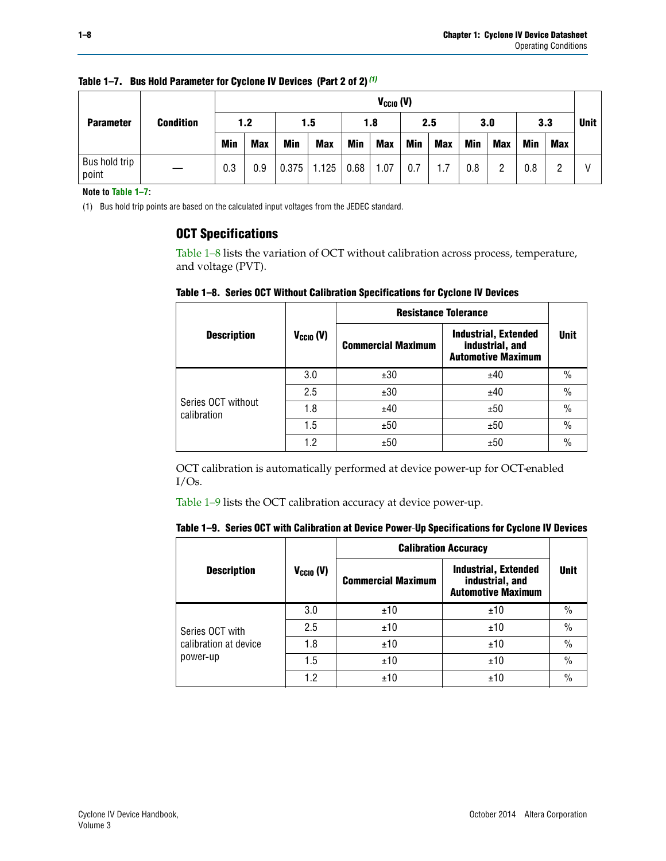|  |                        |                  |            | $V_{CGI0} (V)$ |            |            |      |            |     |            |     |     |     |     |  |  |
|--|------------------------|------------------|------------|----------------|------------|------------|------|------------|-----|------------|-----|-----|-----|-----|--|--|
|  | <b>Parameter</b>       | <b>Condition</b> | 1.2        |                |            | 1.5        |      | 1.8        |     | 2.5        |     | 3.0 |     | 3.3 |  |  |
|  |                        |                  | <b>Min</b> | <b>Max</b>     | <b>Min</b> | <b>Max</b> | Min  | <b>Max</b> | Min | <b>Max</b> | Min | Max | Min | Max |  |  |
|  | Bus hold trip<br>point |                  | 0.3        | 0.9            | 0.375      | 1.125      | 0.68 | 1.07       | 0.7 | 1.7        | 0.8 | 2   | 0.8 |     |  |  |

**Table 1–7. Bus Hold Parameter for Cyclone IV Devices (Part 2 of 2)** *(1)*

**Note to [Table 1–7](#page-6-3):**

<span id="page-7-0"></span>(1) Bus hold trip points are based on the calculated input voltages from the JEDEC standard.

### **OCT Specifications**

[Table 1–8](#page-7-1) lists the variation of OCT without calibration across process, temperature, and voltage (PVT).

<span id="page-7-1"></span>**Table 1–8. Series OCT Without Calibration Specifications for Cyclone IV Devices**

|                                   |                       | <b>Resistance Tolerance</b> |                                                                             |               |
|-----------------------------------|-----------------------|-----------------------------|-----------------------------------------------------------------------------|---------------|
| <b>Description</b>                | $V_{\text{CCIO}}$ (V) | <b>Commercial Maximum</b>   | <b>Industrial, Extended</b><br>industrial, and<br><b>Automotive Maximum</b> | <b>Unit</b>   |
|                                   | 3.0                   | ±30                         | ±40                                                                         | $\frac{0}{0}$ |
|                                   | 2.5                   | ±30                         | ±40                                                                         | $\frac{0}{0}$ |
| Series OCT without<br>calibration | 1.8                   | ±40                         | ±50                                                                         | $\frac{0}{0}$ |
|                                   | 1.5                   | ±50                         | ±50                                                                         | $\frac{0}{0}$ |
|                                   | 1.2                   | ±50                         | ±50                                                                         | $\frac{0}{0}$ |

OCT calibration is automatically performed at device power-up for OCT-enabled I/Os.

[Table 1–9](#page-7-2) lists the OCT calibration accuracy at device power-up.

<span id="page-7-2"></span>

|  |  |  |  |  | Table 1–9. Series OCT with Calibration at Device Power-Up Specifications for Cyclone IV Devices |
|--|--|--|--|--|-------------------------------------------------------------------------------------------------|
|--|--|--|--|--|-------------------------------------------------------------------------------------------------|

|                       |                      | <b>Calibration Accuracy</b> |                                                                             |               |
|-----------------------|----------------------|-----------------------------|-----------------------------------------------------------------------------|---------------|
| <b>Description</b>    | $V_{\text{CCIO}}(V)$ | <b>Commercial Maximum</b>   | <b>Industrial, Extended</b><br>industrial, and<br><b>Automotive Maximum</b> | <b>Unit</b>   |
|                       | 3.0                  | ±10                         | ±10                                                                         | $\%$          |
| Series OCT with       | 2.5                  | ±10                         | ±10                                                                         | $\frac{0}{0}$ |
| calibration at device | 1.8                  | ±10                         | ±10                                                                         | $\%$          |
| power-up              | 1.5                  | ±10                         | ±10                                                                         | $\%$          |
|                       | 1.2                  | ±10                         | ±10                                                                         | $\frac{0}{0}$ |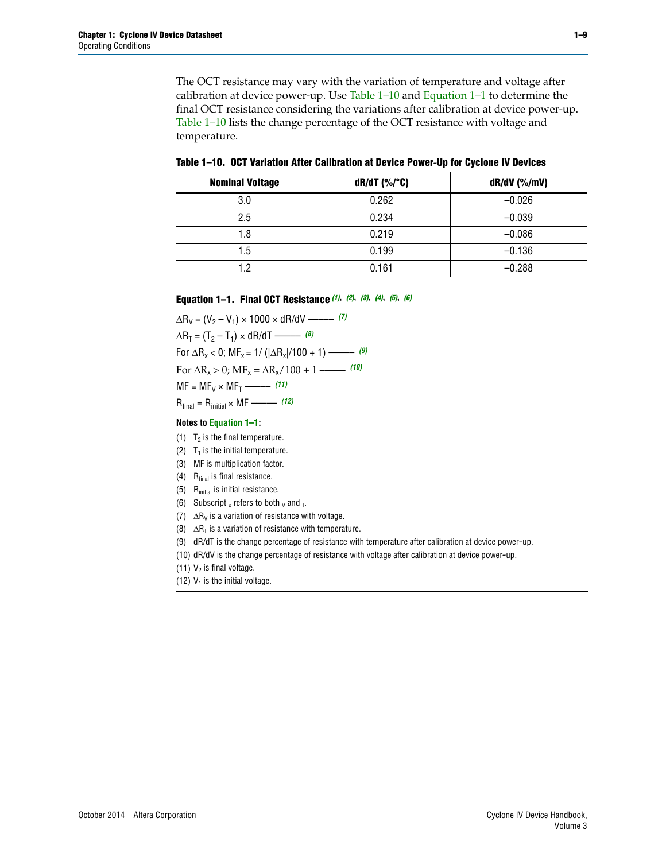The OCT resistance may vary with the variation of temperature and voltage after calibration at device power-up. Use [Table 1–10](#page-8-0) and [Equation 1–1](#page-8-1) to determine the final OCT resistance considering the variations after calibration at device power-up. [Table 1–10](#page-8-0) lists the change percentage of the OCT resistance with voltage and temperature.

<span id="page-8-0"></span>**Table 1–10. OCT Variation After Calibration at Device Power**-**Up for Cyclone IV Devices**

| <b>Nominal Voltage</b> | $dR/dT$ (%/°C) | $dR/dV$ (%/mV) |
|------------------------|----------------|----------------|
| 3.0                    | 0.262          | $-0.026$       |
| 2.5                    | 0.234          | $-0.039$       |
| 1.8                    | 0.219          | $-0.086$       |
| 1.5                    | 0.199          | $-0.136$       |
| 1.2                    | 0.161          | $-0.288$       |

#### <span id="page-8-1"></span>**Equation 1–1. Final OCT Resistance** *[\(1\)](#page-8-2)***,** *[\(2\)](#page-8-3)***,** *[\(3\)](#page-8-4)***,** *[\(4\)](#page-8-5)***,** *[\(5\)](#page-8-6)***,** *[\(6\)](#page-8-7)*

 $\Delta R_V = (V_2 - V_1) \times 1000 \times dR/dV$  ––––––––––––[\(7\)](#page-8-8)  $\Delta R_T = (T_2 - T_1) \times dR/dT$  –––––––– *[\(8\)](#page-8-9)* For  $\Delta R_x < 0$ ;  $MF_x = 1/$  ( $|\Delta R_x|/100 + 1$ ) ––––––––– [\(9\)](#page-8-10) For  $\Delta R_x > 0$ ;  $\text{MF}_x = \Delta R_x / 100 + 1$  ——– [\(10\)](#page-8-11)  $MF = MF_V \times MF_T$  –––––––––––[\(11\)](#page-8-12) Rfinal = Rinitial × MF ––––– *[\(12\)](#page-8-13)*

#### **Notes to [Equation 1–1:](#page-8-1)**

- <span id="page-8-2"></span>(1)  $T_2$  is the final temperature.
- <span id="page-8-3"></span>(2)  $T_1$  is the initial temperature.
- <span id="page-8-4"></span>(3) MF is multiplication factor.
- <span id="page-8-5"></span>(4)  $R<sub>final</sub>$  is final resistance.
- <span id="page-8-6"></span>(5) Rinitial is initial resistance.
- <span id="page-8-7"></span>(6) Subscript x refers to both  $\sqrt{v}$  and  $\sqrt{v}$ .
- <span id="page-8-8"></span>(7)  $\Delta R_V$  is a variation of resistance with voltage.
- <span id="page-8-9"></span>(8)  $\Delta R_T$  is a variation of resistance with temperature.
- <span id="page-8-10"></span>(9) dR/dT is the change percentage of resistance with temperature after calibration at device power-up.
- <span id="page-8-11"></span>(10) dR/dV is the change percentage of resistance with voltage after calibration at device power-up.
- <span id="page-8-12"></span>(11)  $V_2$  is final voltage.
- <span id="page-8-13"></span>(12)  $V_1$  is the initial voltage.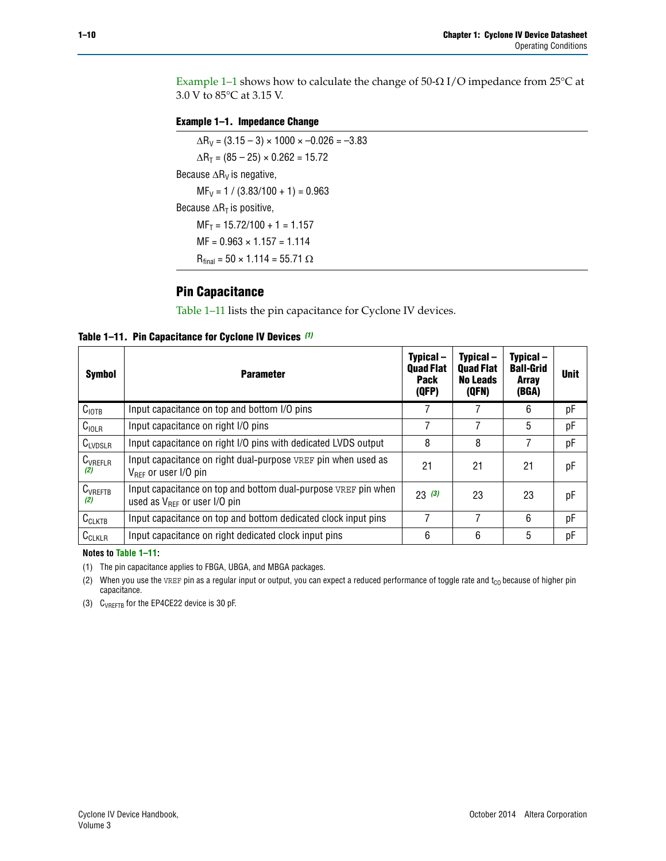Example 1-1 shows how to calculate the change of  $50$ - $\Omega$  I/O impedance from 25°C at 3.0 V to 85°C at 3.15 V.

<span id="page-9-0"></span>**Example 1–1. Impedance Change**

 $\Delta R_V = (3.15 - 3) \times 1000 \times -0.026 = -3.83$  $\Delta R_T = (85 - 25) \times 0.262 = 15.72$ Because  $\Delta R_V$  is negative,  $MF_V = 1 / (3.83/100 + 1) = 0.963$ Because  $\Delta R_T$  is positive,  $MF_T = 15.72/100 + 1 = 1.157$  $MF = 0.963 \times 1.157 = 1.114$  $R_{final} = 50 \times 1.114 = 55.71 \Omega$ 

### **Pin Capacitance**

[Table 1–11](#page-9-1) lists the pin capacitance for Cyclone IV devices.

<span id="page-9-1"></span>**Table 1–11. Pin Capacitance for Cyclone IV Devices** *[\(1\)](#page-9-4)*

| <b>Symbol</b>       | <b>Parameter</b>                                                                                           | Typical-<br><b>Quad Flat</b><br><b>Pack</b><br>(QFP) | Typical-<br><b>Quad Flat</b><br><b>No Leads</b><br>(QFN) | Typical-<br><b>Ball-Grid</b><br><b>Array</b><br>(BGA) | <b>Unit</b> |
|---------------------|------------------------------------------------------------------------------------------------------------|------------------------------------------------------|----------------------------------------------------------|-------------------------------------------------------|-------------|
| C <sub>IOTB</sub>   | Input capacitance on top and bottom I/O pins                                                               |                                                      |                                                          | 6                                                     | рF          |
| $C_{IOLR}$          | Input capacitance on right I/O pins                                                                        |                                                      |                                                          | 5                                                     | рF          |
| $C_{LVDSLR}$        | Input capacitance on right I/O pins with dedicated LVDS output                                             | 8                                                    | 8                                                        |                                                       | рF          |
| $C_{VREFLR}$<br>(2) | Input capacitance on right dual-purpose VREF pin when used as<br>$V_{\text{RFF}}$ or user I/O pin          | 21                                                   | 21                                                       | 21                                                    | pF          |
| $C_{VREFTB}$<br>(2) | Input capacitance on top and bottom dual-purpose VREF pin when<br>used as $V_{\text{RFF}}$ or user I/O pin | 23(3)                                                | 23                                                       | 23                                                    | pF          |
| $C_{CLKTB}$         | Input capacitance on top and bottom dedicated clock input pins                                             | 7                                                    | 7                                                        | 6                                                     | pF          |
| $C_{CLKLR}$         | Input capacitance on right dedicated clock input pins                                                      | 6                                                    | 6                                                        | 5                                                     | рF          |

#### **Notes to [Table 1–11:](#page-9-1)**

<span id="page-9-4"></span>(1) The pin capacitance applies to FBGA, UBGA, and MBGA packages.

<span id="page-9-2"></span>(2) When you use the VREF pin as a regular input or output, you can expect a reduced performance of toggle rate and  $t_{\rm CO}$  because of higher pin capacitance.

<span id="page-9-3"></span>(3) CVREFTB for the EP4CE22 device is 30 pF.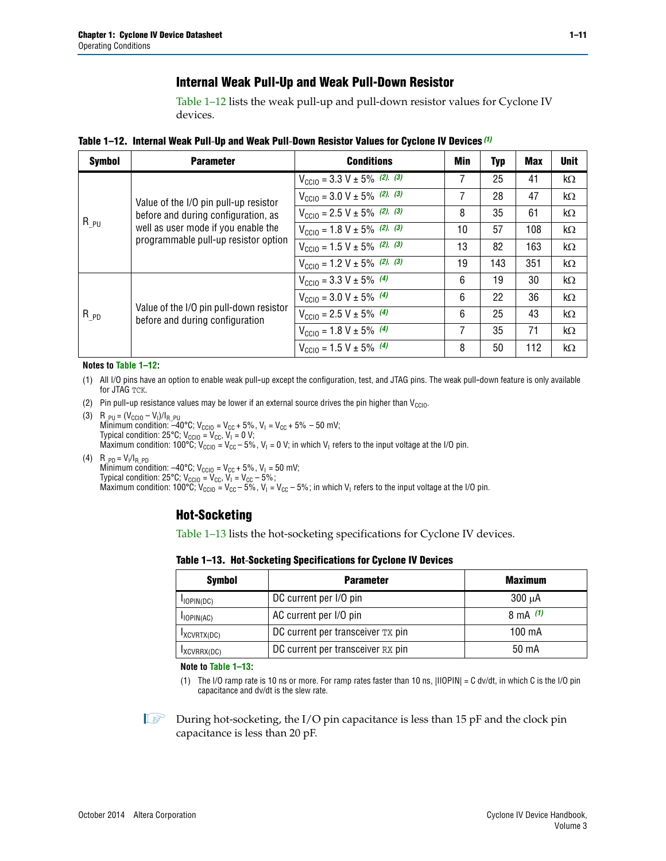### **Internal Weak Pull-Up and Weak Pull-Down Resistor**

[Table 1–12](#page-10-0) lists the weak pull-up and pull-down resistor values for Cyclone IV devices.

<span id="page-10-0"></span>**Table 1–12. Internal Weak Pull**-**Up and Weak Pull**-**Down Resistor Values for Cyclone IV Devices** *[\(1\)](#page-10-1)*

| <b>Symbol</b> | <b>Parameter</b>                                                                                                   | <b>Conditions</b>                                  | Min | <b>Typ</b> | <b>Max</b> | <b>Unit</b> |
|---------------|--------------------------------------------------------------------------------------------------------------------|----------------------------------------------------|-----|------------|------------|-------------|
|               |                                                                                                                    | $V_{\text{CC10}} = 3.3 \text{ V} \pm 5\%$ (2), (3) | 7   | 25         | 41         | $k\Omega$   |
| $R_{PU}$      | Value of the I/O pin pull-up resistor                                                                              | $V_{\text{CC10}} = 3.0 \text{ V} \pm 5\%$ (2), (3) | 7   | 28         | 47         | $k\Omega$   |
|               | before and during configuration, as<br>well as user mode if you enable the<br>programmable pull-up resistor option | $V_{\text{CC10}} = 2.5 V \pm 5\%$ (2), (3)         | 8   | 35         | 61         | $k\Omega$   |
|               |                                                                                                                    | $V_{\text{CC10}} = 1.8 V \pm 5\%$ (2), (3)         | 10  | 57         | 108        | $k\Omega$   |
|               |                                                                                                                    | $V_{\text{CC10}} = 1.5 V \pm 5\%$ (2), (3)         | 13  | 82         | 163        | $k\Omega$   |
|               |                                                                                                                    | $V_{\text{CC10}} = 1.2 V \pm 5\%$ (2), (3)         | 19  | 143        | 351        | kΩ          |
|               |                                                                                                                    | $V_{\text{CC10}} = 3.3 V \pm 5\%$ (4)              | 6   | 19         | 30         | $k\Omega$   |
|               |                                                                                                                    | $V_{\text{CC10}} = 3.0 V \pm 5\%$ (4)              | 6   | 22         | 36         | $k\Omega$   |
| $R_{PD}$      | Value of the I/O pin pull-down resistor<br>before and during configuration                                         | $V_{\text{CC10}} = 2.5 V \pm 5\%$ (4)              | 6   | 25         | 43         | $k\Omega$   |
|               |                                                                                                                    | $V_{\text{CC10}} = 1.8 V \pm 5\%$ (4)              | 7   | 35         | 71         | $k\Omega$   |
|               |                                                                                                                    | $V_{\text{CC10}} = 1.5 V \pm 5\%$ (4)              | 8   | 50         | 112        | kΩ          |

#### **Notes to [Table 1–12:](#page-10-0)**

- <span id="page-10-1"></span>(1) All I/O pins have an option to enable weak pull-up except the configuration, test, and JTAG pins. The weak pull-down feature is only available for JTAG TCK.
- <span id="page-10-2"></span>(2) Pin pull-up resistance values may be lower if an external source drives the pin higher than  $V_{\text{CCIO}}$ .
- <span id="page-10-3"></span>(3)  $R_{PU} = (V_{CC10} - V_1)/I_{R_PU}$ Minimum condition: –40°C; V<sub>CCIO</sub> = V<sub>CC</sub> + 5%, V<sub>I</sub> = V<sub>CC</sub> + 5% – 50 mV; Typical condition: 25°C; V<sub>CCIO</sub> = V<sub>CC</sub>, V<sub>I</sub> = 0 V; Maximum condition:  $100^{\circ}C$ ;  $V_{\text{CCIO}} = V_{\text{CC}} - 5\%$ ,  $V_1 = 0$  V; in which  $V_1$  refers to the input voltage at the I/O pin.
- <span id="page-10-4"></span>(4)  $R_{PD} = V_I/I_{R_PD}$ Minimum condition:  $-40^{\circ}$ C; V<sub>CCIO</sub> = V<sub>CC</sub> + 5%, V<sub>I</sub> = 50 mV; Typical condition: 25°C;  $V_{\text{CCIO}} = V_{\text{CC}}$ ,  $V_{\text{I}} = V_{\text{CC}} - 5\%$ ; Maximum condition: 100°C; V<sub>CClO</sub> = V<sub>CC</sub> – 5%, V<sub>I</sub> = V<sub>CC</sub> – 5%; in which V<sub>I</sub> refers to the input voltage at the I/O pin.

### **Hot-Socketing**

[Table 1–13](#page-10-5) lists the hot-socketing specifications for Cyclone IV devices.

<span id="page-10-5"></span>**Table 1–13. Hot**-**Socketing Specifications for Cyclone IV Devices**

| <b>Symbol</b> | <b>Parameter</b>                  | <b>Maximum</b> |
|---------------|-----------------------------------|----------------|
| $I$ IOPIN(DC) | DC current per I/O pin            | $300 \mu A$    |
| $I$ IOPIN(AC) | AC current per I/O pin            | 8 mA $(1)$     |
| IXCVRTX(DC)   | DC current per transceiver TX pin | 100 mA         |
| IXCVRRX(DC)   | DC current per transceiver RX pin | 50 mA          |

**Note to [Table 1–13:](#page-10-5)**

<span id="page-10-6"></span>(1) The I/O ramp rate is 10 ns or more. For ramp rates faster than 10 ns, |IIOPIN| = C dv/dt, in which C is the I/O pin capacitance and dv/dt is the slew rate.

 $\mathbb{I} \rightarrow \mathbb{I}$  During hot-socketing, the I/O pin capacitance is less than 15 pF and the clock pin capacitance is less than 20 pF.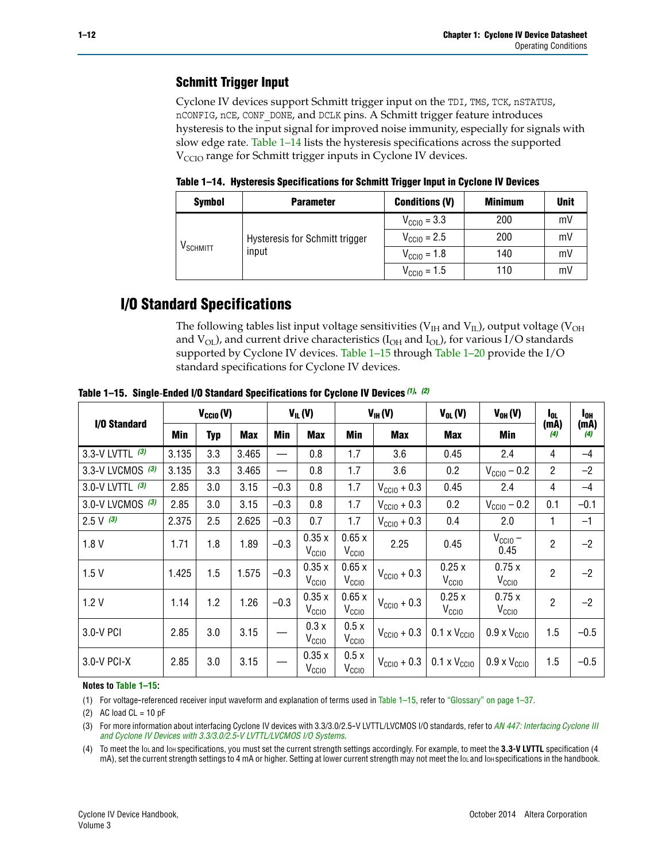### **Schmitt Trigger Input**

Cyclone IV devices support Schmitt trigger input on the TDI, TMS, TCK, nSTATUS, nCONFIG, nCE, CONF\_DONE, and DCLK pins. A Schmitt trigger feature introduces hysteresis to the input signal for improved noise immunity, especially for signals with slow edge rate. [Table 1–14](#page-11-0) lists the hysteresis specifications across the supported  $V<sub>CCIO</sub>$  range for Schmitt trigger inputs in Cyclone IV devices.

<span id="page-11-0"></span>**Table 1–14. Hysteresis Specifications for Schmitt Trigger Input in Cyclone IV Devices**

| <b>Symbol</b>        | <b>Parameter</b>               | <b>Conditions (V)</b>   | <b>Minimum</b> | <b>Unit</b> |
|----------------------|--------------------------------|-------------------------|----------------|-------------|
|                      |                                | $V_{\text{CC10}} = 3.3$ | 200            | mV          |
|                      | Hysteresis for Schmitt trigger | $V_{\text{CGI0}} = 2.5$ | 200            | mV          |
| V <sub>SCHMITT</sub> | input                          | $V_{\text{CCIO}} = 1.8$ | 140            | mV          |
|                      | 110<br>$V_{\text{CCIO}} = 1.5$ |                         | mV             |             |

### **I/O Standard Specifications**

The following tables list input voltage sensitivities ( $V<sub>IH</sub>$  and  $V<sub>II</sub>$ ), output voltage ( $V<sub>OH</sub>$ and  $V_{OL}$ ), and current drive characteristics ( $I_{OH}$  and  $I_{OL}$ ), for various I/O standards supported by Cyclone IV devices. [Table 1–15](#page-11-1) through [Table 1–20](#page-13-0) provide the I/O standard specifications for Cyclone IV devices.

|                   | $V_{CClO}(V)$ |            | $V_{IL}(V)$ |        | $V_{IH} (V)$               |                            | $V_{OL}(V)$              | $V_{OH} (V)$                 | l <sub>OL</sub>              | $I_{0H}$       |             |
|-------------------|---------------|------------|-------------|--------|----------------------------|----------------------------|--------------------------|------------------------------|------------------------------|----------------|-------------|
| I/O Standard      | Min           | <b>Typ</b> | <b>Max</b>  | Min    | <b>Max</b>                 | Min                        | <b>Max</b>               | Max                          | Min                          | (mA)<br>(4)    | (mA)<br>(4) |
| 3.3-V LVTTL $(3)$ | 3.135         | 3.3        | 3.465       |        | 0.8                        | 1.7                        | 3.6                      | 0.45                         | 2.4                          | 4              | $-4$        |
| 3.3-V LVCMOS (3)  | 3.135         | 3.3        | 3.465       |        | 0.8                        | 1.7                        | 3.6                      | 0.2                          | $V_{\text{CCIO}} - 0.2$      | $\overline{2}$ | $-2$        |
| 3.0-V LVTTL (3)   | 2.85          | 3.0        | 3.15        | $-0.3$ | 0.8                        | 1.7                        | $V_{\text{CC10}} + 0.3$  | 0.45                         | 2.4                          | 4              | $-4$        |
| 3.0-V LVCMOS (3)  | 2.85          | 3.0        | 3.15        | $-0.3$ | 0.8                        | 1.7                        | $\rm V_{\rm CClO}$ + 0.3 | 0.2                          | $V_{\text{CC10}} - 0.2$      | 0.1            | $-0.1$      |
| $2.5 V$ (3)       | 2.375         | 2.5        | 2.625       | $-0.3$ | 0.7                        | 1.7                        | $V_{\text{CCIO}} + 0.3$  | 0.4                          | 2.0                          | 1.             | $-1$        |
| 1.8V              | 1.71          | 1.8        | 1.89        | $-0.3$ | 0.35x<br>V <sub>CCIO</sub> | 0.65x<br>V <sub>CCIO</sub> | 2.25                     | 0.45                         | $V_{CGIO}$ –<br>0.45         | $\overline{2}$ | $-2$        |
| 1.5V              | 1.425         | 1.5        | 1.575       | $-0.3$ | 0.35x<br>V <sub>CCIO</sub> | 0.65x<br>V <sub>CCIO</sub> | $V_{\text{CC10}} + 0.3$  | 0.25x<br>V <sub>CClO</sub>   | 0.75x<br>V <sub>CCIO</sub>   | $\overline{2}$ | $-2$        |
| 1.2V              | 1.14          | 1.2        | 1.26        | $-0.3$ | 0.35x<br>V <sub>CCIO</sub> | 0.65x<br>V <sub>CCIO</sub> | $V_{\text{CC10}} + 0.3$  | 0.25x<br>V <sub>CCIO</sub>   | 0.75x<br>V <sub>CCIO</sub>   | $\overline{2}$ | $-2$        |
| 3.0-V PCI         | 2.85          | 3.0        | 3.15        |        | 0.3x<br>V <sub>CCIO</sub>  | 0.5x<br>V <sub>CCIO</sub>  | $V_{\text{CCI0}} + 0.3$  | $0.1 \times V_{\text{CCIO}}$ | $0.9 \times V_{\text{CC10}}$ | 1.5            | $-0.5$      |
| $3.0 - V$ PCI-X   | 2.85          | 3.0        | 3.15        |        | 0.35x<br>V <sub>CCIO</sub> | 0.5x<br>V <sub>CCIO</sub>  | $V_{\text{CC10}} + 0.3$  | $0.1 \times V_{\text{CCIO}}$ | $0.9 \times V_{\text{CC10}}$ | 1.5            | $-0.5$      |

<span id="page-11-1"></span>**Table 1–15. Single**-**Ended I/O Standard Specifications for Cyclone IV Devices** *[\(1\)](#page-11-2)***,** *[\(2\)](#page-11-3)*

#### **Notes to [Table 1–15:](#page-11-1)**

<span id="page-11-2"></span>(1) For voltage-referenced receiver input waveform and explanation of terms used in [Table 1–15](#page-11-1), refer to ["Glossary" on page 1–37](#page-36-1).

<span id="page-11-3"></span>(2) AC load  $CL = 10$  pF

<span id="page-11-4"></span>(3) For more information about interfacing Cyclone IV devices with 3.3/3.0/2.5-V LVTTL/LVCMOS I/O standards, refer to *[AN 447: Interfacing Cyclone III](http://www.altera.com/literature/an/an447.pdf)  [and Cyclone IV Devices with 3.3/3.0/2.5-V LVTTL/LVCMOS I/O Systems](http://www.altera.com/literature/an/an447.pdf)*.

<span id="page-11-5"></span>(4) To meet the IOL and IOH specifications, you must set the current strength settings accordingly. For example, to meet the **3.3-V LVTTL** specification (4 mA), set the current strength settings to 4 mA or higher. Setting at lower current strength may not meet the lou and lon specifications in the handbook.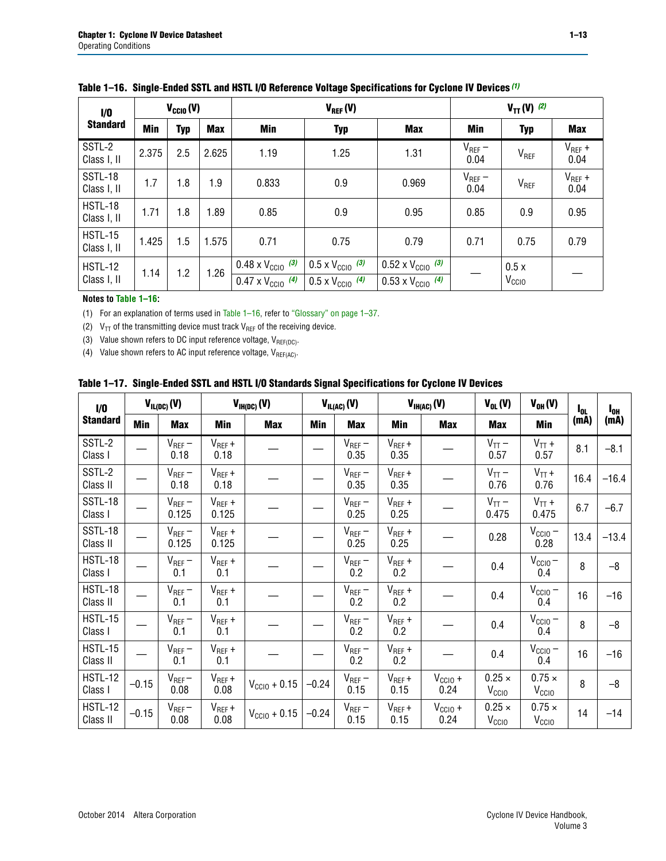| 1/0                           | $V_{CGI0}(V)$ |            |            |                                                                        | $V_{REF}(V)$                                                         | $V_{TT} (V)$ (2)                                                       |                     |                           |                     |
|-------------------------------|---------------|------------|------------|------------------------------------------------------------------------|----------------------------------------------------------------------|------------------------------------------------------------------------|---------------------|---------------------------|---------------------|
| <b>Standard</b>               | Min           | <b>Typ</b> | <b>Max</b> | Min                                                                    | <b>Typ</b>                                                           | <b>Max</b>                                                             | Min                 | <b>Typ</b>                | <b>Max</b>          |
| SSTL-2<br>Class I, II         | 2.375         | 2.5        | 2.625      | 1.19                                                                   | 1.25                                                                 | 1.31                                                                   | $V_{REF}$ –<br>0.04 | V <sub>REF</sub>          | $V_{REF}$ +<br>0.04 |
| SSTL-18<br>Class I, II        | 1.7           | 1.8        | 1.9        | 0.833                                                                  | 0.9                                                                  | 0.969                                                                  | $V_{REF}$ –<br>0.04 | V <sub>REF</sub>          | $V_{REF}$ +<br>0.04 |
| HSTL-18<br>Class I, II        | 1.71          | 1.8        | 1.89       | 0.85                                                                   | 0.9                                                                  | 0.95                                                                   | 0.85                | 0.9                       | 0.95                |
| <b>HSTL-15</b><br>Class I, II | 1.425         | 1.5        | 1.575      | 0.71                                                                   | 0.79<br>0.75                                                         |                                                                        | 0.71                | 0.75                      | 0.79                |
| <b>HSTL-12</b><br>Class I, II | 1.14          | 1.2        | 1.26       | $0.48 \times V_{\text{CC10}}$ (3)<br>$0.47 \times V_{\text{CC10}}$ (4) | $0.5 \times V_{\text{CC10}}$ (3)<br>$0.5 \times V_{\text{CC10}}$ (4) | $0.52 \times V_{\text{CC10}}$ (3)<br>$0.53 \times V_{\text{CC10}}$ (4) |                     | 0.5x<br>V <sub>CCIO</sub> |                     |

<span id="page-12-4"></span>

|  |  |  |  | Table 1–16. Single-Ended SSTL and HSTL I/O Reference Voltage Specifications for Cyclone IV Devices (1) |
|--|--|--|--|--------------------------------------------------------------------------------------------------------|
|--|--|--|--|--------------------------------------------------------------------------------------------------------|

#### **Notes to [Table 1–16:](#page-12-4)**

<span id="page-12-0"></span>(1) For an explanation of terms used in [Table 1–16](#page-12-4), refer to ["Glossary" on page 1–37](#page-36-1).

<span id="page-12-1"></span>(2)  $V_{TT}$  of the transmitting device must track  $V_{REF}$  of the receiving device.

<span id="page-12-2"></span>(3) Value shown refers to DC input reference voltage,  $V_{REF(DC)}$ .

<span id="page-12-3"></span>(4) Value shown refers to AC input reference voltage,  $V_{REF(AC)}$ .

|  | Table 1–17.  Single-Ended SSTL and HSTL I/O Standards Signal Specifications for Cyclone IV Devices |  |  |  |  |  |
|--|----------------------------------------------------------------------------------------------------|--|--|--|--|--|
|--|----------------------------------------------------------------------------------------------------|--|--|--|--|--|

| I/O                        |         | $V_{IL(DC)}(V)$        |                                      | $V_{IH(DC)}(V)$       |         | $V_{IL(AC)}(V)$     |                     | $V_{IH(AC)}(V)$      |                                    | $V_{OH} (V)$                       | l <sub>ol</sub> | $I_{0H}$ |
|----------------------------|---------|------------------------|--------------------------------------|-----------------------|---------|---------------------|---------------------|----------------------|------------------------------------|------------------------------------|-----------------|----------|
| <b>Standard</b>            | Min     | <b>Max</b>             | Min                                  | <b>Max</b>            | Min     | <b>Max</b>          | Min                 | <b>Max</b>           | <b>Max</b>                         | Min                                | (mA)            | (mA)     |
| SSTL-2<br>Class I          |         | $\rm V_{REF}-$<br>0.18 | $V_{REF} +$<br>0.18                  |                       |         | $V_{REF}$ –<br>0.35 | $V_{REF} +$<br>0.35 |                      | $V_{TT}$ –<br>0.57                 | $V_{TT}$ +<br>0.57                 | 8.1             | $-8.1$   |
| SSTL-2<br>Class II         |         | $V_{REF}$ –<br>0.18    | $V_{REF} +$<br>0.18                  |                       |         | $V_{REF}$ –<br>0.35 | $V_{REF} +$<br>0.35 |                      | $V_{TT}$ –<br>0.76                 | $V_{TT}$ +<br>0.76                 | 16.4            | $-16.4$  |
| <b>SSTL-18</b><br>Class I  |         | $V_{REF}$ –<br>0.125   | $V_{REF}$ +<br>0.125                 |                       |         | $V_{REF}$ –<br>0.25 | $V_{REF}$ +<br>0.25 |                      | $V_{TT}$ –<br>0.475                | $V_{TT}$ +<br>0.475                | 6.7             | $-6.7$   |
| <b>SSTL-18</b><br>Class II |         | $V_{REF}$ –<br>0.125   | $V_{REF}$ +<br>0.125                 |                       |         | $V_{REF}$ –<br>0.25 | $V_{REF}$ +<br>0.25 |                      | 0.28                               | $V_{CC10}$ –<br>0.28               | 13.4            | $-13.4$  |
| HSTL-18<br>Class I         |         | $V_{REF}$ –<br>0.1     | $V_{REF} +$<br>0.1                   |                       |         | $V_{REF}$ –<br>0.2  | $V_{REF}$ +<br>0.2  |                      | 0.4                                | $V_{CCIO}$ –<br>0.4                | 8               | $-8$     |
| HSTL-18<br>Class II        |         | $V_{REF}$ –<br>0.1     | $V_{REF} +$<br>0.1                   |                       |         | $V_{REF}$ –<br>0.2  | $V_{REF} +$<br>0.2  |                      | 0.4                                | $V_{CC10}$ –<br>0.4                | 16              | $-16$    |
| HSTL-15<br>Class I         |         | $V_{REF}$ –<br>0.1     | $V_{REF} +$<br>0.1                   |                       |         | $V_{REF}$ –<br>0.2  | $V_{REF}$ +<br>0.2  |                      | 0.4                                | $V_{\text{CC1O}} -$<br>0.4         | 8               | $-8$     |
| HSTL-15<br>Class II        |         | $V_{REF}$ –<br>0.1     | $\mathsf{V}_{\mathsf{REF}}$ +<br>0.1 |                       |         | $V_{REF}$ –<br>0.2  | $V_{REF}$ +<br>0.2  |                      | 0.4                                | $V_{CC10}$ –<br>0.4                | 16              | $-16$    |
| <b>HSTL-12</b><br>Class I  | $-0.15$ | $V_{REF}-$<br>0.08     | $V_{REF} +$<br>0.08                  | $V_{CGI0} + 0.15$     | $-0.24$ | $V_{REF}$ –<br>0.15 | $V_{REF} +$<br>0.15 | $V_{CCIO} +$<br>0.24 | $0.25 \times$<br>V <sub>CCIO</sub> | $0.75 \times$<br>V <sub>CCIO</sub> | 8               | $-8$     |
| HSTL-12<br>Class II        | $-0.15$ | $V_{REF}$ –<br>0.08    | $V_{REF} +$<br>0.08                  | $V_{\rm CClO} + 0.15$ | $-0.24$ | $V_{REF}$ –<br>0.15 | $V_{REF} +$<br>0.15 | $V_{CC10}$ +<br>0.24 | $0.25 \times$<br>V <sub>CCIO</sub> | $0.75 \times$<br>V <sub>CCIO</sub> | 14              | $-14$    |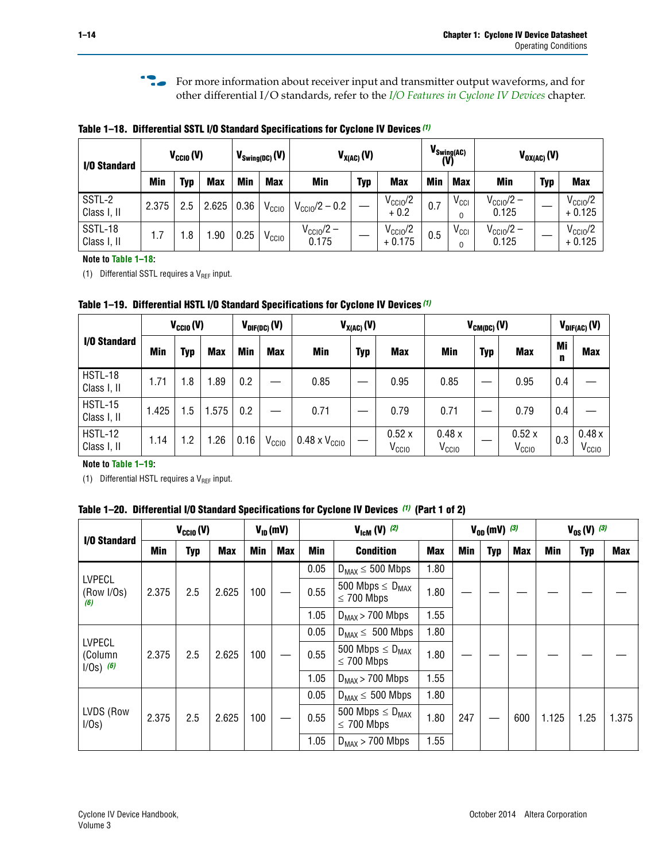**f For more information about receiver input and transmitter output waveforms, and for** other differential I/O standards, refer to the *[I/O Features in Cyclone IV Devices](http://www.altera.com/literature/hb/cyclone-iv/cyiv-51006.pdf)* chapter*.*

<span id="page-13-1"></span>**Table 1–18. Differential SSTL I/O Standard Specifications for Cyclone IV Devices** *[\(1\)](#page-13-3)*

| I/O Standard           |            | $V_{\text{CCIO}}(V)$ |            | $V_{\text{Swing(DC)}}(V)$ |                   |                                | $V_{X(AC)}(V)$ |                                 | (V)        | $V_{\text{Swing}(AC)}$ | $V_{OX(AC)}(V)$                |            |                                 |
|------------------------|------------|----------------------|------------|---------------------------|-------------------|--------------------------------|----------------|---------------------------------|------------|------------------------|--------------------------------|------------|---------------------------------|
|                        | <b>Min</b> | Typ                  | <b>Max</b> | <b>Min</b>                | <b>Max</b>        | <b>Min</b>                     | <b>Typ</b>     | <b>Max</b>                      | <b>Min</b> | <b>Max</b>             | Min                            | <b>Typ</b> | <b>Max</b>                      |
| SSTL-2<br>Class I, II  | 2.375      | 2.5                  | 2.625      | 0.36                      | V <sub>CCIO</sub> | $V_{\rm CClO}$ /2 – 0.2        |                | $V_{\text{CC10}}/2$<br>$+0.2$   | 0.7        | $V_{\text{CCI}}$       | $V_{\text{CC10}}/2 -$<br>0.125 |            | $V_{\text{CC10}}/2$<br>$+0.125$ |
| SSTL-18<br>Class I, II | 1.7        | .8                   | .90        | 0.25                      | V <sub>CCIO</sub> | $V_{\text{CC10}}/2 -$<br>0.175 |                | $V_{\text{CC10}}/2$<br>$+0.175$ | 0.5        | $V_{\text{CCI}}$       | $V_{\text{CC10}}/2 -$<br>0.125 |            | $V_{\text{CC10}}/2$<br>$+0.125$ |

#### **Note to [Table 1–18:](#page-13-1)**

<span id="page-13-3"></span>(1) Differential SSTL requires a  $V_{REF}$  input.

<span id="page-13-2"></span>**Table 1–19. Differential HSTL I/O Standard Specifications for Cyclone IV Devices** *[\(1\)](#page-13-4)*

|                               | $V_{CClO}(V)$ |     |            | $V_{\text{DIF(DC)}}(V)$ |                   | $V_{X(AC)}(V)$                |            |                            | $V_{CM(DC)}(V)$            |            |                            |         | $V_{\text{DIF(AC)}}(V)$    |  |  |
|-------------------------------|---------------|-----|------------|-------------------------|-------------------|-------------------------------|------------|----------------------------|----------------------------|------------|----------------------------|---------|----------------------------|--|--|
| I/O Standard                  | Min           | Typ | <b>Max</b> | Min                     | <b>Max</b>        | Min                           | <b>Typ</b> | <b>Max</b>                 | Min                        | <b>Typ</b> | <b>Max</b>                 | Mi<br>n | <b>Max</b>                 |  |  |
| HSTL-18<br>Class I, II        | 1.71          | 1.8 | .89        | 0.2                     |                   | 0.85                          |            | 0.95                       | 0.85                       |            | 0.95                       | 0.4     |                            |  |  |
| <b>HSTL-15</b><br>Class I, II | 1.425         | 1.5 | .575       | $0.2\,$                 |                   | 0.71                          |            | 0.79                       | 0.71                       |            | 0.79                       | 0.4     |                            |  |  |
| <b>HSTL-12</b><br>Class I, II | 1.14          | 1.2 | 1.26       | 0.16                    | V <sub>CCIO</sub> | $0.48 \times V_{\text{CC10}}$ |            | 0.52x<br>V <sub>CCIO</sub> | 0.48x<br>V <sub>CCIO</sub> |            | 0.52x<br>V <sub>CCIO</sub> | 0.3     | 0.48x<br>V <sub>CCIO</sub> |  |  |

#### **Note to [Table 1–19:](#page-13-2)**

<span id="page-13-4"></span>(1) Differential HSTL requires a  $V_{REF}$  input.

<span id="page-13-0"></span>**Table 1–20. Differential I/O Standard Specifications for Cyclone IV Devices** *[\(1\)](#page-14-0)* **(Part 1 of 2)**

| I/O Standard                            |       | $V_{CCl0} (V)$ |                                                                   |                         | $V_{ID}$ (mV)           |                                                             | $V_{\text{lcm}}(V)^{(2)}$                  |      |     | $V_{0D}$ (mV) $(3)$ |     | $V_{0S} (V)^{(3)}$ |      |       |
|-----------------------------------------|-------|----------------|-------------------------------------------------------------------|-------------------------|-------------------------|-------------------------------------------------------------|--------------------------------------------|------|-----|---------------------|-----|--------------------|------|-------|
|                                         | Min   | Typ            | <b>Min</b><br><b>Max</b><br>Min<br><b>Condition</b><br><b>Max</b> |                         | <b>Max</b>              | Min                                                         | Typ                                        | Max  | Min | <b>Typ</b>          | Max |                    |      |       |
|                                         |       |                |                                                                   |                         |                         | 0.05                                                        | 1.80<br>$D_{MAX} \leq 500$ Mbps            |      |     |                     |     |                    |      |       |
| <b>LVPECL</b><br>(Row I/Os)<br>(6)      | 2.375 | 2.5            | 2.625                                                             | 100                     |                         | 500 Mbps $\leq$ D <sub>MAX</sub><br>0.55<br>$\leq$ 700 Mbps |                                            | 1.80 |     |                     |     |                    |      |       |
|                                         |       |                |                                                                   |                         |                         | 1.05                                                        | $D_{MAX}$ > 700 Mbps                       |      |     |                     |     |                    |      |       |
|                                         |       | 0.05           |                                                                   | $D_{MAX} \leq 500$ Mbps | 1.80                    |                                                             |                                            |      |     |                     |     |                    |      |       |
| <b>LVPECL</b><br>(Column<br>$1/Os)$ (6) | 2.375 | 2.5            | 0.55<br>2.625<br>100<br>$\leq$ 700 Mbps                           |                         | 500 Mbps $\leq D_{MAX}$ | 1.80                                                        |                                            |      |     |                     |     |                    |      |       |
|                                         |       |                |                                                                   |                         |                         | 1.05                                                        | $D_{MAX}$ > 700 Mbps                       | 1.55 |     |                     |     |                    |      |       |
|                                         |       |                |                                                                   |                         |                         | 0.05                                                        | $D_{MAX} \leq 500$ Mbps                    | 1.80 |     |                     |     |                    |      |       |
| LVDS (Row<br>I/Os)                      | 2.375 | 2.5            | 2.625                                                             | 100                     |                         | 0.55                                                        | 500 Mbps $\leq D_{MAX}$<br>$\leq 700$ Mbps | 1.80 | 247 |                     | 600 | 1.125              | 1.25 | 1.375 |
|                                         |       |                |                                                                   |                         |                         | 1.05                                                        | $D_{MAX}$ > 700 Mbps                       | 1.55 |     |                     |     |                    |      |       |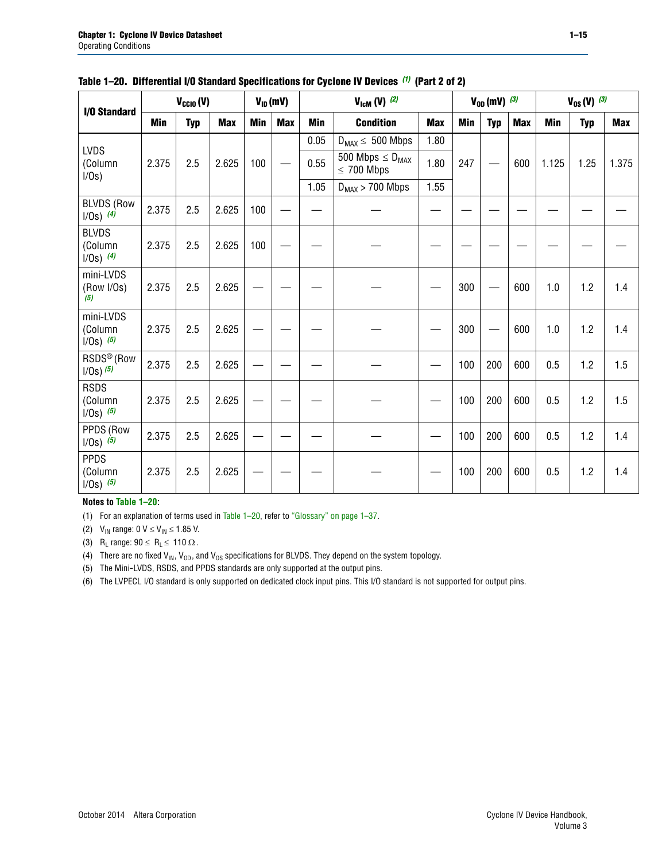| <b>I/O Standard</b>                      |            | $V_{CClO}(V)$ |            | $V_{ID}(mV)$ |            | $V_{\text{ICM}}(V)$ (2) |                                            |            |     | $V_{OD}$ (mV) $(3)$ |            | $V_{0S} (V)$ (3) |            |            |
|------------------------------------------|------------|---------------|------------|--------------|------------|-------------------------|--------------------------------------------|------------|-----|---------------------|------------|------------------|------------|------------|
|                                          | <b>Min</b> | <b>Typ</b>    | <b>Max</b> | <b>Min</b>   | <b>Max</b> | <b>Min</b>              | <b>Condition</b>                           | <b>Max</b> | Min | <b>Typ</b>          | <b>Max</b> | <b>Min</b>       | <b>Typ</b> | <b>Max</b> |
| <b>LVDS</b>                              |            |               |            |              |            | 0.05                    | $D_{MAX} \leq 500$ Mbps                    | 1.80       |     |                     |            |                  |            |            |
| (Column<br>I/Os)                         | 2.375      | 2.5           | 2.625      | 100          |            | 0.55                    | 500 Mbps $\leq D_{MAX}$<br>$\leq 700$ Mbps | 1.80       | 247 |                     | 600        | 1.125            | 1.25       | 1.375      |
|                                          |            |               |            |              |            | 1.05                    | $D_{MAX}$ > 700 Mbps                       | 1.55       |     |                     |            |                  |            |            |
| <b>BLVDS (Row</b><br>$1/0s)$ (4)         | 2.375      | 2.5           | 2.625      | 100          |            |                         |                                            |            |     |                     |            |                  |            |            |
| <b>BLVDS</b><br>(Column<br>$1/0s)$ (4)   | 2.375      | 2.5           | 2.625      | 100          |            |                         |                                            |            |     |                     |            |                  |            |            |
| mini-LVDS<br>(Row I/Os)<br>(5)           | 2.375      | 2.5           | 2.625      |              |            |                         |                                            |            | 300 |                     | 600        | 1.0              | 1.2        | 1.4        |
| mini-LVDS<br>(Column<br>$1/0s)$ (5)      | 2.375      | 2.5           | 2.625      |              |            |                         |                                            |            | 300 |                     | 600        | 1.0              | 1.2        | 1.4        |
| RSDS <sup>®</sup> (Row<br>$1/0s$ ) $(5)$ | 2.375      | 2.5           | 2.625      |              |            |                         |                                            |            | 100 | 200                 | 600        | 0.5              | 1.2        | 1.5        |
| <b>RSDS</b><br>(Column<br>$1/Os)$ (5)    | 2.375      | 2.5           | 2.625      |              |            |                         |                                            |            | 100 | 200                 | 600        | 0.5              | 1.2        | 1.5        |
| PPDS (Row<br>$1/Os)$ (5)                 | 2.375      | 2.5           | 2.625      |              |            |                         |                                            |            | 100 | 200                 | 600        | 0.5              | 1.2        | 1.4        |
| <b>PPDS</b><br>(Column<br>$1/0s)$ (5)    | 2.375      | 2.5           | 2.625      |              |            |                         |                                            |            | 100 | 200                 | 600        | 0.5              | 1.2        | 1.4        |

#### **Table 1–20. Differential I/O Standard Specifications for Cyclone IV Devices** *(1)* **(Part 2 of 2)**

#### **Notes to [Table 1–20:](#page-13-0)**

<span id="page-14-0"></span>(1) For an explanation of terms used in [Table 1–20](#page-13-0), refer to ["Glossary" on page 1–37](#page-36-1).

<span id="page-14-1"></span>(2)  $V_{IN}$  range: 0  $V \le V_{IN} \le 1.85$  V.

<span id="page-14-2"></span>(3) R<sub>L</sub> range:  $90 \le R_L \le 110 \Omega$ .

<span id="page-14-4"></span>(4) There are no fixed  $V_{IN}$ ,  $V_{OD}$ , and  $V_{OS}$  specifications for BLVDS. They depend on the system topology.

<span id="page-14-5"></span>(5) The Mini-LVDS, RSDS, and PPDS standards are only supported at the output pins.

<span id="page-14-3"></span>(6) The LVPECL I/O standard is only supported on dedicated clock input pins. This I/O standard is not supported for output pins.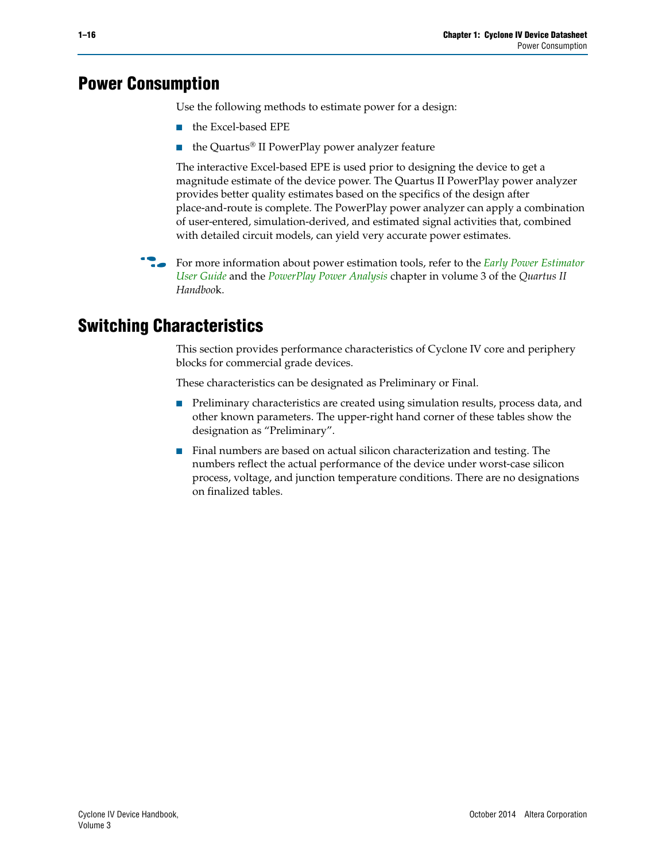# <span id="page-15-0"></span>**Power Consumption**

Use the following methods to estimate power for a design:

- the Excel-based EPE
- the Quartus® II PowerPlay power analyzer feature

The interactive Excel-based EPE is used prior to designing the device to get a magnitude estimate of the device power. The Quartus II PowerPlay power analyzer provides better quality estimates based on the specifics of the design after place-and-route is complete. The PowerPlay power analyzer can apply a combination of user-entered, simulation-derived, and estimated signal activities that, combined with detailed circuit models, can yield very accurate power estimates.

**For more information about power estimation tools, refer to the** *Early Power Estimator* **<b>For a** *[User Guide](http://www.altera.com/literature/ug/ug_epe.pdf
)* and the *[PowerPlay Power Analysis](http://www.altera.com/literature/hb/qts/qts_qii53013.pdf)* chapter in volume 3 of the *Quartus II Handboo*k.

# <span id="page-15-1"></span>**Switching Characteristics**

This section provides performance characteristics of Cyclone IV core and periphery blocks for commercial grade devices.

These characteristics can be designated as Preliminary or Final.

- Preliminary characteristics are created using simulation results, process data, and other known parameters. The upper-right hand corner of these tables show the designation as "Preliminary".
- Final numbers are based on actual silicon characterization and testing. The numbers reflect the actual performance of the device under worst-case silicon process, voltage, and junction temperature conditions. There are no designations on finalized tables.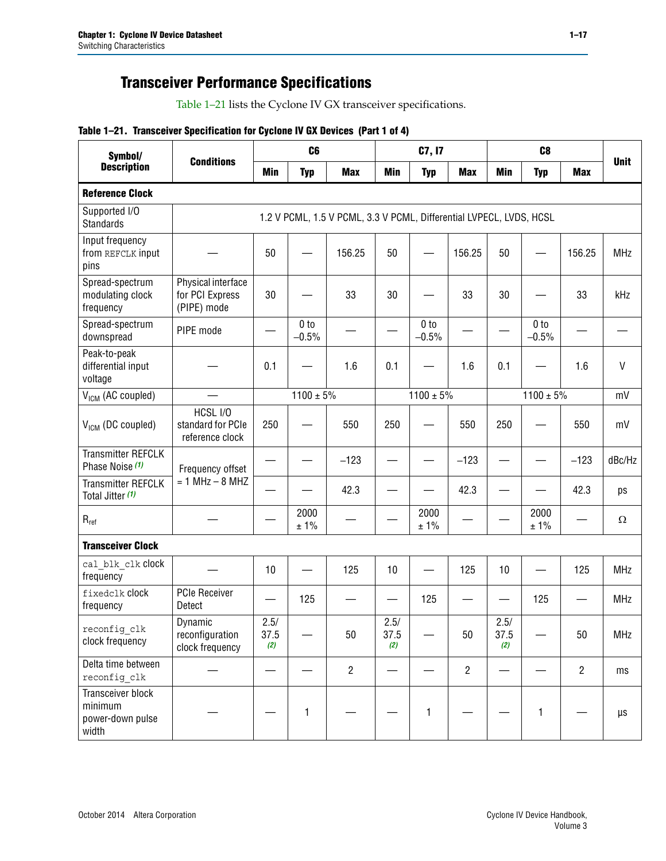# **Transceiver Performance Specifications**

Table 1–21 lists the Cyclone IV GX transceiver specifications.

#### **Table 1–21. Transceiver Specification for Cyclone IV GX Devices (Part 1 of 4)**

| Symbol/                                                   |                                                      |                     | C <sub>6</sub>             |                                                                     |                     | C7, I7                     |                | C <sub>8</sub>      |                            |                |              |
|-----------------------------------------------------------|------------------------------------------------------|---------------------|----------------------------|---------------------------------------------------------------------|---------------------|----------------------------|----------------|---------------------|----------------------------|----------------|--------------|
| <b>Description</b>                                        | <b>Conditions</b>                                    | <b>Min</b>          | <b>Typ</b>                 | <b>Max</b>                                                          | <b>Min</b>          | <b>Typ</b>                 | <b>Max</b>     | <b>Min</b>          | <b>Typ</b>                 | <b>Max</b>     | <b>Unit</b>  |
| <b>Reference Clock</b>                                    |                                                      |                     |                            |                                                                     |                     |                            |                |                     |                            |                |              |
| Supported I/O<br><b>Standards</b>                         |                                                      |                     |                            | 1.2 V PCML, 1.5 V PCML, 3.3 V PCML, Differential LVPECL, LVDS, HCSL |                     |                            |                |                     |                            |                |              |
| Input frequency<br>from REFCLK input<br>pins              |                                                      | 50                  |                            | 156.25                                                              | 50                  |                            | 156.25         | 50                  |                            | 156.25         | <b>MHz</b>   |
| Spread-spectrum<br>modulating clock<br>frequency          | Physical interface<br>for PCI Express<br>(PIPE) mode | 30                  |                            | 33                                                                  | 30                  |                            | 33             | 30                  |                            | 33             | kHz          |
| Spread-spectrum<br>downspread                             | PIPE mode                                            |                     | 0 <sub>to</sub><br>$-0.5%$ |                                                                     |                     | 0 <sub>to</sub><br>$-0.5%$ |                |                     | 0 <sub>to</sub><br>$-0.5%$ |                |              |
| Peak-to-peak<br>differential input<br>voltage             |                                                      | 0.1                 |                            | 1.6                                                                 | 0.1                 |                            | 1.6            | 0.1                 |                            | 1.6            | $\mathsf{V}$ |
| V <sub>ICM</sub> (AC coupled)                             |                                                      |                     | $1100 \pm 5\%$             |                                                                     |                     | $1100 \pm 5\%$             |                |                     | $1100 \pm 5\%$             |                | mV           |
| V <sub>ICM</sub> (DC coupled)                             | HCSL I/O<br>standard for PCIe<br>reference clock     | 250                 |                            | 550                                                                 | 250                 |                            | 550            | 250                 |                            | 550            | mV           |
| <b>Transmitter REFCLK</b><br>Phase Noise (1)              | Frequency offset                                     |                     |                            | $-123$                                                              |                     |                            | $-123$         |                     |                            | $-123$         | dBc/Hz       |
| <b>Transmitter REFCLK</b><br>Total Jitter (1)             | $= 1$ MHz $- 8$ MHZ                                  |                     |                            | 42.3                                                                |                     |                            | 42.3           |                     |                            | 42.3           | ps           |
| $\mathsf{R}_{\mathsf{ref}}$                               |                                                      |                     | 2000<br>± 1%               |                                                                     |                     | 2000<br>± 1%               |                |                     | 2000<br>± 1%               |                | Ω            |
| <b>Transceiver Clock</b>                                  |                                                      |                     |                            |                                                                     |                     |                            |                |                     |                            |                |              |
| cal blk clk clock<br>frequency                            |                                                      | 10                  |                            | 125                                                                 | 10                  |                            | 125            | 10                  |                            | 125            | <b>MHz</b>   |
| fixedclk clock<br>frequency                               | <b>PCIe Receiver</b><br>Detect                       |                     | 125                        |                                                                     |                     | 125                        | —              |                     | 125                        |                | <b>MHz</b>   |
| reconfig_clk<br>clock frequency                           | Dynamic<br>reconfiguration<br>clock frequency        | 2.5/<br>37.5<br>(2) |                            | 50                                                                  | 2.5/<br>37.5<br>(2) |                            | 50             | 2.5/<br>37.5<br>(2) |                            | 50             | MHz          |
| Delta time between<br>reconfig clk                        |                                                      |                     |                            | $\overline{2}$                                                      |                     |                            | $\overline{2}$ |                     |                            | $\overline{2}$ | ms           |
| Transceiver block<br>minimum<br>power-down pulse<br>width |                                                      |                     | 1                          |                                                                     |                     | 1                          |                |                     | 1                          |                | μs           |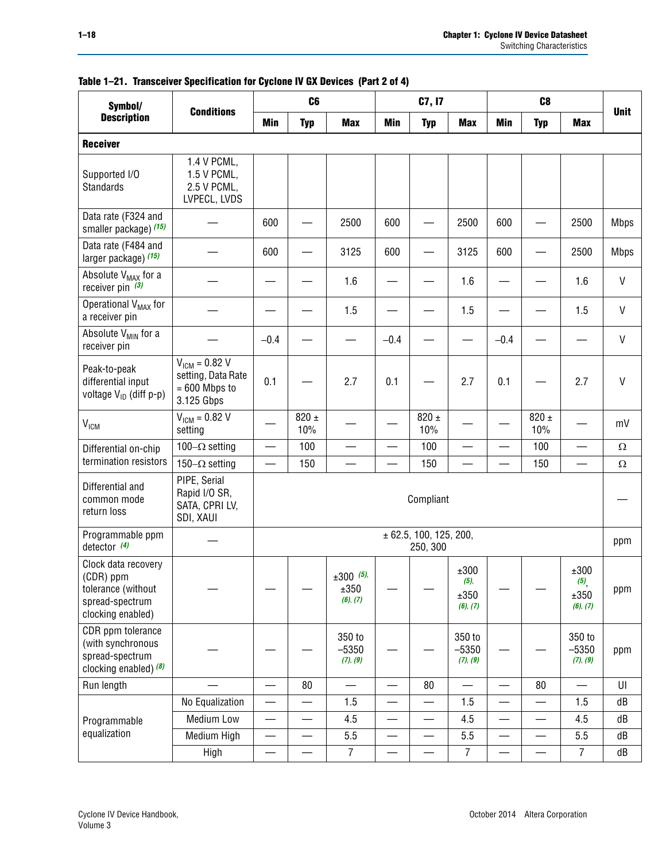| Symbol/                                                                                        |                                                                           |                          | C <sub>6</sub>   |                                 |                          | C7, I7                             |                                     |                          | C <sub>8</sub>           |                                                    |              |
|------------------------------------------------------------------------------------------------|---------------------------------------------------------------------------|--------------------------|------------------|---------------------------------|--------------------------|------------------------------------|-------------------------------------|--------------------------|--------------------------|----------------------------------------------------|--------------|
| <b>Description</b>                                                                             | <b>Conditions</b>                                                         | Min                      | <b>Typ</b>       | <b>Max</b>                      | <b>Min</b>               | <b>Typ</b>                         | <b>Max</b>                          | Min                      | <b>Typ</b>               | <b>Max</b>                                         | <b>Unit</b>  |
| <b>Receiver</b>                                                                                |                                                                           |                          |                  |                                 |                          |                                    |                                     |                          |                          |                                                    |              |
| Supported I/O<br>Standards                                                                     | 1.4 V PCML,<br>1.5 V PCML,<br>2.5 V PCML,<br>LVPECL, LVDS                 |                          |                  |                                 |                          |                                    |                                     |                          |                          |                                                    |              |
| Data rate (F324 and<br>smaller package) (15)                                                   |                                                                           | 600                      |                  | 2500                            | 600                      |                                    | 2500                                | 600                      |                          | 2500                                               | <b>Mbps</b>  |
| Data rate (F484 and<br>larger package) (15)                                                    |                                                                           | 600                      |                  | 3125                            | 600                      |                                    | 3125                                | 600                      |                          | 2500                                               | <b>Mbps</b>  |
| Absolute V <sub>MAX</sub> for a<br>receiver pin $(3)$                                          |                                                                           |                          |                  | 1.6                             |                          |                                    | 1.6                                 |                          |                          | 1.6                                                | $\mathsf{V}$ |
| Operational V <sub>MAX</sub> for<br>a receiver pin                                             |                                                                           |                          |                  | 1.5                             |                          |                                    | 1.5                                 |                          |                          | 1.5                                                | V            |
| Absolute V <sub>MIN</sub> for a<br>receiver pin                                                |                                                                           | $-0.4$                   |                  |                                 | $-0.4$                   |                                    |                                     | $-0.4$                   |                          |                                                    | V            |
| Peak-to-peak<br>differential input<br>voltage V <sub>ID</sub> (diff p-p)                       | $V_{IGM} = 0.82 V$<br>setting, Data Rate<br>$= 600$ Mbps to<br>3.125 Gbps | 0.1                      |                  | 2.7                             | 0.1                      |                                    | 2.7                                 | 0.1                      |                          | 2.7                                                | $\mathsf{V}$ |
| V <sub>ICM</sub>                                                                               | $V_{IGM} = 0.82 V$<br>setting                                             |                          | $820 \pm$<br>10% |                                 |                          | $820 \pm$<br>10%                   |                                     |                          | $820 \pm$<br>10%         |                                                    | mV           |
| Differential on-chip                                                                           | 100 $-\Omega$ setting                                                     |                          | 100              |                                 |                          | 100                                |                                     |                          | 100                      |                                                    | $\Omega$     |
| termination resistors                                                                          | 150 $-\Omega$ setting                                                     |                          | 150              |                                 |                          | 150                                |                                     |                          | 150                      |                                                    | $\Omega$     |
| Differential and<br>common mode<br>return loss                                                 | PIPE, Serial<br>Rapid I/O SR,<br>SATA, CPRI LV,<br>SDI, XAUI              |                          |                  |                                 |                          | Compliant                          |                                     |                          |                          |                                                    |              |
| Programmable ppm<br>detector $(4)$                                                             |                                                                           |                          |                  |                                 |                          | ± 62.5, 100, 125, 200,<br>250, 300 |                                     |                          |                          |                                                    | ppm          |
| Clock data recovery<br>(CDR) ppm<br>tolerance (without<br>spread-spectrum<br>clocking enabled) |                                                                           |                          |                  | $±300$ (5),<br>±350<br>(6), (7) |                          |                                    | ±300<br>$(5)$ ,<br>±350<br>(6), (7) |                          |                          | ±300<br>$\left( 5\right) _{,}$<br>±350<br>(6), (7) | ppm          |
| CDR ppm tolerance<br>(with synchronous<br>spread-spectrum<br>clocking enabled) (8)             |                                                                           |                          |                  | 350 to<br>$-5350$<br>(7), (9)   |                          |                                    | 350 to<br>$-5350$<br>(7), (9)       |                          |                          | 350 to<br>$-5350$<br>(7), (9)                      | ppm          |
| Run length                                                                                     |                                                                           | $\equiv$                 | 80               | $\qquad \qquad$                 |                          | 80                                 | $\overline{\phantom{0}}$            | $\overline{\phantom{0}}$ | 80                       | $\equiv$                                           | UI           |
|                                                                                                | No Equalization                                                           | —                        |                  | 1.5                             | $\overline{\phantom{a}}$ |                                    | 1.5                                 |                          | $\overline{\phantom{0}}$ | 1.5                                                | dB           |
| Programmable                                                                                   | Medium Low                                                                |                          |                  | 4.5                             |                          |                                    | 4.5                                 |                          |                          | 4.5                                                | dB           |
| equalization                                                                                   | Medium High                                                               | $\overline{\phantom{0}}$ | —                | 5.5                             | —                        | $\qquad \qquad \qquad$             | 5.5                                 |                          | $\overline{\phantom{0}}$ | 5.5                                                | dB           |
|                                                                                                | High                                                                      |                          |                  | $\overline{7}$                  |                          |                                    | $\boldsymbol{7}$                    |                          | $\overline{\phantom{0}}$ | $\overline{7}$                                     | dB           |

**Table 1–21. Transceiver Specification for Cyclone IV GX Devices (Part 2 of 4)**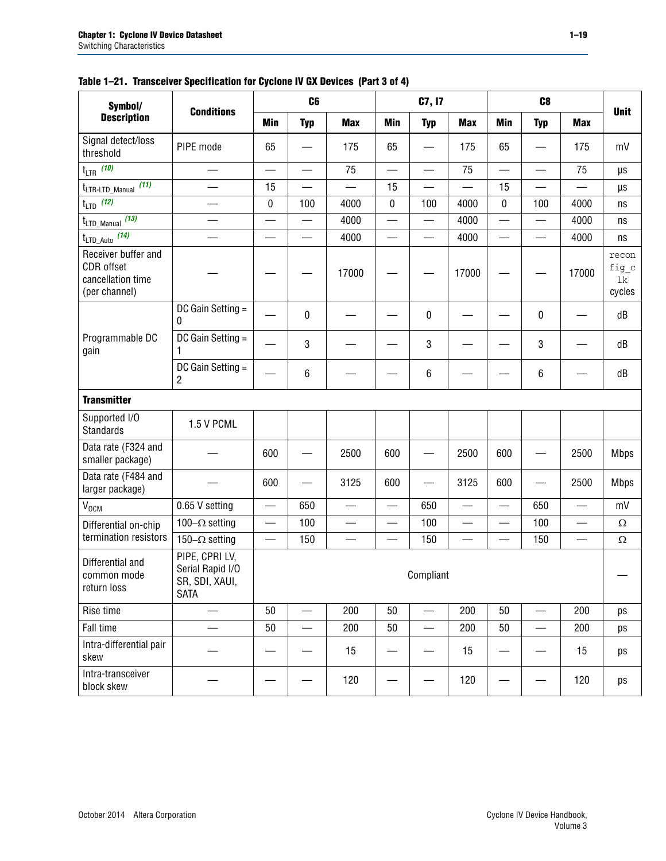| Symbol/                                                                 |                                                                     |                          | C <sub>6</sub>           |                          |            | C7, I7                   |                          |                          | C <sub>8</sub>           |                          |                                |
|-------------------------------------------------------------------------|---------------------------------------------------------------------|--------------------------|--------------------------|--------------------------|------------|--------------------------|--------------------------|--------------------------|--------------------------|--------------------------|--------------------------------|
| <b>Description</b>                                                      | <b>Conditions</b>                                                   | <b>Min</b>               | <b>Typ</b>               | <b>Max</b>               | <b>Min</b> | <b>Typ</b>               | <b>Max</b>               | <b>Min</b>               | <b>Typ</b>               | <b>Max</b>               | <b>Unit</b>                    |
| Signal detect/loss<br>threshold                                         | PIPE mode                                                           | 65                       |                          | 175                      | 65         |                          | 175                      | 65                       |                          | 175                      | mV                             |
| $t_{LTR}$ (10)                                                          |                                                                     | $\overline{\phantom{0}}$ | $\overline{\phantom{0}}$ | 75                       | <u>e a</u> |                          | 75                       | $\overline{\phantom{0}}$ | $\sim$                   | 75                       | μs                             |
| (11)<br>tLTR-LTD_Manual                                                 | $\overline{\phantom{0}}$                                            | 15                       |                          | $\overline{\phantom{0}}$ | 15         |                          | —                        | 15                       | $\equiv$                 |                          | μs                             |
| (12)<br>$t_{\text{LTD}}$                                                |                                                                     | 0                        | 100                      | 4000                     | 0          | 100                      | 4000                     | $\pmb{0}$                | 100                      | 4000                     | ns                             |
| $t_{\text{LTD\_Manual}}$ (13)                                           |                                                                     | $\overline{\phantom{0}}$ | $\overline{\phantom{0}}$ | 4000                     |            | $\overline{\phantom{0}}$ | 4000                     |                          | $\overline{\phantom{0}}$ | 4000                     | ns                             |
| $t_{\text{LTD\_Auto}}$ (14)                                             |                                                                     | $\overline{\phantom{0}}$ | $\overline{\phantom{a}}$ | 4000                     | —          |                          | 4000                     | $\overline{\phantom{0}}$ | —                        | 4000                     | ns                             |
| Receiver buffer and<br>CDR offset<br>cancellation time<br>(per channel) |                                                                     |                          |                          | 17000                    |            |                          | 17000                    |                          |                          | 17000                    | recon<br>fig_c<br>lk<br>cycles |
|                                                                         | DC Gain Setting =<br>0                                              |                          | 0                        |                          |            | 0                        |                          |                          | 0                        |                          | dB                             |
| Programmable DC<br>gain                                                 | DC Gain Setting =<br>1                                              |                          | 3                        |                          |            | 3                        |                          |                          | 3                        |                          | dB                             |
|                                                                         | DC Gain Setting =<br>$\overline{c}$                                 |                          | 6                        |                          |            | 6                        |                          |                          | 6                        |                          | dB                             |
| <b>Transmitter</b>                                                      |                                                                     |                          |                          |                          |            |                          |                          |                          |                          |                          |                                |
| Supported I/O<br><b>Standards</b>                                       | 1.5 V PCML                                                          |                          |                          |                          |            |                          |                          |                          |                          |                          |                                |
| Data rate (F324 and<br>smaller package)                                 |                                                                     | 600                      |                          | 2500                     | 600        |                          | 2500                     | 600                      |                          | 2500                     | <b>Mbps</b>                    |
| Data rate (F484 and<br>larger package)                                  |                                                                     | 600                      |                          | 3125                     | 600        |                          | 3125                     | 600                      |                          | 2500                     | <b>Mbps</b>                    |
| V <sub>OCM</sub>                                                        | 0.65 V setting                                                      | —                        | 650                      |                          | —          | 650                      |                          |                          | 650                      |                          | mV                             |
| Differential on-chip                                                    | 100 $-\Omega$ setting                                               | $\overline{\phantom{0}}$ | 100                      | $\overline{\phantom{0}}$ | $\equiv$   | 100                      | $\overline{\phantom{0}}$ | —                        | 100                      | $\overline{\phantom{0}}$ | $\Omega$                       |
| termination resistors                                                   | 150 $-\Omega$ setting                                               | $\overline{\phantom{0}}$ | 150                      |                          |            | 150                      |                          |                          | 150                      |                          | $\Omega$                       |
| Differential and<br>common mode<br>return loss                          | PIPE, CPRI LV,<br>Serial Rapid I/O<br>SR, SDI, XAUI,<br><b>SATA</b> |                          |                          |                          |            | Compliant                |                          |                          |                          |                          |                                |
| Rise time                                                               |                                                                     | 50                       |                          | 200                      | 50         | $\overline{\phantom{0}}$ | 200                      | 50                       | —                        | 200                      | ps                             |
| Fall time                                                               |                                                                     | 50                       |                          | 200                      | 50         |                          | 200                      | 50                       |                          | 200                      | ps                             |
| Intra-differential pair<br>skew                                         |                                                                     |                          |                          | 15                       |            |                          | 15                       |                          |                          | 15                       | ps                             |
| Intra-transceiver<br>block skew                                         |                                                                     |                          |                          | 120                      |            |                          | 120                      |                          |                          | 120                      | ps                             |

#### **Table 1–21. Transceiver Specification for Cyclone IV GX Devices (Part 3 of 4)**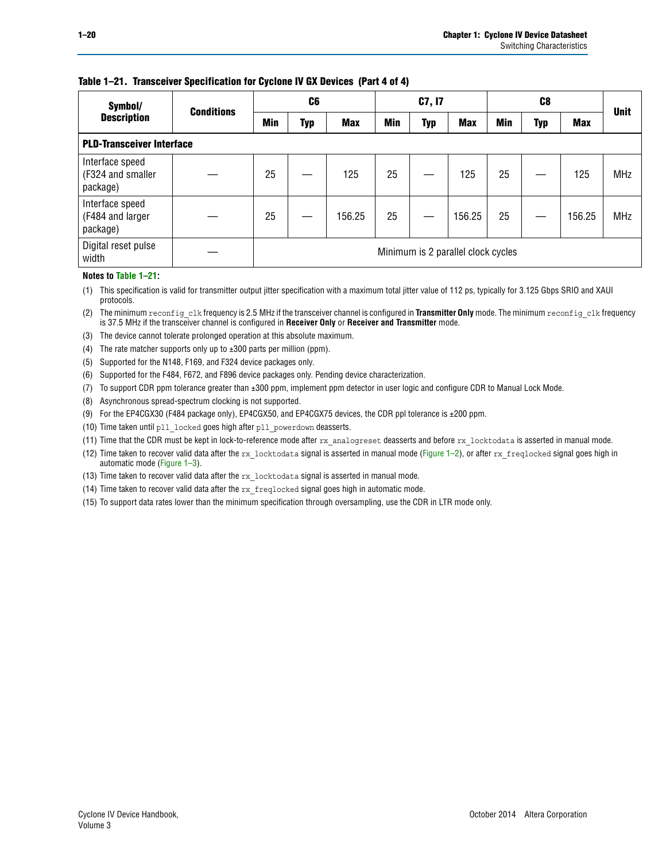#### **Table 1–21. Transceiver Specification for Cyclone IV GX Devices (Part 4 of 4)**

| Symbol/                                          | <b>Conditions</b> | C <sub>6</sub>                     |     |            | C7, I7 |            |            |     |     | <b>Unit</b> |            |
|--------------------------------------------------|-------------------|------------------------------------|-----|------------|--------|------------|------------|-----|-----|-------------|------------|
| <b>Description</b>                               |                   | Min                                | Typ | <b>Max</b> | Min    | <b>Typ</b> | <b>Max</b> | Min | Typ | <b>Max</b>  |            |
| <b>PLD-Transceiver Interface</b>                 |                   |                                    |     |            |        |            |            |     |     |             |            |
| Interface speed<br>(F324 and smaller<br>package) |                   | 25                                 |     | 125        | 25     |            | 125        | 25  |     | 125         | <b>MHz</b> |
| Interface speed<br>(F484 and larger<br>package)  |                   | 25                                 |     | 156.25     | 25     |            | 156.25     | 25  |     | 156.25      | <b>MHz</b> |
| Digital reset pulse<br>width                     |                   | Minimum is 2 parallel clock cycles |     |            |        |            |            |     |     |             |            |

#### **Notes to Table 1–21:**

<span id="page-19-0"></span>(1) This specification is valid for transmitter output jitter specification with a maximum total jitter value of 112 ps, typically for 3.125 Gbps SRIO and XAUI protocols.

(2) The minimum reconfig\_clk frequency is 2.5 MHz if the transceiver channel is configured in **Transmitter Only** mode. The minimum reconfig\_clk frequency is 37.5 MHz if the transceiver channel is configured in **Receiver Only** or **Receiver and Transmitter** mode.

- (3) The device cannot tolerate prolonged operation at this absolute maximum.
- (4) The rate matcher supports only up to  $\pm 300$  parts per million (ppm).
- (5) Supported for the N148, F169, and F324 device packages only.
- (6) Supported for the F484, F672, and F896 device packages only. Pending device characterization.
- (7) To support CDR ppm tolerance greater than ±300 ppm, implement ppm detector in user logic and configure CDR to Manual Lock Mode.
- (8) Asynchronous spread-spectrum clocking is not supported.
- <span id="page-19-2"></span>(9) For the EP4CGX30 (F484 package only), EP4CGX50, and EP4CGX75 devices, the CDR ppl tolerance is ±200 ppm.
- (10) Time taken until pll\_locked goes high after pll\_powerdown deasserts.
- (11) Time that the CDR must be kept in lock-to-reference mode after rx analogreset deasserts and before rx locktodata is asserted in manual mode.

(12) Time taken to recover valid data after the rx locktodata signal is asserted in manual mode ([Figure 1–2](#page-20-0)), or after rx freqlocked signal goes high in automatic mode [\(Figure 1–3](#page-20-1)).

(13) Time taken to recover valid data after the rx locktodata signal is asserted in manual mode.

- (14) Time taken to recover valid data after the rx\_freqlocked signal goes high in automatic mode.
- <span id="page-19-1"></span>(15) To support data rates lower than the minimum specification through oversampling, use the CDR in LTR mode only.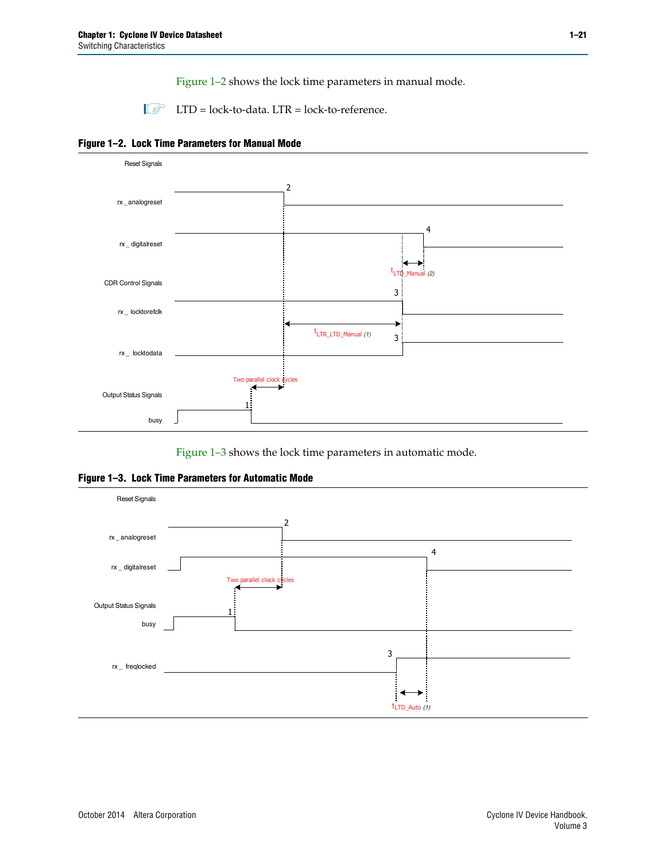[Figure 1–2](#page-20-0) shows the lock time parameters in manual mode.

 $\Box$  LTD = lock-to-data. LTR = lock-to-reference.

<span id="page-20-0"></span>



[Figure 1–3](#page-20-1) shows the lock time parameters in automatic mode.

<span id="page-20-1"></span>**Figure 1–3. Lock Time Parameters for Automatic Mode**

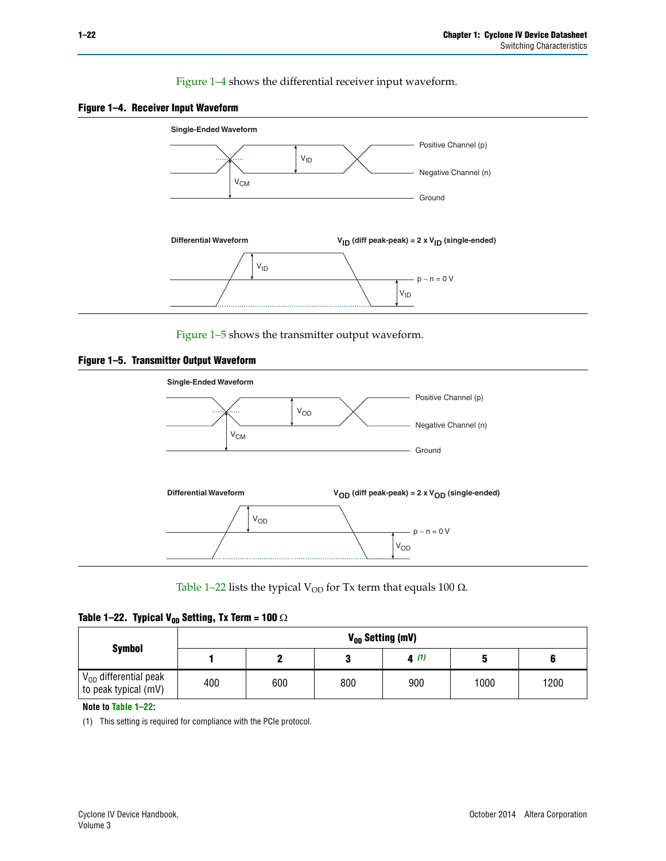[Figure 1–4](#page-21-0) shows the differential receiver input waveform.

<span id="page-21-0"></span>



[Figure 1–5](#page-21-2) shows the transmitter output waveform.

<span id="page-21-2"></span>



[Table 1–22](#page-21-3) lists the typical V<sub>OD</sub> for Tx term that equals 100  $\Omega$ .

<span id="page-21-3"></span>

|  | Table 1–22. Typical V <sub>0D</sub> Setting, Tx Term = 100 $\Omega$ |  |  |  |
|--|---------------------------------------------------------------------|--|--|--|
|--|---------------------------------------------------------------------|--|--|--|

|                                                        |     |     |     | V <sub>op</sub> Setting (mV) |      |      |
|--------------------------------------------------------|-----|-----|-----|------------------------------|------|------|
| Symbol                                                 |     |     |     | 4(1)                         |      |      |
| $\rm V_{OD}$ differential peak<br>to peak typical (mV) | 400 | 600 | 800 | 900                          | 1000 | 1200 |

**Note to [Table 1–22:](#page-21-3)**

<span id="page-21-1"></span>(1) This setting is required for compliance with the PCIe protocol.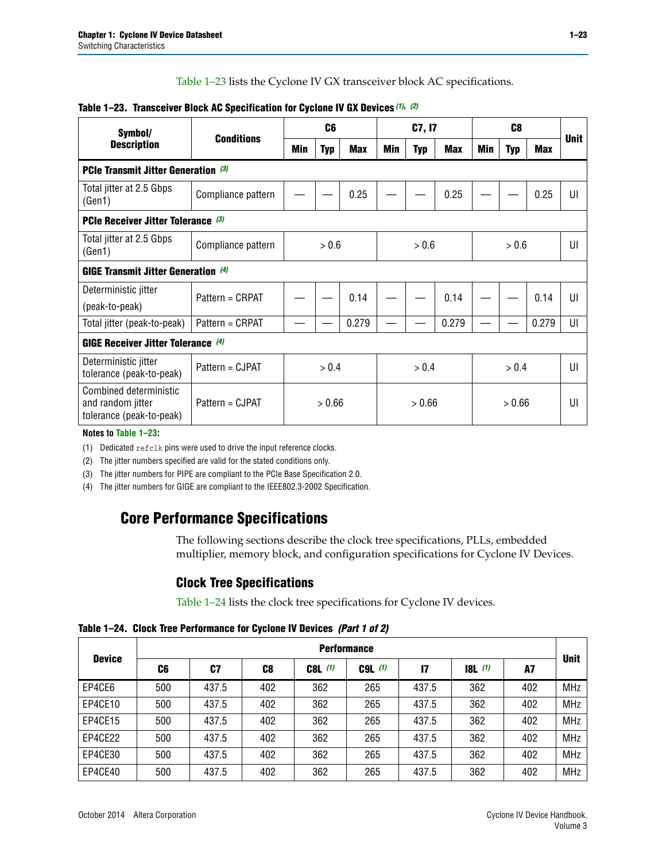[Table 1–23](#page-22-0) lists the Cyclone IV GX transceiver block AC specifications.

| Symbol/                                                                 |                    |        | C <sub>6</sub> |            | C7, I7 |            |            | C <sub>8</sub> |            |            |             |
|-------------------------------------------------------------------------|--------------------|--------|----------------|------------|--------|------------|------------|----------------|------------|------------|-------------|
| <b>Description</b>                                                      | <b>Conditions</b>  | Min    | <b>Typ</b>     | <b>Max</b> | Min    | <b>Typ</b> | <b>Max</b> | Min            | <b>Typ</b> | <b>Max</b> | <b>Unit</b> |
| PCIe Transmit Jitter Generation (3)                                     |                    |        |                |            |        |            |            |                |            |            |             |
| Total jitter at 2.5 Gbps<br>(Gen1)                                      | Compliance pattern |        |                | 0.25       |        |            | 0.25       |                |            | 0.25       | UI          |
| <b>PCIe Receiver Jitter Tolerance (3)</b>                               |                    |        |                |            |        |            |            |                |            |            |             |
| Total jitter at 2.5 Gbps<br>(Gen1)                                      | Compliance pattern |        | > 0.6          |            |        | > 0.6      |            |                | > 0.6      |            | UI          |
| <b>GIGE Transmit Jitter Generation (4)</b>                              |                    |        |                |            |        |            |            |                |            |            |             |
| Deterministic jitter                                                    | Pattern = CRPAT    |        |                | 0.14       |        |            | 0.14       |                |            | 0.14       | UI          |
| (peak-to-peak)                                                          |                    |        |                |            |        |            |            |                |            |            |             |
| Total jitter (peak-to-peak)                                             | Pattern = CRPAT    |        |                | 0.279      |        |            | 0.279      |                |            | 0.279      | UI          |
| GIGE Receiver Jitter Tolerance (4)                                      |                    |        |                |            |        |            |            |                |            |            |             |
| Deterministic jitter<br>tolerance (peak-to-peak)                        | Pattern = CJPAT    |        | > 0.4          |            | > 0.4  |            |            |                | > 0.4      |            | UI          |
| Combined deterministic<br>and random jitter<br>tolerance (peak-to-peak) | Pattern = CJPAT    | > 0.66 |                |            | > 0.66 |            |            | > 0.66         |            |            | UI          |

#### <span id="page-22-0"></span>**Table 1–23. Transceiver Block AC Specification for Cyclone IV GX Devices** *[\(1\)](#page-22-1)***,** *[\(2\)](#page-22-2)*

**Notes to [Table 1–23:](#page-22-0)**

<span id="page-22-1"></span>(1) Dedicated refclk pins were used to drive the input reference clocks.

<span id="page-22-2"></span>(2) The jitter numbers specified are valid for the stated conditions only.

<span id="page-22-3"></span>(3) The jitter numbers for PIPE are compliant to the PCIe Base Specification 2.0.

<span id="page-22-4"></span>(4) The jitter numbers for GIGE are compliant to the IEEE802.3-2002 Specification.

### **Core Performance Specifications**

The following sections describe the clock tree specifications, PLLs, embedded multiplier, memory block, and configuration specifications for Cyclone IV Devices.

### **Clock Tree Specifications**

[Table 1–24](#page-22-5) lists the clock tree specifications for Cyclone IV devices.

<span id="page-22-5"></span>**Table 1–24. Clock Tree Performance for Cyclone IV Devices** *(Part 1 of 2)*

|               | <b>Performance</b> |       |                |           |             |              |                  |     |             |  |  |  |  |
|---------------|--------------------|-------|----------------|-----------|-------------|--------------|------------------|-----|-------------|--|--|--|--|
| <b>Device</b> | C6                 | C7    | C <sub>8</sub> | $C8L$ (1) | $C9L$ $(1)$ | $\mathbf{I}$ | <b>18L</b> $(1)$ | A7  | <b>Unit</b> |  |  |  |  |
| EP4CE6        | 500                | 437.5 | 402            | 362       | 265         | 437.5        | 362              | 402 | <b>MHz</b>  |  |  |  |  |
| EP4CE10       | 500                | 437.5 | 402            | 362       | 265         | 437.5        | 362              | 402 | <b>MHz</b>  |  |  |  |  |
| EP4CE15       | 500                | 437.5 | 402            | 362       | 265         | 437.5        | 362              | 402 | <b>MHz</b>  |  |  |  |  |
| EP4CE22       | 500                | 437.5 | 402            | 362       | 265         | 437.5        | 362              | 402 | <b>MHz</b>  |  |  |  |  |
| EP4CE30       | 500                | 437.5 | 402            | 362       | 265         | 437.5        | 362              | 402 | <b>MHz</b>  |  |  |  |  |
| EP4CE40       | 500                | 437.5 | 402            | 362       | 265         | 437.5        | 362              | 402 | <b>MHz</b>  |  |  |  |  |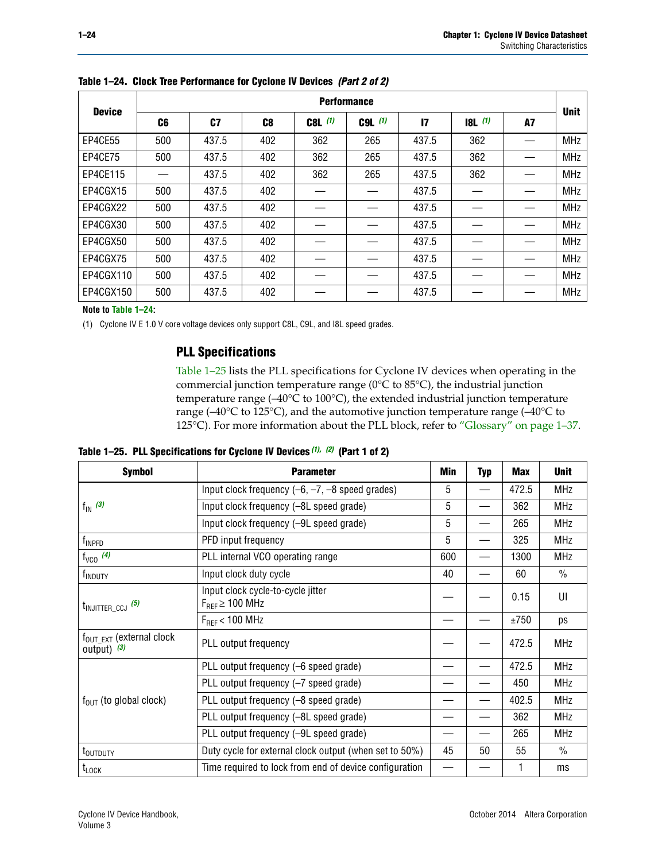|               |                | <b>Performance</b> |                |           |             |              |           |    |             |  |  |  |  |  |  |
|---------------|----------------|--------------------|----------------|-----------|-------------|--------------|-----------|----|-------------|--|--|--|--|--|--|
| <b>Device</b> | C <sub>6</sub> | C7                 | C <sub>8</sub> | $C8L$ (1) | $C9L$ $(1)$ | $\mathbf{I}$ | $18L$ (1) | A7 | <b>Unit</b> |  |  |  |  |  |  |
| EP4CE55       | 500            | 437.5              | 402            | 362       | 265         | 437.5        | 362       |    | <b>MHz</b>  |  |  |  |  |  |  |
| EP4CE75       | 500            | 437.5              | 402            | 362       | 265         | 437.5        | 362       |    | <b>MHz</b>  |  |  |  |  |  |  |
| EP4CE115      |                | 437.5              | 402            | 362       | 265         | 437.5        | 362       |    | <b>MHz</b>  |  |  |  |  |  |  |
| EP4CGX15      | 500            | 437.5              | 402            |           |             | 437.5        |           |    | <b>MHz</b>  |  |  |  |  |  |  |
| EP4CGX22      | 500            | 437.5              | 402            |           |             | 437.5        |           |    | <b>MHz</b>  |  |  |  |  |  |  |
| EP4CGX30      | 500            | 437.5              | 402            |           |             | 437.5        |           |    | <b>MHz</b>  |  |  |  |  |  |  |
| EP4CGX50      | 500            | 437.5              | 402            |           |             | 437.5        |           |    | <b>MHz</b>  |  |  |  |  |  |  |
| EP4CGX75      | 500            | 437.5              | 402            |           |             | 437.5        |           |    | <b>MHz</b>  |  |  |  |  |  |  |
| EP4CGX110     | 500            | 437.5              | 402            |           |             | 437.5        |           |    | <b>MHz</b>  |  |  |  |  |  |  |
| EP4CGX150     | 500            | 437.5              | 402            |           |             | 437.5        |           |    | <b>MHz</b>  |  |  |  |  |  |  |

**Table 1–24. Clock Tree Performance for Cyclone IV Devices** *(Part 2 of 2)*

**Note to [Table 1–24:](#page-22-5)**

<span id="page-23-0"></span>(1) Cyclone IV E 1.0 V core voltage devices only support C8L, C9L, and I8L speed grades.

### **PLL Specifications**

[Table 1–25](#page-23-1) lists the PLL specifications for Cyclone IV devices when operating in the commercial junction temperature range (0°C to 85°C), the industrial junction temperature range (–40°C to 100°C), the extended industrial junction temperature range (–40°C to 125°C), and the automotive junction temperature range (–40°C to 125°C). For more information about the PLL block, refer to ["Glossary" on page 1–37.](#page-36-1)

<span id="page-23-1"></span>**Table 1–25. PLL Specifications for Cyclone IV Devices** *[\(1\),](#page-24-0) [\(2\)](#page-24-1)* **(Part 1 of 2)**

| <b>Symbol</b>                                          | <b>Parameter</b>                                            | Min | <b>Typ</b>               | <b>Max</b> | <b>Unit</b>   |
|--------------------------------------------------------|-------------------------------------------------------------|-----|--------------------------|------------|---------------|
|                                                        | Input clock frequency $(-6, -7, -8)$ speed grades)          | 5   | $\overline{\phantom{0}}$ | 472.5      | <b>MHz</b>    |
| $f_{\text{IN}}(3)$                                     | Input clock frequency (-8L speed grade)                     | 5   |                          | 362        | <b>MHz</b>    |
|                                                        | Input clock frequency (-9L speed grade)                     | 5   |                          | 265        | <b>MHz</b>    |
| f <sub>INPFD</sub>                                     | PFD input frequency                                         | 5   |                          | 325        | <b>MHz</b>    |
| $f_{VCO}$ (4)                                          | PLL internal VCO operating range                            | 600 |                          | 1300       | <b>MHz</b>    |
| f <sub>INDUTY</sub>                                    | Input clock duty cycle                                      | 40  |                          | 60         | $\frac{0}{0}$ |
| $t_{\text{INJITTER\_CCJ}}$ (5)                         | Input clock cycle-to-cycle jitter<br>$F_{REF} \geq 100$ MHz |     |                          | 0.15       | UI            |
|                                                        | $F_{RFF}$ < 100 MHz                                         |     |                          | ±750       | ps            |
| $f_{\text{OUT\_EXT}}$ (external clock<br>output) $(3)$ | PLL output frequency                                        |     |                          | 472.5      | <b>MHz</b>    |
|                                                        | PLL output frequency (-6 speed grade)                       |     |                          | 472.5      | <b>MHz</b>    |
|                                                        | PLL output frequency (-7 speed grade)                       |     |                          | 450        | <b>MHz</b>    |
| $f_{OUT}$ (to global clock)                            | PLL output frequency (-8 speed grade)                       |     |                          | 402.5      | <b>MHz</b>    |
|                                                        | PLL output frequency (-8L speed grade)                      |     |                          | 362        | <b>MHz</b>    |
|                                                        | PLL output frequency (-9L speed grade)                      |     |                          | 265        | <b>MHz</b>    |
| t <sub>outputy</sub>                                   | Duty cycle for external clock output (when set to 50%)      | 45  | 50                       | 55         | $\frac{0}{0}$ |
| $t_{\text{LOCK}}$                                      | Time required to lock from end of device configuration      |     |                          |            | ms            |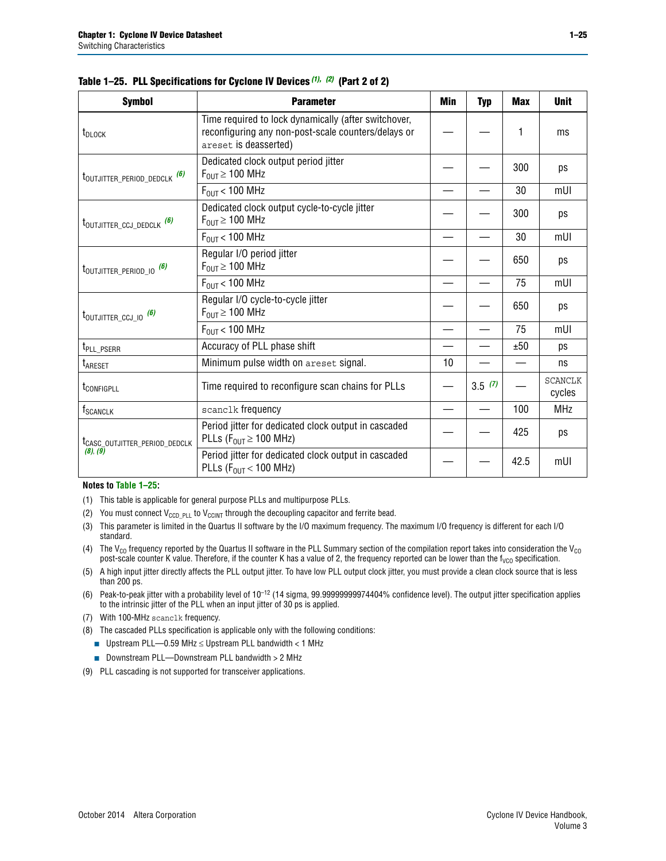| <b>Symbol</b>                             | <b>Parameter</b>                                                                                                                     | Min | <b>Typ</b> | <b>Max</b> | <b>Unit</b>              |
|-------------------------------------------|--------------------------------------------------------------------------------------------------------------------------------------|-----|------------|------------|--------------------------|
| t <sub>DLOCK</sub>                        | Time required to lock dynamically (after switchover,<br>reconfiguring any non-post-scale counters/delays or<br>areset is deasserted) |     |            | 1          | ms                       |
| t <sub>outjitter_period_dedclk</sub> (6)  | Dedicated clock output period jitter<br>$F_{\text{OUT}} \geq 100 \text{ MHz}$                                                        |     |            | 300        | ps                       |
|                                           | $F_{OUT}$ < 100 MHz                                                                                                                  |     |            | 30         | mUI                      |
| t <sub>outjitter_ccj_dedclk</sub> (6)     | Dedicated clock output cycle-to-cycle jitter<br>$F_{OUT} \geq 100$ MHz                                                               |     |            | 300        | ps                       |
|                                           | $F_{\text{OUT}}$ < 100 MHz                                                                                                           |     |            | 30         | mUI                      |
| t <sub>outjitter_period_io</sub> (6)      | Regular I/O period jitter<br>$F_{\text{OUT}} \geq 100 \text{ MHz}$                                                                   |     |            | 650        | ps                       |
|                                           | $F_{\text{OUT}}$ < 100 MHz                                                                                                           |     |            | 75         | mUI                      |
| $t_{\text{OUTJITTER\_CCJ\_IO}}$ (6)       | Regular I/O cycle-to-cycle jitter<br>$F_{\text{OUT}} \geq 100 \text{ MHz}$                                                           |     |            | 650        | ps                       |
|                                           | $F_{\text{OUT}}$ < 100 MHz                                                                                                           |     |            | 75         | mUI                      |
| t <sub>PLL_PSERR</sub>                    | Accuracy of PLL phase shift                                                                                                          |     |            | ±50        | ps                       |
| t <sub>ARESET</sub>                       | Minimum pulse width on areset signal.                                                                                                | 10  |            |            | ns                       |
| t <sub>configpll</sub>                    | Time required to reconfigure scan chains for PLLs                                                                                    |     | 3.5(7)     |            | <b>SCANCLK</b><br>cycles |
| f <sub>SCANCLK</sub>                      | scanclk frequency                                                                                                                    |     |            | 100        | <b>MHz</b>               |
| t <sub>CASC_OUTJITTER_PERIOD_DEDCLK</sub> | Period jitter for dedicated clock output in cascaded<br>PLLs ( $F_{OUT} \ge 100$ MHz)                                                |     |            | 425        | ps                       |
| (8), (9)                                  | Period jitter for dedicated clock output in cascaded<br>PLLs ( $F_{OUT}$ < 100 MHz)                                                  |     |            | 42.5       | mUI                      |

|  |  | Table 1–25. PLL Specifications for Cyclone IV Devices (1), (2) (Part 2 of 2) |  |
|--|--|------------------------------------------------------------------------------|--|
|--|--|------------------------------------------------------------------------------|--|

#### **Notes to [Table 1–25:](#page-23-1)**

- <span id="page-24-0"></span>(1) This table is applicable for general purpose PLLs and multipurpose PLLs.
- <span id="page-24-1"></span>(2) You must connect  $V_{CCD-PLL}$  to  $V_{CCINT}$  through the decoupling capacitor and ferrite bead.
- <span id="page-24-2"></span>(3) This parameter is limited in the Quartus II software by the I/O maximum frequency. The maximum I/O frequency is different for each I/O standard.
- <span id="page-24-3"></span>(4) The  $V_{CO}$  frequency reported by the Quartus II software in the PLL Summary section of the compilation report takes into consideration the  $V_{CO}$ post-scale counter K value. Therefore, if the counter K has a value of 2, the frequency reported can be lower than the f<sub>VCO</sub> specification.
- <span id="page-24-4"></span>(5) A high input jitter directly affects the PLL output jitter. To have low PLL output clock jitter, you must provide a clean clock source that is less than 200 ps.
- <span id="page-24-5"></span>(6) Peak-to-peak jitter with a probability level of 10–12 (14 sigma, 99.99999999974404% confidence level). The output jitter specification applies to the intrinsic jitter of the PLL when an input jitter of 30 ps is applied.
- <span id="page-24-6"></span>(7) With 100-MHz scanclk frequency.
- <span id="page-24-7"></span>(8) The cascaded PLLs specification is applicable only with the following conditions:
	- Upstream PLL—0.59 MHz  $≤$  Upstream PLL bandwidth  $<$  1 MHz
	- Downstream PLL—Downstream PLL bandwidth > 2 MHz
- <span id="page-24-8"></span>(9) PLL cascading is not supported for transceiver applications.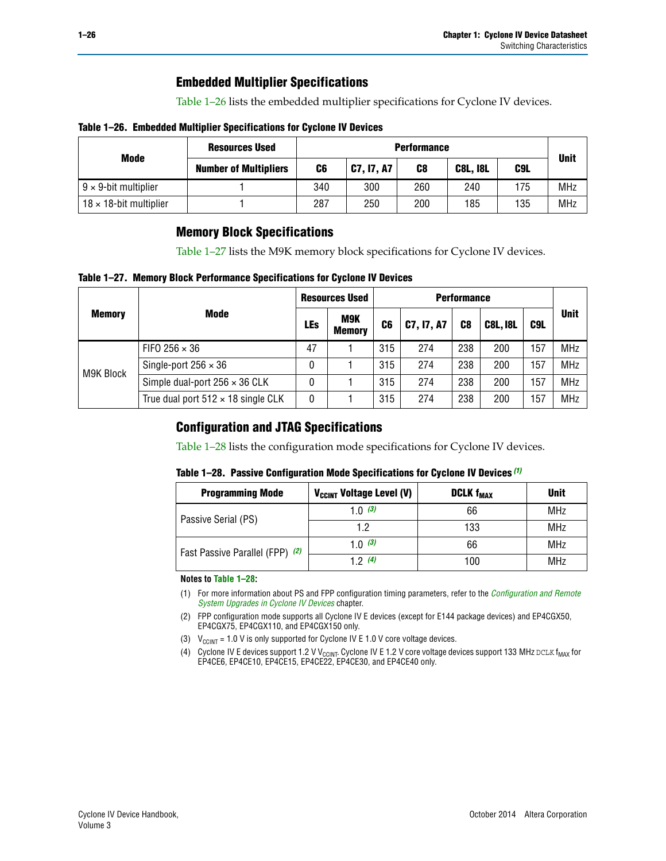### **Embedded Multiplier Specifications**

[Table 1–26](#page-25-1) lists the embedded multiplier specifications for Cyclone IV devices.

#### <span id="page-25-1"></span>**Table 1–26. Embedded Multiplier Specifications for Cyclone IV Devices**

|                                | <b>Resources Used</b>        |     | <b>Performance</b> |     |                 |     |             |  |  |  |  |  |
|--------------------------------|------------------------------|-----|--------------------|-----|-----------------|-----|-------------|--|--|--|--|--|
| Mode                           | <b>Number of Multipliers</b> | C6  | <b>C7, 17, A7</b>  | C8  | <b>C8L, I8L</b> | C9L | <b>Unit</b> |  |  |  |  |  |
| $9 \times 9$ -bit multiplier   |                              | 340 | 300                | 260 | 240             | 175 | <b>MHz</b>  |  |  |  |  |  |
| $18 \times 18$ -bit multiplier |                              | 287 | 250                | 200 | 185             | 135 | <b>MHz</b>  |  |  |  |  |  |

### **Memory Block Specifications**

[Table 1–27](#page-25-2) lists the M9K memory block specifications for Cyclone IV devices.

#### <span id="page-25-2"></span>**Table 1–27. Memory Block Performance Specifications for Cyclone IV Devices**

|               |                                           |            | <b>Resources Used</b> |                |            |     |                 |     |             |
|---------------|-------------------------------------------|------------|-----------------------|----------------|------------|-----|-----------------|-----|-------------|
| <b>Memory</b> | <b>Mode</b>                               | <b>LEs</b> | M9K<br><b>Memory</b>  | C <sub>6</sub> | C7, I7, A7 | C8  | <b>C8L, I8L</b> | C9L | <b>Unit</b> |
|               | FIFO 256 $\times$ 36                      | 47         |                       | 315            | 274        | 238 | 200             | 157 | <b>MHz</b>  |
|               | Single-port $256 \times 36$               | 0          |                       | 315            | 274        | 238 | 200             | 157 | <b>MHz</b>  |
| M9K Block     | Simple dual-port $256 \times 36$ CLK      | 0          |                       | 315            | 274        | 238 | 200             | 157 | <b>MHz</b>  |
|               | True dual port $512 \times 18$ single CLK | 0          |                       | 315            | 274        | 238 | 200             | 157 | <b>MHz</b>  |

### **Configuration and JTAG Specifications**

[Table 1–28](#page-25-3) lists the configuration mode specifications for Cyclone IV devices.

#### <span id="page-25-3"></span>**Table 1–28. Passive Configuration Mode Specifications for Cyclone IV Devices** *[\(1\)](#page-25-6)*

| <b>Programming Mode</b>         | V <sub>CCINT</sub> Voltage Level (V) | <b>DCLK f<sub>MAX</sub></b> | <b>Unit</b> |
|---------------------------------|--------------------------------------|-----------------------------|-------------|
| Passive Serial (PS)             | 1.0 $(3)$                            | 66                          | <b>MHz</b>  |
|                                 | 1.2                                  | 133                         | MHz         |
| Fast Passive Parallel (FPP) (2) | 1.0 $(3)$                            | 66                          | MHz         |
|                                 | 12(4)                                | 100                         | MHz         |

#### **Notes to [Table 1–28:](#page-25-3)**

- <span id="page-25-6"></span>(1) For more information about PS and FPP configuration timing parameters, refer to the *[Configuration and Remote](http://www.altera.com/literature/hb/cyclone-iv/cyiv-51008.pdf)  [System Upgrades in Cyclone IV Devices](http://www.altera.com/literature/hb/cyclone-iv/cyiv-51008.pdf)* chapter.
- <span id="page-25-5"></span>(2) FPP configuration mode supports all Cyclone IV E devices (except for E144 package devices) and EP4CGX50, EP4CGX75, EP4CGX110, and EP4CGX150 only.
- <span id="page-25-0"></span>(3)  $V_{CCMT}$  = 1.0 V is only supported for Cyclone IV E 1.0 V core voltage devices.
- <span id="page-25-4"></span>(4) Cyclone IV E devices support 1.2 V V<sub>CCINT</sub>. Cyclone IV E 1.2 V core voltage devices support 133 MHz DCLK f<sub>MAX</sub> for EP4CE6, EP4CE10, EP4CE15, EP4CE22, EP4CE30, and EP4CE40 only.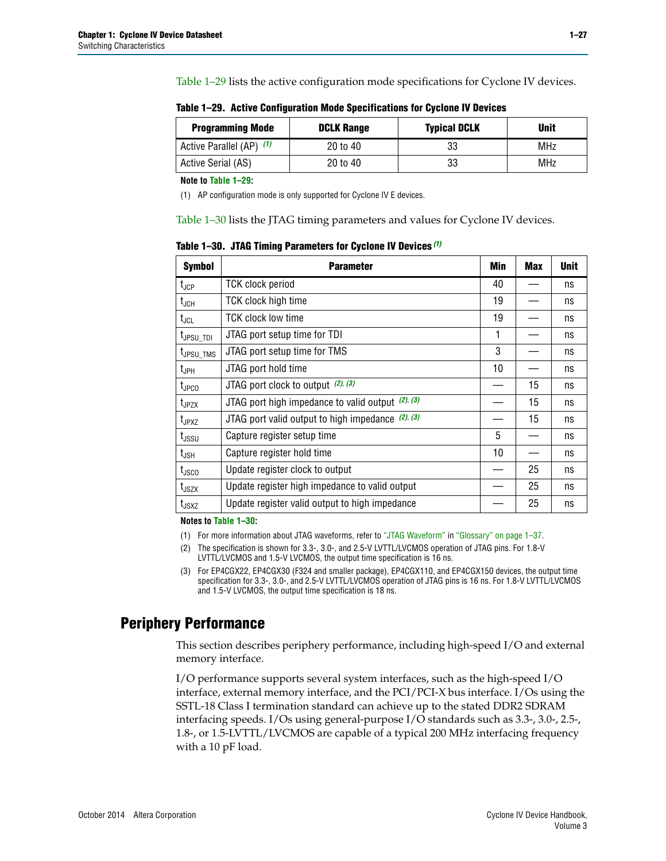[Table 1–29](#page-26-0) lists the active configuration mode specifications for Cyclone IV devices.

| <b>Programming Mode</b>  | <b>DCLK Range</b> | <b>Typical DCLK</b> | <b>Unit</b> |
|--------------------------|-------------------|---------------------|-------------|
| Active Parallel (AP) (1) | 20 to 40          | 33                  | <b>MHz</b>  |
| Active Serial (AS)       | 20 to 40          | 33                  | MHz         |

<span id="page-26-0"></span>**Table 1–29. Active Configuration Mode Specifications for Cyclone IV Devices**

**Note to [Table 1–29:](#page-26-0)**

<span id="page-26-1"></span>(1) AP configuration mode is only supported for Cyclone IV E devices.

[Table 1–30](#page-26-2) lists the JTAG timing parameters and values for Cyclone IV devices.

<span id="page-26-2"></span>**Table 1–30. JTAG Timing Parameters for Cyclone IV Devices** *[\(1\)](#page-26-3)*

| <b>Symbol</b>         | <b>Parameter</b>                                       | Min | <b>Max</b> | <b>Unit</b> |
|-----------------------|--------------------------------------------------------|-----|------------|-------------|
| $t_{\text{JCP}}$      | <b>TCK clock period</b>                                | 40  |            | ns          |
| $t_{\sf JCH}$         | TCK clock high time                                    | 19  |            | ns          |
| $t_{JCL}$             | <b>TCK clock low time</b>                              | 19  |            | ns          |
| t <sub>JPSU_TDI</sub> | JTAG port setup time for TDI                           | 1   |            | ns          |
| t <sub>JPSU_TMS</sub> | JTAG port setup time for TMS                           | 3   |            | ns          |
| $t_{\mathsf{JPH}}$    | JTAG port hold time                                    | 10  |            | ns          |
| t <sub>JPCO</sub>     | JTAG port clock to output (2), (3)                     |     | 15         | ns          |
| $t_{JPZX}$            | JTAG port high impedance to valid output $(2)$ , $(3)$ |     | 15         | ns          |
| t <sub>JPXZ</sub>     | JTAG port valid output to high impedance $(2)$ , $(3)$ |     | 15         | ns          |
| $t_{\rm JSSU}$        | Capture register setup time                            | 5   |            | ns          |
| $t_{\mathsf{JSH}}$    | Capture register hold time                             | 10  |            | ns          |
| $t_{\rm JSCO}$        | Update register clock to output                        |     | 25         | ns          |
| $t_{\text{JSZX}}$     | Update register high impedance to valid output         |     | 25         | ns          |
| t <sub>JSXZ</sub>     | Update register valid output to high impedance         |     | 25         | ns          |

**Notes to [Table 1–30:](#page-26-2)**

<span id="page-26-3"></span>(1) For more information about JTAG waveforms, refer to ["JTAG Waveform"](#page-37-0) in ["Glossary" on page 1–37](#page-36-1).

<span id="page-26-4"></span>(2) The specification is shown for 3.3-, 3.0-, and 2.5-V LVTTL/LVCMOS operation of JTAG pins. For 1.8-V LVTTL/LVCMOS and 1.5-V LVCMOS, the output time specification is 16 ns.

<span id="page-26-5"></span>(3) For EP4CGX22, EP4CGX30 (F324 and smaller package), EP4CGX110, and EP4CGX150 devices, the output time specification for 3.3-, 3.0-, and 2.5-V LVTTL/LVCMOS operation of JTAG pins is 16 ns. For 1.8-V LVTTL/LVCMOS and 1.5-V LVCMOS, the output time specification is 18 ns.

### **Periphery Performance**

This section describes periphery performance, including high-speed I/O and external memory interface.

I/O performance supports several system interfaces, such as the high-speed I/O interface, external memory interface, and the PCI/PCI-X bus interface. I/Os using the SSTL-18 Class I termination standard can achieve up to the stated DDR2 SDRAM interfacing speeds. I/Os using general-purpose I/O standards such as 3.3-, 3.0-, 2.5-, 1.8-, or 1.5-LVTTL/LVCMOS are capable of a typical 200 MHz interfacing frequency with a 10 pF load.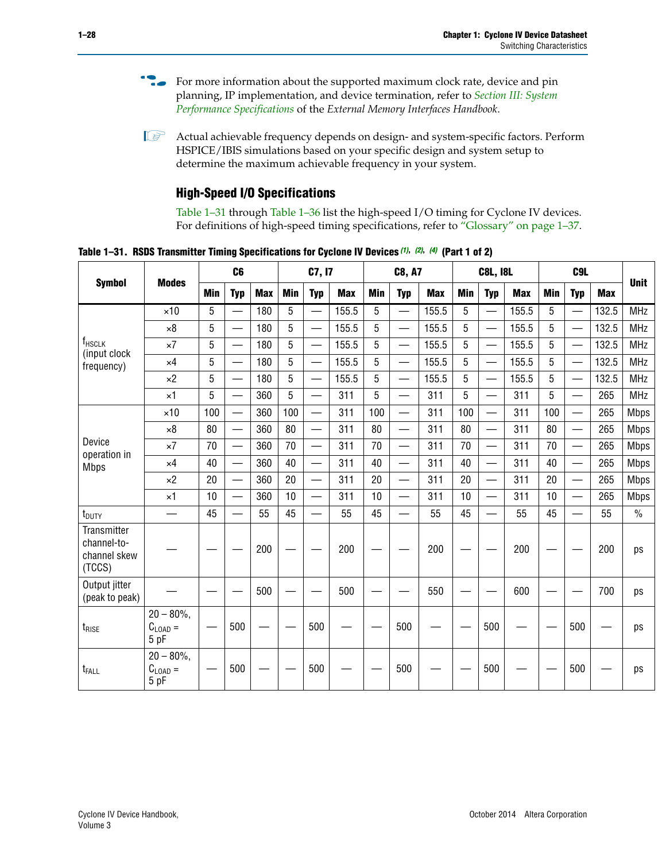- For more information about the supported maximum clock rate, device and pin planning, IP implementation, and device termination, refer to *[Section III: System](http://www.altera.com/literature/hb/external-memory/emi_intro_specs.pdf)  [Performance Specifications](http://www.altera.com/literature/hb/external-memory/emi_intro_specs.pdf)* of the *External Memory Interfaces Handbook*.
- **1 Actual achievable frequency depends on design- and system-specific factors. Perform** HSPICE/IBIS simulations based on your specific design and system setup to determine the maximum achievable frequency in your system.

### **High-Speed I/O Specifications**

[Table 1–31](#page-27-0) through [Table 1–36](#page-31-0) list the high-speed I/O timing for Cyclone IV devices. For definitions of high-speed timing specifications, refer to ["Glossary" on page 1–37.](#page-36-1)

<span id="page-27-0"></span>**Table 1–31. RSDS Transmitter Timing Specifications for Cyclone IV Devices** *[\(1\)](#page-28-0)***,** *[\(2\)](#page-28-1)***,** *[\(4\)](#page-28-2)* **(Part 1 of 2)**

|                                                      |                                                     |                 | C6                       |            |            | C7, I7                   |            |            | <b>C8, A7</b>            |            | <b>C8L, I8L</b> |                          |            | C <sub>9</sub> L |                          |            |               |
|------------------------------------------------------|-----------------------------------------------------|-----------------|--------------------------|------------|------------|--------------------------|------------|------------|--------------------------|------------|-----------------|--------------------------|------------|------------------|--------------------------|------------|---------------|
| <b>Symbol</b>                                        | <b>Modes</b>                                        | Min             | <b>Typ</b>               | <b>Max</b> | <b>Min</b> | <b>Typ</b>               | <b>Max</b> | <b>Min</b> | <b>Typ</b>               | <b>Max</b> | <b>Min</b>      | <b>Typ</b>               | <b>Max</b> | <b>Min</b>       | <b>Typ</b>               | <b>Max</b> | <b>Unit</b>   |
|                                                      | $\times$ 10                                         | 5               | —                        | 180        | 5          | ÷,                       | 155.5      | 5          | $\overline{\phantom{0}}$ | 155.5      | 5               |                          | 155.5      | 5                |                          | 132.5      | <b>MHz</b>    |
|                                                      | $\times 8$                                          | 5               |                          | 180        | 5          |                          | 155.5      | 5          | $\overline{\phantom{0}}$ | 155.5      | 5               |                          | 155.5      | 5                |                          | 132.5      | <b>MHz</b>    |
| f <sub>HSCLK</sub><br>(input clock                   | $\times 7$                                          | 5               |                          | 180        | 5          |                          | 155.5      | 5          | $\overline{\phantom{0}}$ | 155.5      | 5               |                          | 155.5      | 5                |                          | 132.5      | <b>MHz</b>    |
| frequency)                                           | $\times$ 4                                          | 5               |                          | 180        | 5          | $\overline{\phantom{0}}$ | 155.5      | 5          | $\qquad \qquad$          | 155.5      | 5               |                          | 155.5      | 5                | $\overline{\phantom{0}}$ | 132.5      | <b>MHz</b>    |
|                                                      | $\times 2$                                          | 5               |                          | 180        | 5          |                          | 155.5      | 5          | $\equiv$                 | 155.5      | 5               | $\overline{\phantom{0}}$ | 155.5      | 5                | $\overline{\phantom{0}}$ | 132.5      | <b>MHz</b>    |
|                                                      | $\times$ 1                                          | 5               |                          | 360        | 5          |                          | 311        | 5          | $\overline{\phantom{0}}$ | 311        | 5               | $\equiv$                 | 311        | 5                | $\overline{\phantom{0}}$ | 265        | <b>MHz</b>    |
|                                                      | $\times$ 10                                         | 100             |                          | 360        | 100        |                          | 311        | 100        | $\equiv$                 | 311        | 100             |                          | 311        | 100              | $\overline{\phantom{0}}$ | 265        | <b>Mbps</b>   |
|                                                      | $\times 8$                                          | 80              |                          | 360        | 80         |                          | 311        | 80         | $\overline{\phantom{0}}$ | 311        | 80              |                          | 311        | 80               | $\overline{\phantom{0}}$ | 265        | <b>Mbps</b>   |
| Device<br>operation in                               | $\times 7$                                          | 70              |                          | 360        | 70         | $\overline{\phantom{0}}$ | 311        | 70         | $\overline{\phantom{0}}$ | 311        | 70              |                          | 311        | 70               | $\equiv$                 | 265        | <b>Mbps</b>   |
| <b>Mbps</b>                                          | $\times$ 4                                          | 40              | $\overline{\phantom{0}}$ | 360        | 40         |                          | 311        | 40         | $\overline{\phantom{0}}$ | 311        | 40              |                          | 311        | 40               | $\overline{\phantom{0}}$ | 265        | <b>Mbps</b>   |
|                                                      | $\times 2$                                          | 20              |                          | 360        | 20         | $\overline{\phantom{0}}$ | 311        | 20         | $\overline{\phantom{0}}$ | 311        | 20              | $\qquad \qquad$          | 311        | 20               |                          | 265        | <b>Mbps</b>   |
|                                                      | $\times$ 1                                          | 10              |                          | 360        | 10         |                          | 311        | 10         | $\overline{\phantom{0}}$ | 311        | 10              | $\overline{\phantom{0}}$ | 311        | 10               | $\overline{\phantom{0}}$ | 265        | <b>Mbps</b>   |
| t <sub>DUTY</sub>                                    | —                                                   | 45              |                          | 55         | 45         |                          | 55         | 45         | $\overline{\phantom{0}}$ | 55         | 45              |                          | 55         | 45               |                          | 55         | $\frac{0}{0}$ |
| Transmitter<br>channel-to-<br>channel skew<br>(TCCS) |                                                     |                 |                          | 200        |            |                          | 200        |            |                          | 200        |                 |                          | 200        |                  |                          | 200        | ps            |
| Output jitter<br>(peak to peak)                      |                                                     |                 |                          | 500        |            |                          | 500        |            |                          | 550        |                 |                          | 600        |                  |                          | 700        | ps            |
| t <sub>rise</sub>                                    | $20 - 80\%$<br>$\mathrm{C}_{\text{LOAD}}$ =<br>5 pF | $\qquad \qquad$ | 500                      |            |            | 500                      |            |            | 500                      |            |                 | 500                      |            |                  | 500                      |            | ps            |
| t <sub>FALL</sub>                                    | $20 - 80\%$<br>$C_{LOAD} =$<br>5 pF                 |                 | 500                      |            |            | 500                      |            |            | 500                      |            |                 | 500                      |            |                  | 500                      |            | ps            |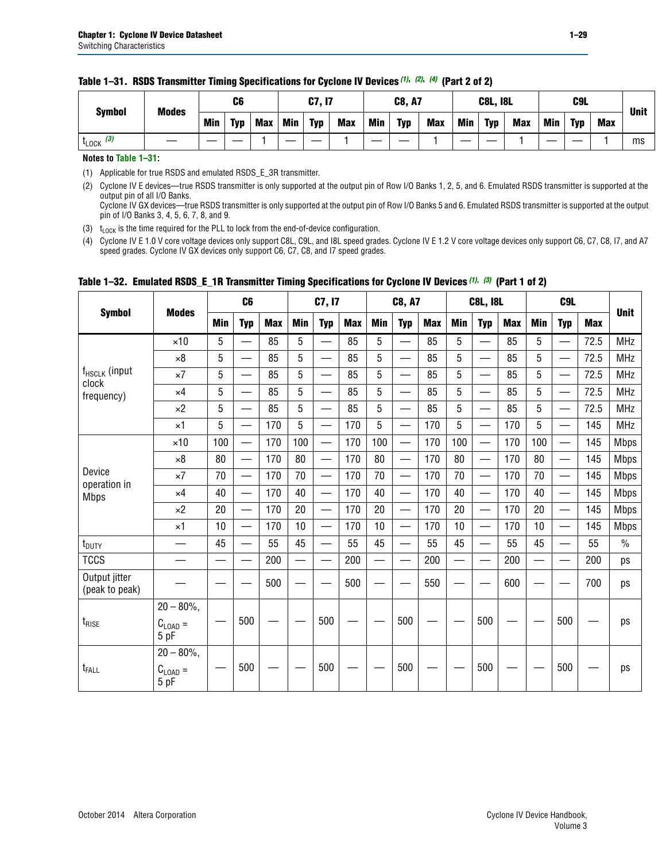| <b>Symbol</b>         | <b>Modes</b> |            | C6         |            | C7, I7     |            |            | <b>C8, A7</b> |            |            |            | <b>C8L, I8L</b> |            | C <sub>9</sub> L |            |            | <b>Unit</b> |
|-----------------------|--------------|------------|------------|------------|------------|------------|------------|---------------|------------|------------|------------|-----------------|------------|------------------|------------|------------|-------------|
|                       |              | <b>Min</b> | <b>Typ</b> | <b>Max</b> | <b>Min</b> | <b>Typ</b> | <b>Max</b> | <b>Min</b>    | <b>Typ</b> | <b>Max</b> | <b>Min</b> | <b>Typ</b>      | <b>Max</b> | Min              | <b>Typ</b> | <b>Max</b> |             |
| $t_{\text{LOCK}}$ (3) |              |            |            |            |            |            |            |               |            |            |            |                 |            |                  |            |            | ms          |

#### **Table 1–31. RSDS Transmitter Timing Specifications for Cyclone IV Devices** *(1)***,** *(2)***,** *(4)* **(Part 2 of 2)**

**Notes to [Table 1–31:](#page-27-0)**

<span id="page-28-0"></span>(1) Applicable for true RSDS and emulated RSDS\_E\_3R transmitter.

<span id="page-28-1"></span>(2) Cyclone IV E devices—true RSDS transmitter is only supported at the output pin of Row I/O Banks 1, 2, 5, and 6. Emulated RSDS transmitter is supported at the output pin of all I/O Banks. Cyclone IV GX devices—true RSDS transmitter is only supported at the output pin of Row I/O Banks 5 and 6. Emulated RSDS transmitter is supported at the output

pin of I/O Banks 3, 4, 5, 6, 7, 8, and 9.

<span id="page-28-3"></span>(3)  $t_{\text{LOCK}}$  is the time required for the PLL to lock from the end-of-device configuration.

<span id="page-28-2"></span>(4) Cyclone IV E 1.0 V core voltage devices only support C8L, C9L, and I8L speed grades. Cyclone IV E 1.2 V core voltage devices only support C6, C7, C8, I7, and A7 speed grades. Cyclone IV GX devices only support C6, C7, C8, and I7 speed grades.

|                                 |                                              |            | C <sub>6</sub>           |            |                          | C7, I7                   |            |            | C8, A7                         |            |            | <b>C8L, I8L</b>               |            |            |                          |            |               |
|---------------------------------|----------------------------------------------|------------|--------------------------|------------|--------------------------|--------------------------|------------|------------|--------------------------------|------------|------------|-------------------------------|------------|------------|--------------------------|------------|---------------|
| <b>Symbol</b>                   | <b>Modes</b>                                 | <b>Min</b> | <b>Typ</b>               | <b>Max</b> | <b>Min</b>               | <b>Typ</b>               | <b>Max</b> | <b>Min</b> | <b>Typ</b>                     | <b>Max</b> | <b>Min</b> | <b>Typ</b>                    | <b>Max</b> | <b>Min</b> | <b>Typ</b>               | <b>Max</b> | <b>Unit</b>   |
|                                 | $\times$ 10                                  | 5          |                          | 85         | 5                        |                          | 85         | 5          |                                | 85         | 5          | $\overline{\phantom{0}}$      | 85         | 5          |                          | 72.5       | <b>MHz</b>    |
|                                 | $\times 8$                                   | 5          | —                        | 85         | 5                        | $\overline{\phantom{0}}$ | 85         | 5          | $\overline{\phantom{0}}$       | 85         | 5          | $\overline{\phantom{0}}$      | 85         | 5          |                          | 72.5       | <b>MHz</b>    |
| f <sub>HSCLK</sub> (input       | $\times 7$                                   | 5          | $\qquad \qquad$          | 85         | 5                        | $\overline{\phantom{a}}$ | 85         | 5          | —                              | 85         | 5          | $\overbrace{\phantom{aaaaa}}$ | 85         | 5          | —<br>—                   | 72.5       | <b>MHz</b>    |
| clock<br>frequency)             | $\times$ 4                                   | 5          | $\overline{\phantom{0}}$ | 85         | 5                        |                          | 85         | 5          | $\overline{\phantom{0}}$       | 85         | 5          | $\overline{\phantom{0}}$      | 85         | 5          | $\overline{\phantom{0}}$ | 72.5       | <b>MHz</b>    |
|                                 | $\times 2$                                   | 5          | $\overline{\phantom{0}}$ | 85         | 5                        |                          | 85         | 5          | $\overline{\phantom{0}}$       | 85         | 5          | $\overline{\phantom{0}}$      | 85         | 5          |                          | 72.5       | <b>MHz</b>    |
|                                 | $\times$ 1                                   | 5          | $\overline{\phantom{0}}$ | 170        | 5                        |                          | 170        | 5          | $\overline{\phantom{0}}$       | 170        | 5          | $\equiv$                      | 170        | 5          |                          | 145        | <b>MHz</b>    |
|                                 | $\times$ 10                                  | 100        | $\equiv$                 | 170        | 100                      |                          | 170        | 100        | $\overline{\phantom{0}}$       | 170        | 100        | $\overline{\phantom{0}}$      | 170        | 100        |                          | 145        | <b>Mbps</b>   |
|                                 | $\times 8$                                   | 80         | $\qquad \qquad$          | 170        | 80                       | —<br>—                   | 170        | 80         |                                | 170        | 80         | $\overline{\phantom{0}}$      | 170        | 80         |                          | 145        | <b>Mbps</b>   |
| Device                          | $\times 7$                                   | 70         | $\overline{\phantom{0}}$ | 170        | 70                       | —<br>—                   | 170        | 70         | $\qquad \qquad$                | 170        | 70         | $\overline{\phantom{0}}$      | 170        | 70         |                          | 145        | <b>Mbps</b>   |
| operation in<br><b>Mbps</b>     | $\times$ 4                                   | 40         | $\overline{\phantom{0}}$ | 170        | 40                       | $\overline{\phantom{0}}$ | 170        | 40         |                                | 170        | 40         |                               | 170        | 40         |                          | 145        | <b>Mbps</b>   |
|                                 | $\times 2$                                   | 20         | $\overline{\phantom{0}}$ | 170        | 20                       |                          | 170        | 20         | $\qquad \qquad \longleftarrow$ | 170        | 20         | $\overline{\phantom{0}}$      | 170        | 20         |                          | 145        | <b>Mbps</b>   |
|                                 | $\times$ 1                                   | 10         | $\overline{\phantom{0}}$ | 170        | 10                       | $\overline{\phantom{0}}$ | 170        | 10         | $\overline{\phantom{0}}$       | 170        | 10         | $\overline{\phantom{0}}$      | 170        | 10         |                          | 145        | <b>Mbps</b>   |
| $t_{\text{DUTY}}$               |                                              | 45         | $\overline{\phantom{0}}$ | 55         | 45                       | $\sim$                   | 55         | 45         |                                | 55         | 45         | $\overline{\phantom{0}}$      | 55         | 45         |                          | 55         | $\frac{0}{0}$ |
| <b>TCCS</b>                     |                                              |            | $\overline{\phantom{0}}$ | 200        | $\overline{\phantom{0}}$ |                          | 200        | —          | $\overline{\phantom{0}}$       | 200        |            | —                             | 200        |            |                          | 200        | ps            |
| Output jitter<br>(peak to peak) |                                              |            |                          | 500        |                          |                          | 500        |            |                                | 550        |            |                               | 600        |            |                          | 700        | ps            |
| $t_{\text{RISE}}$               | $20 - 80\%$ ,<br>$C_{LOAD} =$<br>5 pF        |            | 500                      |            |                          | 500                      |            |            | 500                            |            |            | 500                           |            |            | 500                      |            | ps            |
| t <sub>FALL</sub>               | $20 - 80\%$ ,<br>$C_{\text{LOAD}} =$<br>5 pF |            | 500                      |            |                          | 500                      |            |            | 500                            |            |            | 500                           |            |            | 500                      |            | ps            |

### <span id="page-28-4"></span>**Table 1–32. Emulated RSDS\_E\_1R Transmitter Timing Specifications for Cyclone IV Devices** *[\(1\)](#page-29-0), [\(3\)](#page-29-1)* **(Part 1 of 2)**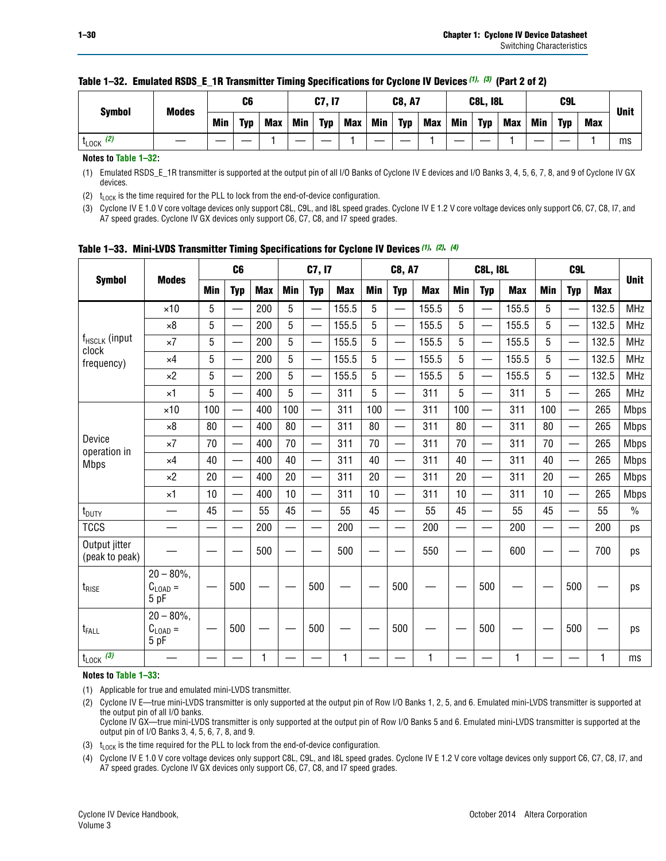|                      | <b>Modes</b> |     | C6         |            |            | <b>C7, I7</b> |            |     | <b>C8, A7</b> |     |            | <b>C8L, I8L</b> |            |     | C <sub>9</sub> L |     |             |
|----------------------|--------------|-----|------------|------------|------------|---------------|------------|-----|---------------|-----|------------|-----------------|------------|-----|------------------|-----|-------------|
| <b>Symbol</b>        |              | Min | <b>Typ</b> | <b>Max</b> | <b>Min</b> | <b>Typ</b>    | <b>Max</b> | Min | <b>Typ</b>    | Max | <b>Min</b> | <b>Typ</b>      | <b>Max</b> | Min | <b>Typ</b>       | Max | <b>Unit</b> |
| (2)<br><b>L</b> LOCK |              |     |            |            |            |               |            |     |               |     |            |                 |            |     |                  |     | ms          |

#### **Table 1–32. Emulated RSDS\_E\_1R Transmitter Timing Specifications for Cyclone IV Devices** *(1), (3)* **(Part 2 of 2)**

**Notes to [Table 1–32:](#page-28-4)**

<span id="page-29-0"></span>(1) Emulated RSDS\_E\_1R transmitter is supported at the output pin of all I/O Banks of Cyclone IV E devices and I/O Banks 3, 4, 5, 6, 7, 8, and 9 of Cyclone IV GX devices.

<span id="page-29-2"></span>(2)  $t_{\text{LOCK}}$  is the time required for the PLL to lock from the end-of-device configuration.

<span id="page-29-1"></span>(3) Cyclone IV E 1.0 V core voltage devices only support C8L, C9L, and I8L speed grades. Cyclone IV E 1.2 V core voltage devices only support C6, C7, C8, I7, and A7 speed grades. Cyclone IV GX devices only support C6, C7, C8, and I7 speed grades.

|                                    |                                            |            | C <sub>6</sub>           |     |                          | C7, I7                   |            |            | <b>C8, A7</b>            |              |     | <b>C8L, I8L</b>          |            |            | C <sub>9</sub> L                          |            |               |
|------------------------------------|--------------------------------------------|------------|--------------------------|-----|--------------------------|--------------------------|------------|------------|--------------------------|--------------|-----|--------------------------|------------|------------|-------------------------------------------|------------|---------------|
| <b>Symbol</b>                      | <b>Modes</b>                               | <b>Min</b> | <b>Typ</b>               | Max | <b>Min</b>               | <b>Typ</b>               | <b>Max</b> | <b>Min</b> | <b>Typ</b>               | <b>Max</b>   | Min | <b>Typ</b>               | <b>Max</b> | <b>Min</b> | <b>Typ</b>                                | <b>Max</b> | <b>Unit</b>   |
|                                    | $\times$ 10                                | 5          |                          | 200 | 5                        | $\overline{\phantom{0}}$ | 155.5      | 5          | —                        | 155.5        | 5   | —                        | 155.5      | 5          | $\overline{\phantom{0}}$                  | 132.5      | <b>MHz</b>    |
|                                    | $\times 8$                                 | 5          |                          | 200 | 5                        | ÷,                       | 155.5      | 5          | $\overline{\phantom{0}}$ | 155.5        | 5   |                          | 155.5      | 5          | —                                         | 132.5      | <b>MHz</b>    |
| f <sub>HSCLK</sub> (input<br>clock | $\times 7$                                 | 5          |                          | 200 | 5                        | $\overline{\phantom{0}}$ | 155.5      | 5          | $\qquad \qquad$          | 155.5        | 5   |                          | 155.5      | 5          | $\qquad \qquad \overline{\qquad \qquad }$ | 132.5      | <b>MHz</b>    |
| frequency)                         | $\times$ 4                                 | 5          | $\overline{\phantom{0}}$ | 200 | 5                        | ÷,                       | 155.5      | 5          | $\overline{\phantom{0}}$ | 155.5        | 5   |                          | 155.5      | 5          | $\qquad \qquad$                           | 132.5      | <b>MHz</b>    |
|                                    | $\times 2$                                 | 5          |                          | 200 | 5                        | <u>—</u>                 | 155.5      | 5          | $\overline{\phantom{0}}$ | 155.5        | 5   |                          | 155.5      | 5          |                                           | 132.5      | <b>MHz</b>    |
|                                    | $\times$ 1                                 | 5          |                          | 400 | 5                        | $\overline{\phantom{0}}$ | 311        | 5          | $\overline{\phantom{0}}$ | 311          | 5   | $\overline{\phantom{0}}$ | 311        | 5          | $\overline{\phantom{0}}$                  | 265        | <b>MHz</b>    |
|                                    | $\times$ 10                                | 100        |                          | 400 | 100                      |                          | 311        | 100        | $\overline{\phantom{0}}$ | 311          | 100 | $\overline{\phantom{0}}$ | 311        | 100        |                                           | 265        | <b>Mbps</b>   |
|                                    | $\times 8$                                 | 80         |                          | 400 | 80                       | $\overline{\phantom{0}}$ | 311        | 80         | $\overline{\phantom{0}}$ | 311          | 80  | $\overline{\phantom{0}}$ | 311        | 80         | $\overline{\phantom{0}}$                  | 265        | <b>Mbps</b>   |
| Device                             | $\times 7$                                 | 70         |                          | 400 | 70                       |                          | 311        | 70         | $\overline{\phantom{0}}$ | 311          | 70  |                          | 311        | 70         |                                           | 265        | <b>Mbps</b>   |
| operation in<br><b>Mbps</b>        | $\times$ 4                                 | 40         |                          | 400 | 40                       |                          | 311        | 40         | $\overline{\phantom{0}}$ | 311          | 40  | $\overline{\phantom{0}}$ | 311        | 40         |                                           | 265        | <b>Mbps</b>   |
|                                    | $\times 2$                                 | 20         |                          | 400 | 20                       | —                        | 311        | 20         | $\overline{\phantom{0}}$ | 311          | 20  | $\overline{\phantom{0}}$ | 311        | 20         |                                           | 265        | <b>Mbps</b>   |
|                                    | $\times$ 1                                 | 10         |                          | 400 | 10                       | —                        | 311        | 10         | $\overline{\phantom{0}}$ | 311          | 10  | $\overline{\phantom{0}}$ | 311        | 10         |                                           | 265        | <b>Mbps</b>   |
| t <sub>DUTY</sub>                  | $\overline{\phantom{0}}$                   | 45         |                          | 55  | 45                       | $\overline{\phantom{0}}$ | 55         | 45         | $\overline{\phantom{0}}$ | 55           | 45  | $\overline{\phantom{0}}$ | 55         | 45         | $\overline{\phantom{0}}$                  | 55         | $\frac{0}{0}$ |
| <b>TCCS</b>                        |                                            |            |                          | 200 | $\overline{\phantom{0}}$ |                          | 200        |            |                          | 200          | —   |                          | 200        |            |                                           | 200        | ps            |
| Output jitter<br>(peak to peak)    |                                            |            |                          | 500 |                          |                          | 500        |            |                          | 550          |     |                          | 600        |            |                                           | 700        | ps            |
| $t_{\text{RISE}}$                  | $20 - 80\%$<br>$C_{LOAD} =$<br>5 pF        |            | 500                      |     |                          | 500                      |            |            | 500                      |              |     | 500                      |            |            | 500                                       |            | ps            |
| t <sub>FALL</sub>                  | $20 - 80\%$<br>$C_{\text{LOAD}} =$<br>5 pF |            | 500                      |     |                          | 500                      |            |            | 500                      |              |     | 500                      |            |            | 500                                       |            | ps            |
| $t_{\text{LOCK}}$ (3)              |                                            |            |                          | 1   |                          |                          | 1          |            |                          | $\mathbf{1}$ |     |                          | 1          |            |                                           | 1          | ms            |

<span id="page-29-6"></span>**Table 1–33. Mini-LVDS Transmitter Timing Specifications for Cyclone IV Devices** *[\(1\)](#page-29-3)***,** *[\(2\)](#page-29-4)***,** *[\(4\)](#page-29-7)*

**Notes to [Table 1–33:](#page-29-6)**

<span id="page-29-3"></span>(1) Applicable for true and emulated mini-LVDS transmitter.

<span id="page-29-4"></span>(2) Cyclone IV E—true mini-LVDS transmitter is only supported at the output pin of Row I/O Banks 1, 2, 5, and 6. Emulated mini-LVDS transmitter is supported at the output pin of all I/O banks.

Cyclone IV GX—true mini-LVDS transmitter is only supported at the output pin of Row I/O Banks 5 and 6. Emulated mini-LVDS transmitter is supported at the output pin of I/O Banks 3, 4, 5, 6, 7, 8, and 9.

<span id="page-29-5"></span>(3)  $t_{\text{LOCK}}$  is the time required for the PLL to lock from the end-of-device configuration.

<span id="page-29-7"></span>(4) Cyclone IV E 1.0 V core voltage devices only support C8L, C9L, and I8L speed grades. Cyclone IV E 1.2 V core voltage devices only support C6, C7, C8, I7, and A7 speed grades. Cyclone IV GX devices only support C6, C7, C8, and I7 speed grades.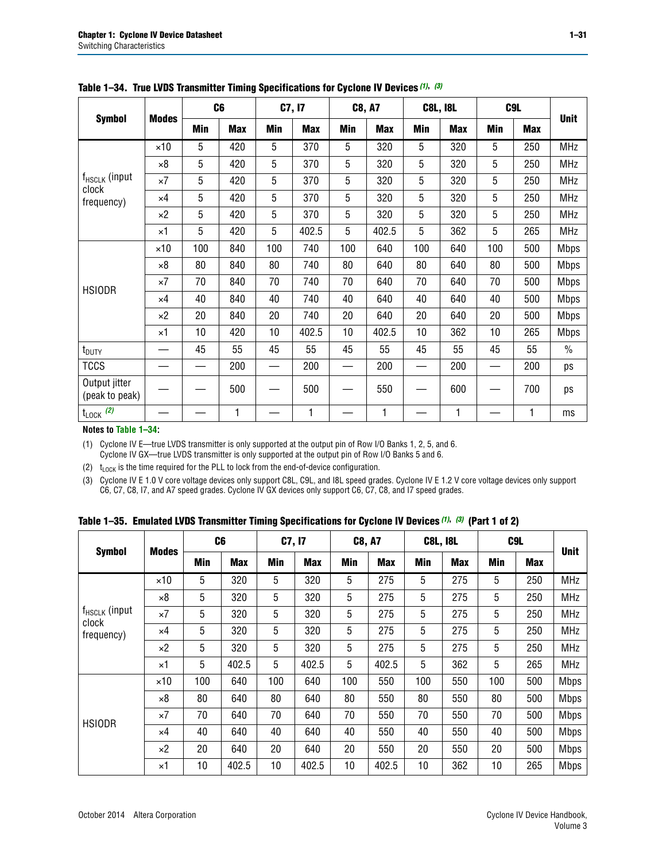|                                 |              |     | C <sub>6</sub> |     | C7, I7     |            | <b>C8, A7</b> |     | <b>C8L, I8L</b> | C9L        |            |               |
|---------------------------------|--------------|-----|----------------|-----|------------|------------|---------------|-----|-----------------|------------|------------|---------------|
| <b>Symbol</b>                   | <b>Modes</b> | Min | <b>Max</b>     | Min | <b>Max</b> | <b>Min</b> | <b>Max</b>    | Min | <b>Max</b>      | <b>Min</b> | <b>Max</b> | <b>Unit</b>   |
|                                 | $\times$ 10  | 5   | 420            | 5   | 370        | 5          | 320           | 5   | 320             | 5          | 250        | <b>MHz</b>    |
|                                 | $\times 8$   | 5   | 420            | 5   | 370        | 5          | 320           | 5   | 320             | 5          | 250        | <b>MHz</b>    |
| $f_{HSCLK}$ (input              | $\times 7$   | 5   | 420            | 5   | 370        | 5          | 320           | 5   | 320             | 5          | 250        | <b>MHz</b>    |
| clock<br>frequency)             | $\times 4$   | 5   | 420            | 5   | 370        | 5          | 320           | 5   | 320             | 5          | 250        | <b>MHz</b>    |
|                                 | $\times 2$   | 5   | 420            | 5   | 370        | 5          | 320           | 5   | 320             | 5          | 250        | <b>MHz</b>    |
|                                 | $\times$ 1   | 5   | 420            | 5   | 402.5      | 5          | 402.5         | 5   | 362             | 5          | 265        | <b>MHz</b>    |
|                                 | $\times$ 10  | 100 | 840            | 100 | 740        | 100        | 640           | 100 | 640             | 100        | 500        | Mbps          |
|                                 | $\times 8$   | 80  | 840            | 80  | 740        | 80         | 640           | 80  | 640             | 80         | 500        | <b>Mbps</b>   |
| <b>HSIODR</b>                   | $\times 7$   | 70  | 840            | 70  | 740        | 70         | 640           | 70  | 640             | 70         | 500        | <b>Mbps</b>   |
|                                 | $\times$ 4   | 40  | 840            | 40  | 740        | 40         | 640           | 40  | 640             | 40         | 500        | <b>Mbps</b>   |
|                                 | $\times 2$   | 20  | 840            | 20  | 740        | 20         | 640           | 20  | 640             | 20         | 500        | <b>Mbps</b>   |
|                                 | $\times$ 1   | 10  | 420            | 10  | 402.5      | 10         | 402.5         | 10  | 362             | 10         | 265        | <b>Mbps</b>   |
| t <sub>DUTY</sub>               |              | 45  | 55             | 45  | 55         | 45         | 55            | 45  | 55              | 45         | 55         | $\frac{0}{0}$ |
| <b>TCCS</b>                     |              | —   | 200            |     | 200        |            | 200           | —   | 200             |            | 200        | ps            |
| Output jitter<br>(peak to peak) |              |     | 500            |     | 500        |            | 550           |     | 600             |            | 700        | ps            |
| $t_{\text{LOCK}}$ (2)<br>.      |              |     | 1              |     | 1          |            | 1             |     | 1               |            | 1          | ms            |

<span id="page-30-3"></span>**Table 1–34. True LVDS Transmitter Timing Specifications for Cyclone IV Devices** *[\(1\)](#page-30-0)***,** *[\(3\)](#page-30-1)*

**Notes to [Table 1–34:](#page-30-3)**

<span id="page-30-0"></span>(1) Cyclone IV E—true LVDS transmitter is only supported at the output pin of Row I/O Banks 1, 2, 5, and 6. Cyclone IV GX—true LVDS transmitter is only supported at the output pin of Row I/O Banks 5 and 6.

<span id="page-30-2"></span>(2)  $t_{\text{LOCK}}$  is the time required for the PLL to lock from the end-of-device configuration.

<span id="page-30-1"></span>(3) Cyclone IV E 1.0 V core voltage devices only support C8L, C9L, and I8L speed grades. Cyclone IV E 1.2 V core voltage devices only support C6, C7, C8, I7, and A7 speed grades. Cyclone IV GX devices only support C6, C7, C8, and I7 speed grades.

<span id="page-30-4"></span>

|  |  |  |  | Table 1–35. Emulated LVDS Transmitter Timing Specifications for Cyclone IV Devices <sup>(1),</sup> <sup>(3)</sup> (Part 1 of 2) |  |  |
|--|--|--|--|---------------------------------------------------------------------------------------------------------------------------------|--|--|
|--|--|--|--|---------------------------------------------------------------------------------------------------------------------------------|--|--|

| <b>Symbol</b>               |              | C <sub>6</sub> |            | C7, I7     |            | <b>C8, A7</b> |            | <b>C8L, I8L</b> |            | C <sub>9</sub> L |            |             |
|-----------------------------|--------------|----------------|------------|------------|------------|---------------|------------|-----------------|------------|------------------|------------|-------------|
|                             | <b>Modes</b> | Min            | <b>Max</b> | <b>Min</b> | <b>Max</b> | <b>Min</b>    | <b>Max</b> | <b>Min</b>      | <b>Max</b> | <b>Min</b>       | <b>Max</b> | <b>Unit</b> |
|                             | $\times$ 10  | 5              | 320        | 5          | 320        | 5             | 275        | 5               | 275        | 5                | 250        | <b>MHz</b>  |
|                             | $\times 8$   | 5              | 320        | 5          | 320        | 5             | 275        | 5               | 275        | 5                | 250        | <b>MHz</b>  |
| $f_{HSCLK}$ (input<br>clock | $\times 7$   | 5              | 320        | 5          | 320        | 5             | 275        | 5               | 275        | 5                | 250        | <b>MHz</b>  |
| frequency)                  | $\times$ 4   | 5              | 320        | 5          | 320        | 5             | 275        | 5               | 275        | 5                | 250        | <b>MHz</b>  |
|                             | $\times 2$   | 5              | 320        | 5          | 320        | 5             | 275        | 5               | 275        | 5                | 250        | <b>MHz</b>  |
|                             | $\times$ 1   | 5              | 402.5      | 5          | 402.5      | 5             | 402.5      | 5               | 362        | 5                | 265        | <b>MHz</b>  |
|                             | $\times$ 10  | 100            | 640        | 100        | 640        | 100           | 550        | 100             | 550        | 100              | 500        | <b>Mbps</b> |
|                             | $\times 8$   | 80             | 640        | 80         | 640        | 80            | 550        | 80              | 550        | 80               | 500        | <b>Mbps</b> |
| <b>HSIODR</b>               | $\times 7$   | 70             | 640        | 70         | 640        | 70            | 550        | 70              | 550        | 70               | 500        | <b>Mbps</b> |
|                             | $\times$ 4   | 40             | 640        | 40         | 640        | 40            | 550        | 40              | 550        | 40               | 500        | <b>Mbps</b> |
|                             | $\times 2$   | 20             | 640        | 20         | 640        | 20            | 550        | 20              | 550        | 20               | 500        | <b>Mbps</b> |
|                             | $\times$ 1   | 10             | 402.5      | 10         | 402.5      | 10            | 402.5      | 10              | 362        | 10               | 265        | <b>Mbps</b> |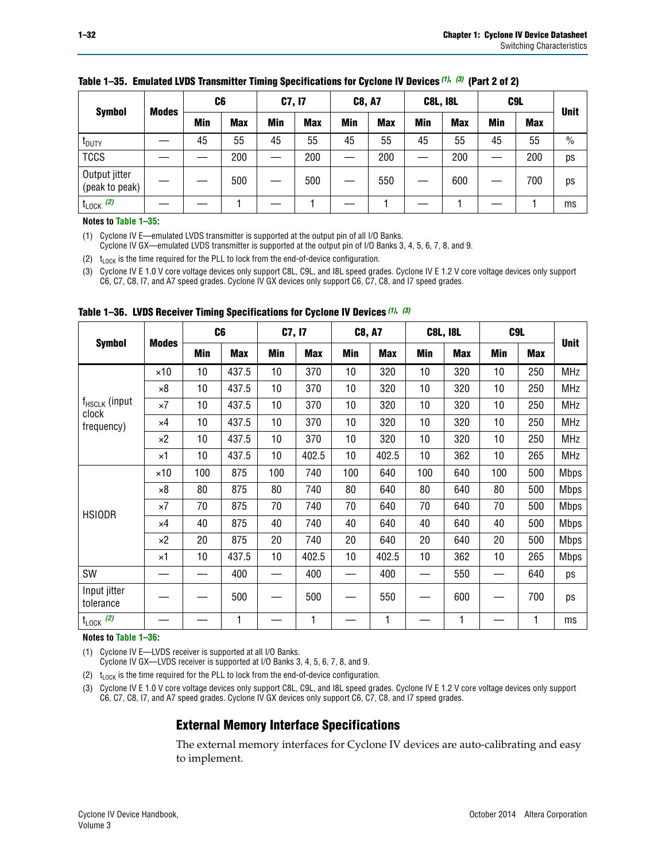| <b>Symbol</b>                   | <b>Modes</b> | C6  |            | C7, I7 |            | <b>C8, A7</b> |            | <b>C8L, I8L</b> |            | C <sub>9</sub> L |            | <b>Unit</b>   |
|---------------------------------|--------------|-----|------------|--------|------------|---------------|------------|-----------------|------------|------------------|------------|---------------|
|                                 |              | Min | <b>Max</b> | Min    | <b>Max</b> | Min           | <b>Max</b> | Min             | <b>Max</b> | Min              | <b>Max</b> |               |
| <b>I</b> <sub>DUTY</sub>        |              | 45  | 55         | 45     | 55         | 45            | 55         | 45              | 55         | 45               | 55         | $\frac{0}{0}$ |
| <b>TCCS</b>                     |              |     | 200        |        | 200        |               | 200        |                 | 200        | —                | 200        | ps            |
| Output jitter<br>(peak to peak) |              |     | 500        |        | 500        |               | 550        |                 | 600        |                  | 700        | ps            |
| $t_{\text{LOCK}}$ (2)           |              |     |            |        |            |               |            |                 |            |                  |            | ms            |

#### **Table 1–35. Emulated LVDS Transmitter Timing Specifications for Cyclone IV Devices** *(1)***,** *(3)* **(Part 2 of 2)**

#### **Notes to [Table 1–35:](#page-30-4)**

<span id="page-31-1"></span>(1) Cyclone IV E—emulated LVDS transmitter is supported at the output pin of all I/O Banks.

Cyclone IV GX—emulated LVDS transmitter is supported at the output pin of I/O Banks 3, 4, 5, 6, 7, 8, and 9.

<span id="page-31-3"></span>(2)  $t_{\text{LOCK}}$  is the time required for the PLL to lock from the end-of-device configuration.

<span id="page-31-2"></span>(3) Cyclone IV E 1.0 V core voltage devices only support C8L, C9L, and I8L speed grades. Cyclone IV E 1.2 V core voltage devices only support C6, C7, C8, I7, and A7 speed grades. Cyclone IV GX devices only support C6, C7, C8, and I7 speed grades.

|                                    |              |     | C <sub>6</sub> | C7, I7          |            | <b>C8, A7</b> |            |     | <b>C8L, I8L</b> | C <sub>9</sub> L |            |             |
|------------------------------------|--------------|-----|----------------|-----------------|------------|---------------|------------|-----|-----------------|------------------|------------|-------------|
| <b>Symbol</b>                      | <b>Modes</b> | Min | <b>Max</b>     | <b>Min</b>      | <b>Max</b> | Min           | <b>Max</b> | Min | <b>Max</b>      | Min              | <b>Max</b> | <b>Unit</b> |
|                                    | $\times$ 10  | 10  | 437.5          | 10 <sup>°</sup> | 370        | 10            | 320        | 10  | 320             | 10               | 250        | <b>MHz</b>  |
|                                    | $\times 8$   | 10  | 437.5          | 10              | 370        | 10            | 320        | 10  | 320             | 10               | 250        | <b>MHz</b>  |
| f <sub>HSCLK</sub> (input<br>clock | $\times 7$   | 10  | 437.5          | 10              | 370        | 10            | 320        | 10  | 320             | 10               | 250        | <b>MHz</b>  |
| frequency)                         | $\times 4$   | 10  | 437.5          | 10              | 370        | 10            | 320        | 10  | 320             | 10               | 250        | <b>MHz</b>  |
|                                    | $\times 2$   | 10  | 437.5          | 10              | 370        | 10            | 320        | 10  | 320             | 10               | 250        | <b>MHz</b>  |
|                                    | ×1           | 10  | 437.5          | 10              | 402.5      | 10            | 402.5      | 10  | 362             | 10               | 265        | <b>MHz</b>  |
|                                    | $\times$ 10  | 100 | 875            | 100             | 740        | 100           | 640        | 100 | 640             | 100              | 500        | <b>Mbps</b> |
|                                    | $\times 8$   | 80  | 875            | 80              | 740        | 80            | 640        | 80  | 640             | 80               | 500        | <b>Mbps</b> |
| <b>HSIODR</b>                      | $\times 7$   | 70  | 875            | 70              | 740        | 70            | 640        | 70  | 640             | 70               | 500        | <b>Mbps</b> |
|                                    | $\times 4$   | 40  | 875            | 40              | 740        | 40            | 640        | 40  | 640             | 40               | 500        | <b>Mbps</b> |
|                                    | $\times 2$   | 20  | 875            | 20              | 740        | 20            | 640        | 20  | 640             | 20               | 500        | <b>Mbps</b> |
|                                    | ×1           | 10  | 437.5          | 10              | 402.5      | 10            | 402.5      | 10  | 362             | 10               | 265        | <b>Mbps</b> |
| SW                                 |              |     | 400            |                 | 400        |               | 400        |     | 550             |                  | 640        | ps          |
| Input jitter<br>tolerance          |              |     | 500            |                 | 500        |               | 550        |     | 600             |                  | 700        | ps          |
| $t_{\text{LOCK}}$ (2)              |              |     | 1              |                 | 1          |               | 1          |     | 1               |                  | 1          | ms          |

<span id="page-31-0"></span>**Table 1–36. LVDS Receiver Timing Specifications for Cyclone IV Devices** *[\(1\)](#page-31-4)***,** *[\(3\)](#page-31-6)*

#### **Notes to [Table 1–36:](#page-31-0)**

<span id="page-31-4"></span>(1) Cyclone IV E—LVDS receiver is supported at all I/O Banks.

Cyclone IV GX—LVDS receiver is supported at I/O Banks 3, 4, 5, 6, 7, 8, and 9.

<span id="page-31-5"></span>(2)  $t_{\text{LOCK}}$  is the time required for the PLL to lock from the end-of-device configuration.

<span id="page-31-6"></span>(3) Cyclone IV E 1.0 V core voltage devices only support C8L, C9L, and I8L speed grades. Cyclone IV E 1.2 V core voltage devices only support C6, C7, C8, I7, and A7 speed grades. Cyclone IV GX devices only support C6, C7, C8, and I7 speed grades.

### **External Memory Interface Specifications**

The external memory interfaces for Cyclone IV devices are auto-calibrating and easy to implement.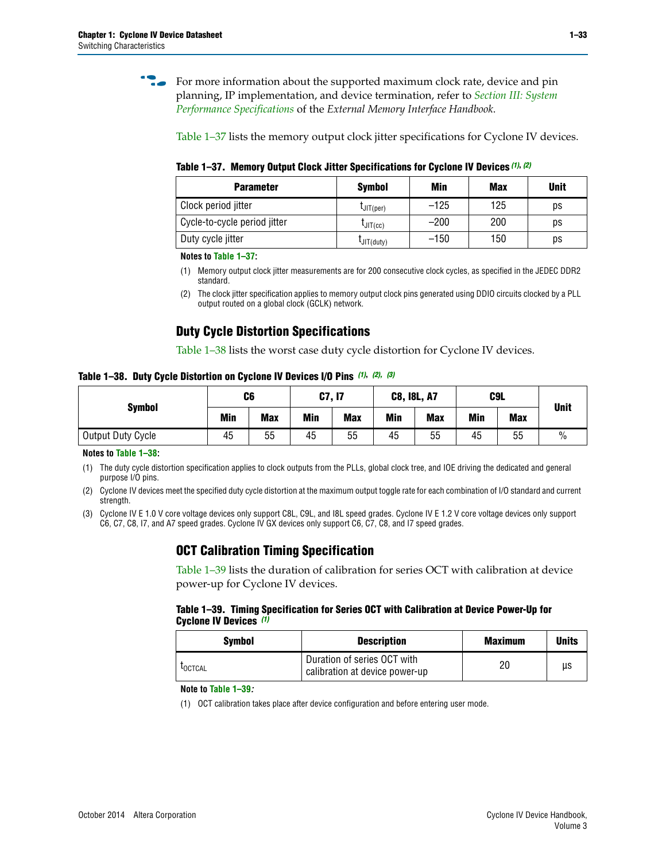**for more information about the supported maximum clock rate, device and pin** planning, IP implementation, and device termination, refer to *[Section III: System](http://www.altera.com/literature/hb/external-memory/emi_intro_specs.pdf)  [Performance Specifications](http://www.altera.com/literature/hb/external-memory/emi_intro_specs.pdf)* of the *External Memory Interface Handbook*.

[Table 1–37](#page-32-0) lists the memory output clock jitter specifications for Cyclone IV devices.

<span id="page-32-0"></span>**Table 1–37. Memory Output Clock Jitter Specifications for Cyclone IV Devices** *[\(1\)](#page-32-2)***,** *[\(2\)](#page-32-3)*

| <b>Parameter</b>             | <b>Symbol</b>  | Min    | <b>Max</b> | <b>Unit</b> |
|------------------------------|----------------|--------|------------|-------------|
| Clock period jitter          | $L$ JIT(per)   | $-125$ | 125        | ps          |
| Cycle-to-cycle period jitter | $L$ JIT $(cc)$ | $-200$ | 200        | ps          |
| Duty cycle jitter            | LJIT(duty)     | $-150$ | 150        | рs          |

**Notes to [Table 1–37:](#page-32-0)**

<span id="page-32-2"></span>(1) Memory output clock jitter measurements are for 200 consecutive clock cycles, as specified in the JEDEC DDR2 standard.

### **Duty Cycle Distortion Specifications**

[Table 1–38](#page-32-4) lists the worst case duty cycle distortion for Cyclone IV devices.

<span id="page-32-4"></span>**Table 1–38. Duty Cycle Distortion on Cyclone IV Devices I/O Pins** *[\(1\)](#page-32-5)***,** *[\(2\),](#page-32-6) [\(3\)](#page-32-1)*

| <b>Symbol</b>     | C <sub>6</sub> |            | C7, I7     |            | <b>C8, I8L, A7</b> |            | C9L        | <b>Unit</b> |               |
|-------------------|----------------|------------|------------|------------|--------------------|------------|------------|-------------|---------------|
|                   | Min            | <b>Max</b> | <b>Min</b> | <b>Max</b> | Min                | <b>Max</b> | <b>Min</b> | <b>Max</b>  |               |
| Output Duty Cycle | 45             | 55         | 45         | 55         | 45                 | 55         | 45         | 55          | $\frac{0}{0}$ |

**Notes to [Table 1–38:](#page-32-4)**

<span id="page-32-5"></span>(1) The duty cycle distortion specification applies to clock outputs from the PLLs, global clock tree, and IOE driving the dedicated and general purpose I/O pins.

<span id="page-32-6"></span>(2) Cyclone IV devices meet the specified duty cycle distortion at the maximum output toggle rate for each combination of I/O standard and current strength.

<span id="page-32-1"></span>(3) Cyclone IV E 1.0 V core voltage devices only support C8L, C9L, and I8L speed grades. Cyclone IV E 1.2 V core voltage devices only support C6, C7, C8, I7, and A7 speed grades. Cyclone IV GX devices only support C6, C7, C8, and I7 speed grades.

### **OCT Calibration Timing Specification**

[Table 1–39](#page-32-7) lists the duration of calibration for series OCT with calibration at device power-up for Cyclone IV devices.

#### <span id="page-32-7"></span>**Table 1–39. Timing Specification for Series OCT with Calibration at Device Power-Up for Cyclone IV Devices** *[\(1\)](#page-32-8)*

| Symbol  | <b>Description</b>                                            | <b>Maximum</b> | <b>Units</b> |
|---------|---------------------------------------------------------------|----------------|--------------|
| LOCTCAL | Duration of series OCT with<br>calibration at device power-up | 20             | μs           |

#### **Note to [Table 1–39](#page-32-7)***:*

<span id="page-32-8"></span>(1) OCT calibration takes place after device configuration and before entering user mode.

<span id="page-32-3"></span><sup>(2)</sup> The clock jitter specification applies to memory output clock pins generated using DDIO circuits clocked by a PLL output routed on a global clock (GCLK) network.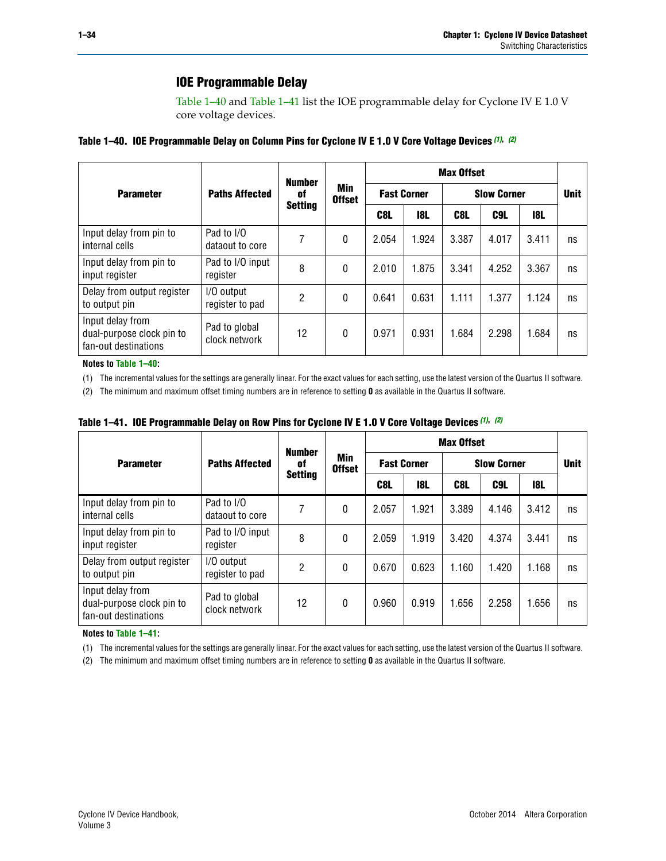### **IOE Programmable Delay**

[Table 1–40](#page-33-0) and [Table 1–41](#page-33-1) list the IOE programmable delay for Cyclone IV E 1.0 V core voltage devices.

<span id="page-33-0"></span>

| Table 1–40. IOE Programmable Delay on Column Pins for Cyclone IV E 1.0 V Core Voltage Devices (1), (2) |
|--------------------------------------------------------------------------------------------------------|
|--------------------------------------------------------------------------------------------------------|

|                                                                       |                                | <b>Number</b>  |                      | <b>Max Offset</b>  |       |       |                    |       |             |  |
|-----------------------------------------------------------------------|--------------------------------|----------------|----------------------|--------------------|-------|-------|--------------------|-------|-------------|--|
| <b>Parameter</b>                                                      | <b>Paths Affected</b>          | 0f             | Min<br><b>Offset</b> | <b>Fast Corner</b> |       |       | <b>Slow Corner</b> |       | <b>Unit</b> |  |
|                                                                       |                                | <b>Setting</b> |                      | C8L                | 18L   | C8L   | C9L                | 18L   |             |  |
| Input delay from pin to<br>internal cells                             | Pad to I/O<br>dataout to core  | 7              | $\mathbf{0}$         | 2.054              | 1.924 | 3.387 | 4.017              | 3.411 | ns          |  |
| Input delay from pin to<br>input register                             | Pad to I/O input<br>register   | 8              | $\mathbf{0}$         | 2.010              | 1.875 | 3.341 | 4.252              | 3.367 | ns          |  |
| Delay from output register<br>to output pin                           | I/O output<br>register to pad  | 2              | $\Omega$             | 0.641              | 0.631 | 1.111 | 1.377              | 1.124 | ns          |  |
| Input delay from<br>dual-purpose clock pin to<br>fan-out destinations | Pad to global<br>clock network | 12             | 0                    | 0.971              | 0.931 | 1.684 | 2.298              | 1.684 | ns          |  |

#### **Notes to [Table 1–40:](#page-33-0)**

<span id="page-33-2"></span>(1) The incremental values for the settings are generally linear. For the exact values for each setting, use the latest version of the Quartus II software.

<span id="page-33-3"></span>(2) The minimum and maximum offset timing numbers are in reference to setting **0** as available in the Quartus II software.

<span id="page-33-1"></span>

| Table 1–41. IOE Programmable Delay on Row Pins for Cyclone IV E 1.0 V Core Voltage Devices (1), (2) |  |  |
|-----------------------------------------------------------------------------------------------------|--|--|
|-----------------------------------------------------------------------------------------------------|--|--|

|                                                                       |                                | <b>Number</b>  |                      | <b>Max Offset</b>                        |            |       |       |             |    |  |
|-----------------------------------------------------------------------|--------------------------------|----------------|----------------------|------------------------------------------|------------|-------|-------|-------------|----|--|
| <b>Parameter</b>                                                      | <b>Paths Affected</b>          | 0f             | Min<br><b>Offset</b> | <b>Slow Corner</b><br><b>Fast Corner</b> |            |       |       | <b>Unit</b> |    |  |
|                                                                       |                                | <b>Setting</b> |                      | C8L                                      | <b>18L</b> | C8L   | C9L   | 18L         |    |  |
| Input delay from pin to<br>internal cells                             | Pad to I/O<br>dataout to core  |                | 0                    | 2.057                                    | 1.921      | 3.389 | 4.146 | 3.412       | ns |  |
| Input delay from pin to<br>input register                             | Pad to I/O input<br>register   | 8              | 0                    | 2.059                                    | 1.919      | 3.420 | 4.374 | 3.441       | ns |  |
| Delay from output register<br>to output pin                           | I/O output<br>register to pad  | $\overline{2}$ | 0                    | 0.670                                    | 0.623      | 1.160 | 1.420 | 1.168       | ns |  |
| Input delay from<br>dual-purpose clock pin to<br>fan-out destinations | Pad to global<br>clock network | 12             | 0                    | 0.960                                    | 0.919      | 1.656 | 2.258 | 1.656       | ns |  |

#### **Notes to [Table 1–41:](#page-33-1)**

<span id="page-33-4"></span>(1) The incremental values for the settings are generally linear. For the exact values for each setting, use the latest version of the Quartus II software.

<span id="page-33-5"></span>(2) The minimum and maximum offset timing numbers are in reference to setting **0** as available in the Quartus II software.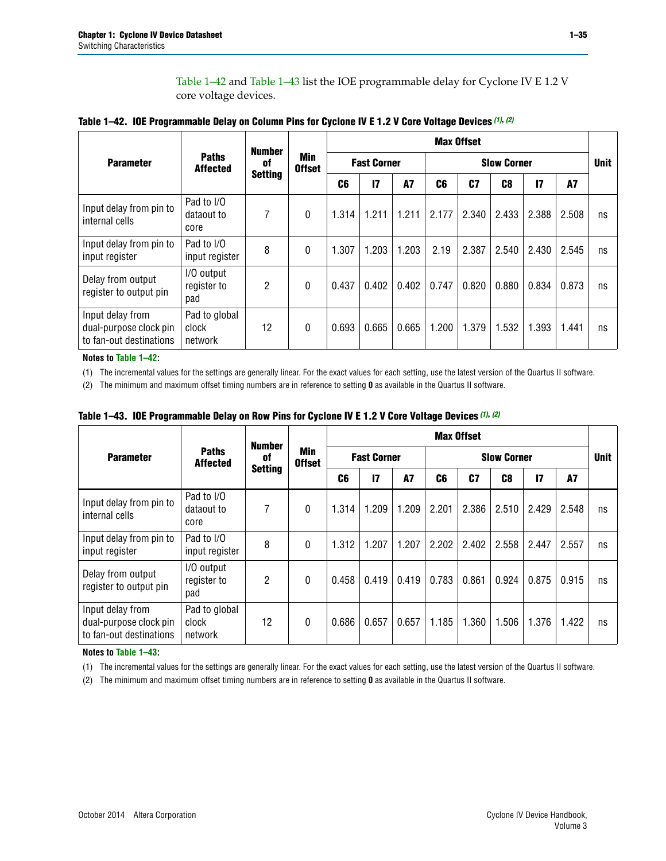[Table 1–42](#page-34-0) and [Table 1–43](#page-34-1) list the IOE programmable delay for Cyclone IV E 1.2 V core voltage devices.

|                                                                       |                                   | <b>Number</b>  |                      |                |                    |           |       | <b>Max Offset</b> |                    |               |           |             |  |
|-----------------------------------------------------------------------|-----------------------------------|----------------|----------------------|----------------|--------------------|-----------|-------|-------------------|--------------------|---------------|-----------|-------------|--|
| <b>Parameter</b>                                                      | <b>Paths</b><br><b>Affected</b>   | 0f             | Min<br><b>Offset</b> |                | <b>Fast Corner</b> |           |       |                   | <b>Slow Corner</b> |               |           | <b>Unit</b> |  |
|                                                                       |                                   | <b>Setting</b> |                      | C <sub>6</sub> | 17                 | <b>A7</b> | C6    | C <sub>7</sub>    | C <sub>8</sub>     | $\mathsf{I}7$ | <b>A7</b> |             |  |
| Input delay from pin to<br>internal cells                             | Pad to I/O<br>dataout to<br>core  | 7              | 0                    | 1.314          | 1.211              | 1.211     | 2.177 | 2.340             | 2.433              | 2.388         | 2.508     | ns          |  |
| Input delay from pin to<br>input register                             | Pad to I/O<br>input register      | 8              | 0                    | 1.307          | 1.203              | 1.203     | 2.19  | 2.387             | 2.540              | 2.430         | 2.545     | ns          |  |
| Delay from output<br>register to output pin                           | I/O output<br>register to<br>pad  | $\overline{2}$ | 0                    | 0.437          | 0.402              | 0.402     | 0.747 | 0.820             | 0.880              | 0.834         | 0.873     | ns          |  |
| Input delay from<br>dual-purpose clock pin<br>to fan-out destinations | Pad to global<br>clock<br>network | 12             | 0                    | 0.693          | 0.665              | 0.665     | 1.200 | 1.379             | 1.532              | 1.393         | 1.441     | ns          |  |

<span id="page-34-0"></span>

**Notes to [Table 1–42:](#page-34-0)**

<span id="page-34-4"></span>(1) The incremental values for the settings are generally linear. For the exact values for each setting, use the latest version of the Quartus II software.

<span id="page-34-5"></span>(2) The minimum and maximum offset timing numbers are in reference to setting **0** as available in the Quartus II software.

|                                                                       |                                   | <b>Number</b>  |                      |                |       |                    |       | <b>Max Offset</b> |       |                    |           |    |             |
|-----------------------------------------------------------------------|-----------------------------------|----------------|----------------------|----------------|-------|--------------------|-------|-------------------|-------|--------------------|-----------|----|-------------|
| <b>Parameter</b>                                                      | <b>Paths</b><br><b>Affected</b>   | 0f             | Min<br><b>Offset</b> |                |       | <b>Fast Corner</b> |       |                   |       | <b>Slow Corner</b> |           |    | <b>Unit</b> |
|                                                                       |                                   | <b>Setting</b> |                      | C <sub>6</sub> | 17    | A7                 | C6    | C <sub>7</sub>    | C8    | $\overline{17}$    | <b>A7</b> |    |             |
| Input delay from pin to<br>internal cells                             | Pad to I/O<br>dataout to<br>core  | 7              | $\mathbf{0}$         | 1.314          | 1.209 | 1.209              | 2.201 | 2.386             | 2.510 | 2.429              | 2.548     | ns |             |
| Input delay from pin to<br>input register                             | Pad to I/O<br>input register      | 8              | $\theta$             | 1.312          | 1.207 | 1.207              | 2.202 | 2.402             | 2.558 | 2.447              | 2.557     | ns |             |
| Delay from output<br>register to output pin                           | I/O output<br>register to<br>pad  | 2              | 0                    | 0.458          | 0.419 | 0.419              | 0.783 | 0.861             | 0.924 | 0.875              | 0.915     | ns |             |
| Input delay from<br>dual-purpose clock pin<br>to fan-out destinations | Pad to global<br>clock<br>network | 12             | 0                    | 0.686          | 0.657 | 0.657              | 1.185 | 1.360             | 1.506 | 1.376              | 1.422     | ns |             |

<span id="page-34-1"></span>**Table 1–43. IOE Programmable Delay on Row Pins for Cyclone IV E 1.2 V Core Voltage Devices** *[\(1\)](#page-34-2)***,** *[\(2\)](#page-34-3)*

#### **Notes to [Table 1–43:](#page-34-1)**

<span id="page-34-2"></span>(1) The incremental values for the settings are generally linear. For the exact values for each setting, use the latest version of the Quartus II software.

<span id="page-34-3"></span>(2) The minimum and maximum offset timing numbers are in reference to setting **0** as available in the Quartus II software.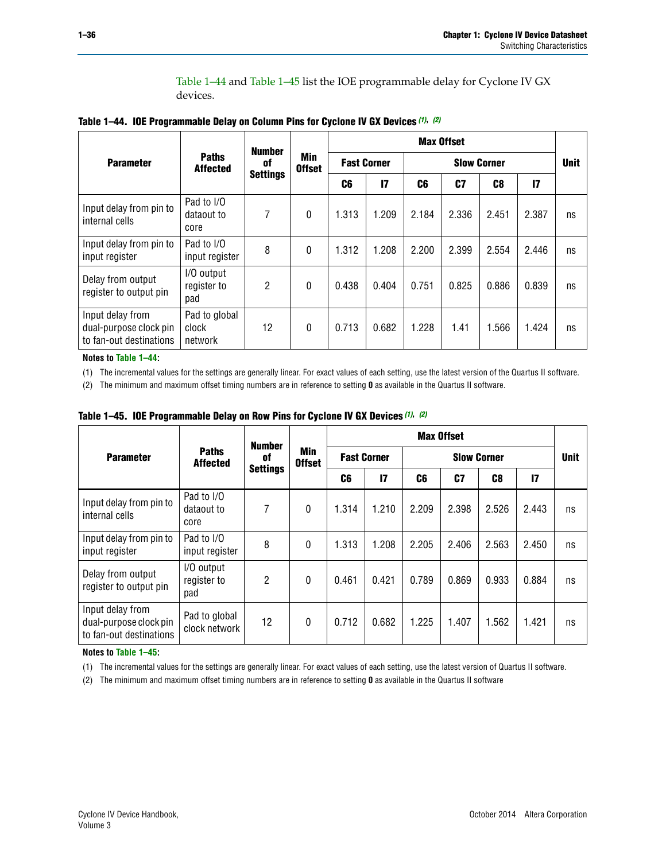[Table 1–44](#page-35-2) and [Table 1–45](#page-35-5) list the IOE programmable delay for Cyclone IV GX devices.

<span id="page-35-2"></span>

|  |  |  | Table 1-44. IOE Programmable Delay on Column Pins for Cyclone IV GX Devices (1), (2) |
|--|--|--|--------------------------------------------------------------------------------------|
|--|--|--|--------------------------------------------------------------------------------------|

|                                                                       |                                   |                     |                             |       |                    |       | <b>Max Offset</b>  |       |       |             |
|-----------------------------------------------------------------------|-----------------------------------|---------------------|-----------------------------|-------|--------------------|-------|--------------------|-------|-------|-------------|
| <b>Parameter</b>                                                      | <b>Paths</b><br><b>Affected</b>   | <b>Number</b><br>0f | <b>Min</b><br><b>Offset</b> |       | <b>Fast Corner</b> |       | <b>Slow Corner</b> |       |       | <b>Unit</b> |
|                                                                       |                                   | <b>Settings</b>     |                             | C6    | $\mathsf{I}7$      | C6    | C7                 | C8    | 17    |             |
| Input delay from pin to<br>internal cells                             | Pad to I/O<br>dataout to<br>core  | 7                   | $\mathbf{0}$                | 1.313 | 1.209              | 2.184 | 2.336              | 2.451 | 2.387 | ns          |
| Input delay from pin to<br>input register                             | Pad to I/O<br>input register      | 8                   | $\Omega$                    | 1.312 | 1.208              | 2.200 | 2.399              | 2.554 | 2.446 | ns          |
| Delay from output<br>register to output pin                           | I/O output<br>register to<br>pad  | $\overline{2}$      | $\mathbf{0}$                | 0.438 | 0.404              | 0.751 | 0.825              | 0.886 | 0.839 | ns          |
| Input delay from<br>dual-purpose clock pin<br>to fan-out destinations | Pad to global<br>clock<br>network | 12                  | $\mathbf{0}$                | 0.713 | 0.682              | 1.228 | 1.41               | 1.566 | 1.424 | ns          |

**Notes to [Table 1–44:](#page-35-2)**

<span id="page-35-0"></span>(1) The incremental values for the settings are generally linear. For exact values of each setting, use the latest version of the Quartus II software.

<span id="page-35-1"></span>(2) The minimum and maximum offset timing numbers are in reference to setting **0** as available in the Quartus II software.

|                                                                       |                                  | <b>Number</b>   |                      |       |                    |                | <b>Max Offset</b> |                    |               |             |
|-----------------------------------------------------------------------|----------------------------------|-----------------|----------------------|-------|--------------------|----------------|-------------------|--------------------|---------------|-------------|
| <b>Parameter</b>                                                      | <b>Paths</b><br><b>Affected</b>  | 0f              | Min<br><b>Offset</b> |       | <b>Fast Corner</b> |                |                   | <b>Slow Corner</b> |               | <b>Unit</b> |
|                                                                       |                                  | <b>Settings</b> |                      | C6    | $\mathsf{I}7$      | C <sub>6</sub> | C7                | C <sub>8</sub>     | $\mathsf{I}7$ |             |
| Input delay from pin to<br>internal cells                             | Pad to I/O<br>dataout to<br>core | 7               | $\Omega$             | 1.314 | 1.210              | 2.209          | 2.398             | 2.526              | 2.443         | ns          |
| Input delay from pin to<br>input register                             | Pad to I/O<br>input register     | 8               | $\Omega$             | 1.313 | 1.208              | 2.205          | 2.406             | 2.563              | 2.450         | ns          |
| Delay from output<br>register to output pin                           | I/O output<br>register to<br>pad | 2               | $\Omega$             | 0.461 | 0.421              | 0.789          | 0.869             | 0.933              | 0.884         | ns          |
| Input delay from<br>dual-purpose clock pin<br>to fan-out destinations | Pad to global<br>clock network   | 12              | 0                    | 0.712 | 0.682              | 1.225          | 1.407             | 1.562              | 1.421         | ns          |

<span id="page-35-5"></span>**Table 1–45. IOE Programmable Delay on Row Pins for Cyclone IV GX Devices** *[\(1\)](#page-35-3)***,** *[\(2\)](#page-35-4)*

#### **Notes to [Table 1–45:](#page-35-5)**

<span id="page-35-3"></span>(1) The incremental values for the settings are generally linear. For exact values of each setting, use the latest version of Quartus II software.

<span id="page-35-4"></span>(2) The minimum and maximum offset timing numbers are in reference to setting **0** as available in the Quartus II software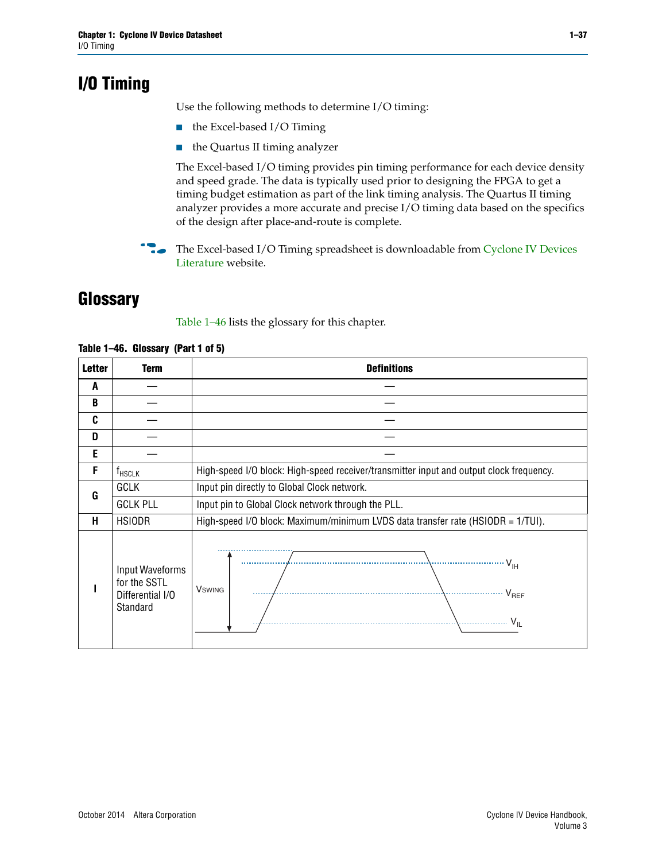# <span id="page-36-0"></span>**I/O Timing**

Use the following methods to determine I/O timing:

- the Excel-based I/O Timing
- the Quartus II timing analyzer

The Excel-based I/O timing provides pin timing performance for each device density and speed grade. The data is typically used prior to designing the FPGA to get a timing budget estimation as part of the link timing analysis. The Quartus II timing analyzer provides a more accurate and precise I/O timing data based on the specifics of the design after place-and-route is complete.

**For The Excel-based I/O Timing spreadsheet is downloadable from Cyclone IV Devices** [Literature](http://www.altera.com/literature/lit-cyclone-iv.jsp) website.

# <span id="page-36-1"></span>**Glossary**

[Table 1–46](#page-36-2) lists the glossary for this chapter.

| <b>Letter</b> | <b>Term</b>                                                     | <b>Definitions</b>                                                                      |  |  |  |  |  |  |
|---------------|-----------------------------------------------------------------|-----------------------------------------------------------------------------------------|--|--|--|--|--|--|
| A             |                                                                 |                                                                                         |  |  |  |  |  |  |
| B             |                                                                 |                                                                                         |  |  |  |  |  |  |
| C             |                                                                 |                                                                                         |  |  |  |  |  |  |
| D             |                                                                 |                                                                                         |  |  |  |  |  |  |
| Е             |                                                                 |                                                                                         |  |  |  |  |  |  |
| F             | $f_{HSCLK}$                                                     | High-speed I/O block: High-speed receiver/transmitter input and output clock frequency. |  |  |  |  |  |  |
| G             | <b>GCLK</b>                                                     | Input pin directly to Global Clock network.                                             |  |  |  |  |  |  |
|               | <b>GCLK PLL</b>                                                 | Input pin to Global Clock network through the PLL.                                      |  |  |  |  |  |  |
| н             | <b>HSIODR</b>                                                   | High-speed I/O block: Maximum/minimum LVDS data transfer rate (HSIODR = 1/TUI).         |  |  |  |  |  |  |
|               | Input Waveforms<br>for the SSTL<br>Differential I/O<br>Standard | $V_{\text{H}}$<br><b>V</b> swing<br>$\sqrt{V_{REF}}$<br>$V_{IL}$                        |  |  |  |  |  |  |

#### <span id="page-36-2"></span>**Table 1–46. Glossary (Part 1 of 5)**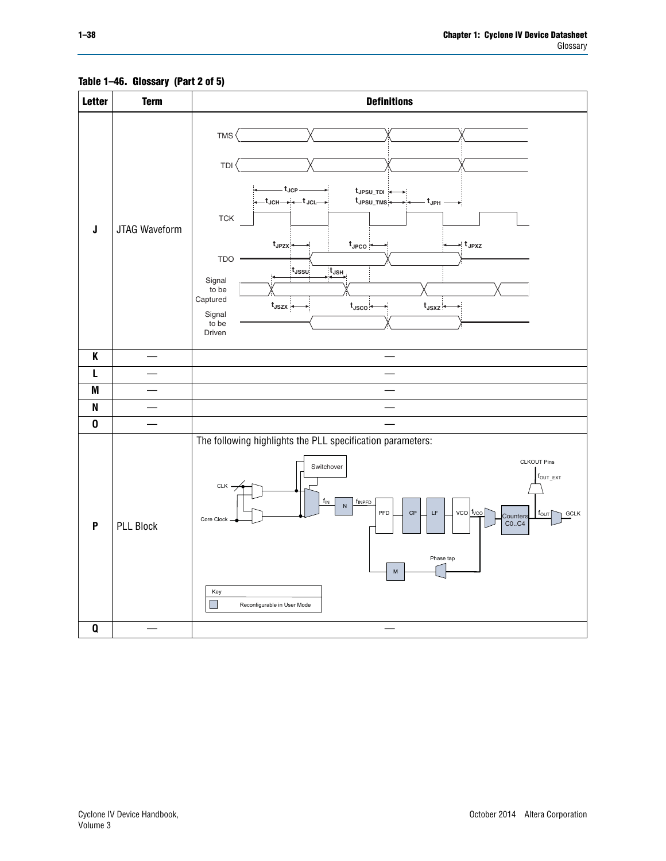<span id="page-37-0"></span>

#### **Table 1–46. Glossary (Part 2 of 5)**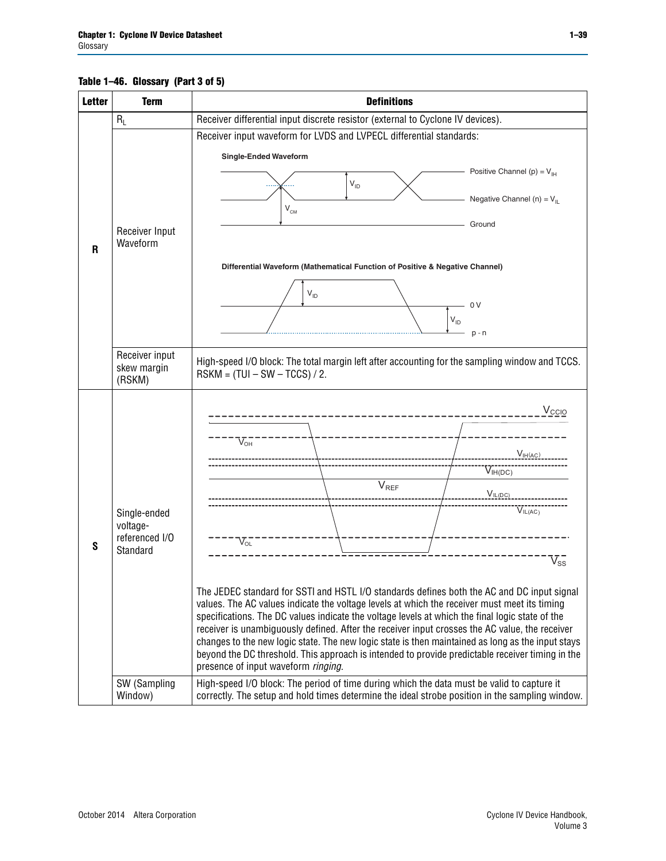#### **Table 1–46. Glossary (Part 3 of 5)**

| <b>Letter</b> | <b>Term</b>                                                                       | <b>Definitions</b>                                                                                                                                                                                                                                                                                                                                                                                                                                                                                                                                                                                                                                                                                                                                                                                                                                                                                                                                                                                                                |  |  |  |  |  |  |  |  |
|---------------|-----------------------------------------------------------------------------------|-----------------------------------------------------------------------------------------------------------------------------------------------------------------------------------------------------------------------------------------------------------------------------------------------------------------------------------------------------------------------------------------------------------------------------------------------------------------------------------------------------------------------------------------------------------------------------------------------------------------------------------------------------------------------------------------------------------------------------------------------------------------------------------------------------------------------------------------------------------------------------------------------------------------------------------------------------------------------------------------------------------------------------------|--|--|--|--|--|--|--|--|
|               | $R_L$                                                                             | Receiver differential input discrete resistor (external to Cyclone IV devices).                                                                                                                                                                                                                                                                                                                                                                                                                                                                                                                                                                                                                                                                                                                                                                                                                                                                                                                                                   |  |  |  |  |  |  |  |  |
|               |                                                                                   | Receiver input waveform for LVDS and LVPECL differential standards:                                                                                                                                                                                                                                                                                                                                                                                                                                                                                                                                                                                                                                                                                                                                                                                                                                                                                                                                                               |  |  |  |  |  |  |  |  |
|               | Receiver Input<br>Waveform                                                        | <b>Single-Ended Waveform</b><br>Positive Channel (p) = $V_{\text{H}}$<br>$V_{ID}$<br>Negative Channel (n) = $V_{IL}$<br>$V_{CM}$<br>Ground                                                                                                                                                                                                                                                                                                                                                                                                                                                                                                                                                                                                                                                                                                                                                                                                                                                                                        |  |  |  |  |  |  |  |  |
| R             |                                                                                   | Differential Waveform (Mathematical Function of Positive & Negative Channel)<br>$V_{ID}$<br>- 0 V<br>$V_{ID}$<br>$p - n$                                                                                                                                                                                                                                                                                                                                                                                                                                                                                                                                                                                                                                                                                                                                                                                                                                                                                                          |  |  |  |  |  |  |  |  |
|               | Receiver input<br>skew margin<br>(RSKM)                                           | High-speed I/O block: The total margin left after accounting for the sampling window and TCCS.<br>$RSKM = (TUI - SW - TCCS) / 2.$                                                                                                                                                                                                                                                                                                                                                                                                                                                                                                                                                                                                                                                                                                                                                                                                                                                                                                 |  |  |  |  |  |  |  |  |
| S             | Single-ended<br>voltage-<br>referenced I/O<br>Standard<br>SW (Sampling<br>Window) | $V_{\rm CCIO}$<br>$V_{\text{OH}}$<br>V <sub>IH</sub> (AC)<br>$V_{IH(DC)}$<br>V <sub>REF</sub><br>$V_{IL(DC)}$<br>VIL(AC)<br>$V_{OL}$<br>$\overline{\mathsf{V}}_\mathsf{SS}^-$<br>The JEDEC standard for SSTI and HSTL I/O standards defines both the AC and DC input signal<br>values. The AC values indicate the voltage levels at which the receiver must meet its timing<br>specifications. The DC values indicate the voltage levels at which the final logic state of the<br>receiver is unambiguously defined. After the receiver input crosses the AC value, the receiver<br>changes to the new logic state. The new logic state is then maintained as long as the input stays<br>beyond the DC threshold. This approach is intended to provide predictable receiver timing in the<br>presence of input waveform ringing.<br>High-speed I/O block: The period of time during which the data must be valid to capture it<br>correctly. The setup and hold times determine the ideal strobe position in the sampling window. |  |  |  |  |  |  |  |  |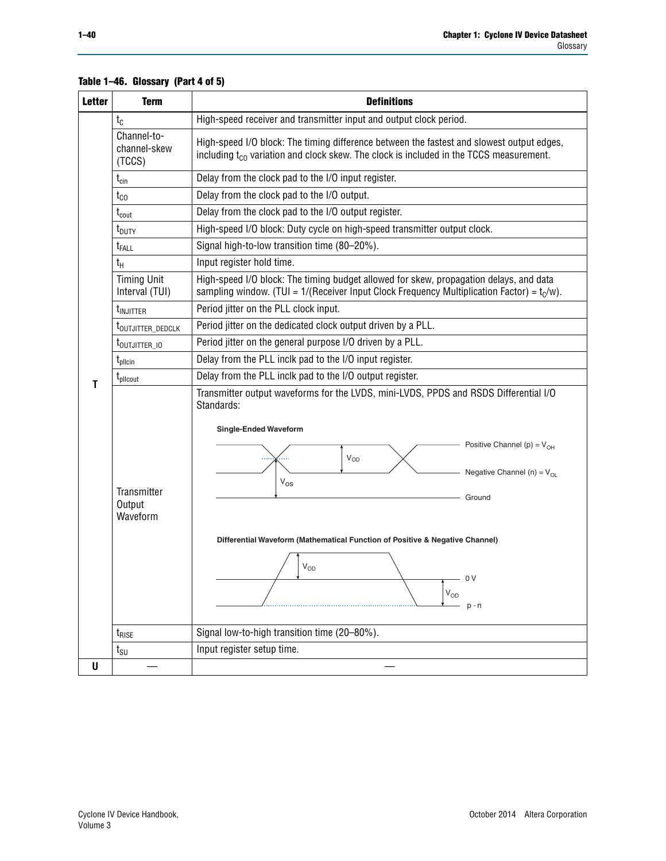| <b>Term</b>                           | <b>Definitions</b>                                                                                                                                                                              |
|---------------------------------------|-------------------------------------------------------------------------------------------------------------------------------------------------------------------------------------------------|
| $t_{\rm C}$                           | High-speed receiver and transmitter input and output clock period.                                                                                                                              |
| Channel-to-<br>channel-skew<br>(TCCS) | High-speed I/O block: The timing difference between the fastest and slowest output edges,<br>including t <sub>co</sub> variation and clock skew. The clock is included in the TCCS measurement. |
| $t_{\text{cin}}$                      | Delay from the clock pad to the I/O input register.                                                                                                                                             |
| $t_{CO}$                              | Delay from the clock pad to the I/O output.                                                                                                                                                     |
| $t_{\text{cout}}$                     | Delay from the clock pad to the I/O output register.                                                                                                                                            |
| t <sub>DUTY</sub>                     | High-speed I/O block: Duty cycle on high-speed transmitter output clock.                                                                                                                        |
| t <sub>FALL</sub>                     | Signal high-to-low transition time (80-20%).                                                                                                                                                    |
| $t_{H}$                               | Input register hold time.                                                                                                                                                                       |
| <b>Timing Unit</b><br>Interval (TUI)  | High-speed I/O block: The timing budget allowed for skew, propagation delays, and data<br>sampling window. (TUI = $1/($ Receiver Input Clock Frequency Multiplication Factor) = $t_c/w$ ).      |
| t <sub>injitter</sub>                 | Period jitter on the PLL clock input.                                                                                                                                                           |
| t <sub>outjitter_dedclk</sub>         | Period jitter on the dedicated clock output driven by a PLL.                                                                                                                                    |
| $t_{\text{OUTJITTER\_10}}$            | Period jitter on the general purpose I/O driven by a PLL.                                                                                                                                       |
| $t_{\text{pllcin}}$                   | Delay from the PLL inclk pad to the I/O input register.                                                                                                                                         |
| $t_{\rm pllcourt}$                    | Delay from the PLL inclk pad to the I/O output register.                                                                                                                                        |
|                                       | Transmitter output waveforms for the LVDS, mini-LVDS, PPDS and RSDS Differential I/O<br>Standards:<br><b>Single-Ended Waveform</b>                                                              |
|                                       | Positive Channel (p) = $V_{OH}$<br>VOD<br>Negative Channel (n) = $V_{OL}$                                                                                                                       |
|                                       | $V_{OS}$                                                                                                                                                                                        |
| Output                                | Ground                                                                                                                                                                                          |
| Waveform                              |                                                                                                                                                                                                 |
|                                       | Differential Waveform (Mathematical Function of Positive & Negative Channel)                                                                                                                    |
|                                       |                                                                                                                                                                                                 |
|                                       | $V_{OD}$                                                                                                                                                                                        |
|                                       | 0 <sub>V</sub>                                                                                                                                                                                  |
|                                       | Transmitter                                                                                                                                                                                     |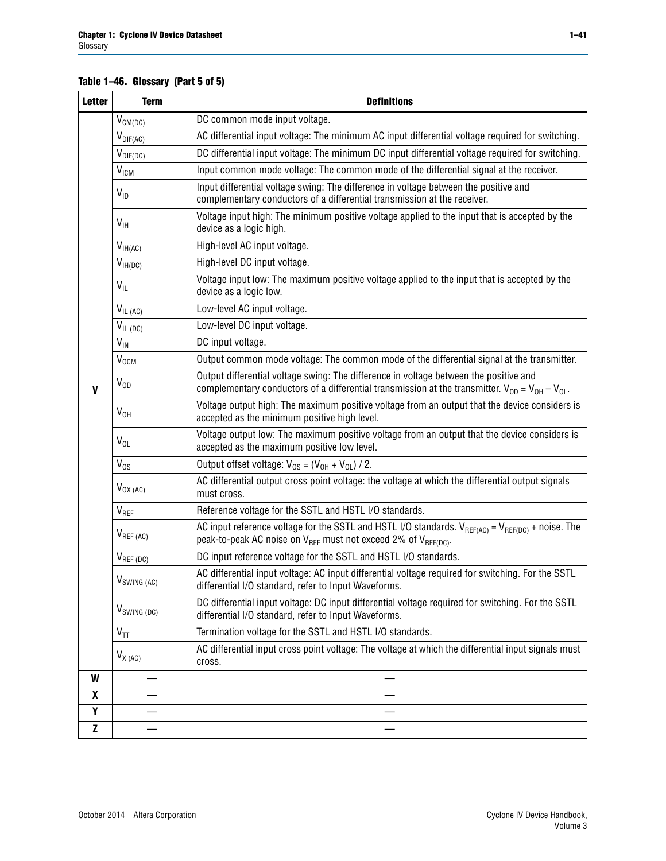### **Table 1–46. Glossary (Part 5 of 5)**

| <b>Letter</b> | <b>Term</b>             | <b>Definitions</b>                                                                                                                                                                                |
|---------------|-------------------------|---------------------------------------------------------------------------------------------------------------------------------------------------------------------------------------------------|
|               | $V_{CM(DC)}$            | DC common mode input voltage.                                                                                                                                                                     |
|               | $V_{DIF(AC)}$           | AC differential input voltage: The minimum AC input differential voltage required for switching.                                                                                                  |
|               | $V_{DIF(DC)}$           | DC differential input voltage: The minimum DC input differential voltage required for switching.                                                                                                  |
|               | $V_{IGM}$               | Input common mode voltage: The common mode of the differential signal at the receiver.                                                                                                            |
|               | $V_{ID}$                | Input differential voltage swing: The difference in voltage between the positive and<br>complementary conductors of a differential transmission at the receiver.                                  |
|               | $V_{\text{IH}}$         | Voltage input high: The minimum positive voltage applied to the input that is accepted by the<br>device as a logic high.                                                                          |
|               | $V_{IH(AC)}$            | High-level AC input voltage.                                                                                                                                                                      |
|               | $V_{IH(DC)}$            | High-level DC input voltage.                                                                                                                                                                      |
|               | $V_{IL}$                | Voltage input low: The maximum positive voltage applied to the input that is accepted by the<br>device as a logic low.                                                                            |
|               | $V_{IL(AC)}$            | Low-level AC input voltage.                                                                                                                                                                       |
|               | $V_{IL(DC)}$            | Low-level DC input voltage.                                                                                                                                                                       |
|               | $V_{\text{IN}}$         | DC input voltage.                                                                                                                                                                                 |
|               | <b>V<sub>OCM</sub></b>  | Output common mode voltage: The common mode of the differential signal at the transmitter.                                                                                                        |
| $\mathbf{V}$  | $V_{OD}$                | Output differential voltage swing: The difference in voltage between the positive and<br>complementary conductors of a differential transmission at the transmitter. $V_{OD} = V_{OH} - V_{OL}$ . |
|               | $V_{OH}$                | Voltage output high: The maximum positive voltage from an output that the device considers is<br>accepted as the minimum positive high level.                                                     |
|               | $V_{OL}$                | Voltage output low: The maximum positive voltage from an output that the device considers is<br>accepted as the maximum positive low level.                                                       |
|               | $V_{OS}$                | Output offset voltage: $V_{OS} = (V_{OH} + V_{OL}) / 2$ .                                                                                                                                         |
|               | $V_{OX (AC)}$           | AC differential output cross point voltage: the voltage at which the differential output signals<br>must cross.                                                                                   |
|               | V <sub>REF</sub>        | Reference voltage for the SSTL and HSTL I/O standards.                                                                                                                                            |
|               | $V_{REF\,(AC)}$         | AC input reference voltage for the SSTL and HSTL I/O standards. $V_{REF(AC)} = V_{REF(DC)} + noise$ . The<br>peak-to-peak AC noise on $V_{REF}$ must not exceed 2% of $V_{REF(DC)}$ .             |
|               | $V_{REF(DC)}$           | DC input reference voltage for the SSTL and HSTL I/O standards.                                                                                                                                   |
|               | $V_{\text{SWING (AC)}}$ | AC differential input voltage: AC input differential voltage required for switching. For the SSTL<br>differential I/O standard, refer to Input Waveforms.                                         |
|               | $V_{SWING(DC)}$         | DC differential input voltage: DC input differential voltage required for switching. For the SSTL<br>differential I/O standard, refer to Input Waveforms.                                         |
|               | $V_{TT}$                | Termination voltage for the SSTL and HSTL I/O standards.                                                                                                                                          |
|               | $V_{X(AC)}$             | AC differential input cross point voltage: The voltage at which the differential input signals must<br>cross.                                                                                     |
| W             |                         |                                                                                                                                                                                                   |
| X             |                         |                                                                                                                                                                                                   |
| Υ             |                         |                                                                                                                                                                                                   |
| $\mathbf{Z}$  |                         |                                                                                                                                                                                                   |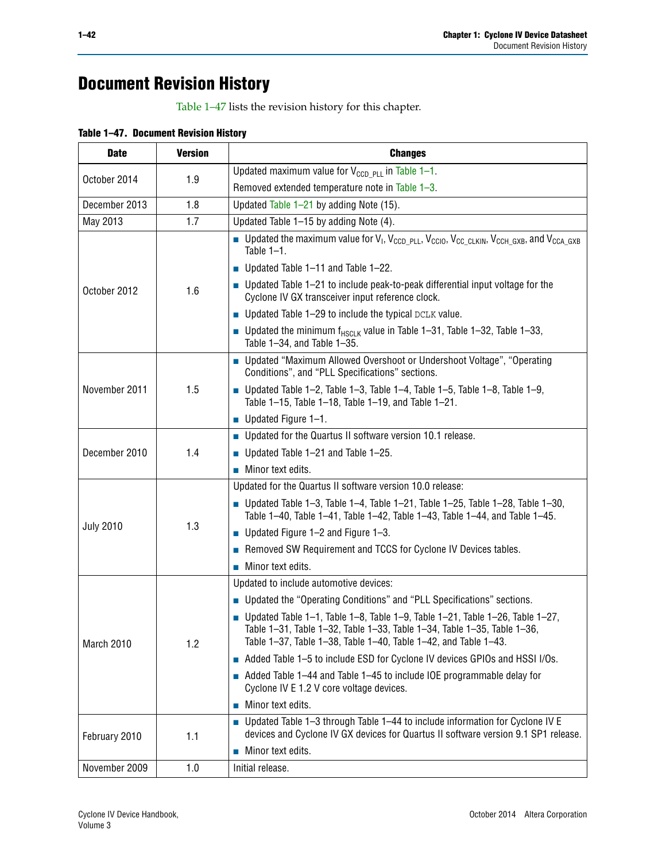# **Document Revision History**

[Table 1–47](#page-41-0) lists the revision history for this chapter.

<span id="page-41-0"></span>

| <b>Date</b>      | <b>Version</b> | <b>Changes</b>                                                                                                                                                                                                             |
|------------------|----------------|----------------------------------------------------------------------------------------------------------------------------------------------------------------------------------------------------------------------------|
| October 2014     | 1.9            | Updated maximum value for $V_{CCD, PLL}$ in Table 1-1.                                                                                                                                                                     |
|                  |                | Removed extended temperature note in Table 1-3.                                                                                                                                                                            |
| December 2013    | 1.8            | Updated Table 1-21 by adding Note (15).                                                                                                                                                                                    |
| May 2013         | 1.7            | Updated Table 1–15 by adding Note (4).                                                                                                                                                                                     |
| October 2012     | 1.6            | Dpdated the maximum value for $V_1$ , $V_{CCD\_PLL}$ , $V_{CC10}$ , $V_{CC\_CLKIN}$ , $V_{CCH\_GXB}$ , and $V_{CCA\_GXB}$<br>Table $1-1$ .                                                                                 |
|                  |                | Updated Table $1-11$ and Table $1-22$ .                                                                                                                                                                                    |
|                  |                | $\blacksquare$ Updated Table 1-21 to include peak-to-peak differential input voltage for the<br>Cyclone IV GX transceiver input reference clock.                                                                           |
|                  |                | $\blacksquare$ Updated Table 1-29 to include the typical DCLK value.                                                                                                                                                       |
|                  |                | <b>Updated the minimum f<sub>HSCLK</sub></b> value in Table 1-31, Table 1-32, Table 1-33,<br>Table 1-34, and Table 1-35.                                                                                                   |
| November 2011    | 1.5            | ■ Updated "Maximum Allowed Overshoot or Undershoot Voltage", "Operating<br>Conditions", and "PLL Specifications" sections.                                                                                                 |
|                  |                | $\blacksquare$ Updated Table 1-2, Table 1-3, Table 1-4, Table 1-5, Table 1-8, Table 1-9,<br>Table 1-15, Table 1-18, Table 1-19, and Table 1-21.                                                                            |
|                  |                | ■ Updated Figure $1-1$ .                                                                                                                                                                                                   |
| December 2010    | 1.4            | • Updated for the Quartus II software version 10.1 release.                                                                                                                                                                |
|                  |                | Updated Table 1-21 and Table 1-25.                                                                                                                                                                                         |
|                  |                | $\blacksquare$ Minor text edits.                                                                                                                                                                                           |
| <b>July 2010</b> | 1.3            | Updated for the Quartus II software version 10.0 release:                                                                                                                                                                  |
|                  |                | Updated Table 1-3, Table 1-4, Table 1-21, Table 1-25, Table 1-28, Table 1-30,<br>Table 1-40, Table 1-41, Table 1-42, Table 1-43, Table 1-44, and Table 1-45.                                                               |
|                  |                | ■ Updated Figure $1-2$ and Figure $1-3$ .                                                                                                                                                                                  |
|                  |                | Removed SW Requirement and TCCS for Cyclone IV Devices tables.                                                                                                                                                             |
|                  |                | $\blacksquare$ Minor text edits.                                                                                                                                                                                           |
| March 2010       | 1.2            | Updated to include automotive devices:                                                                                                                                                                                     |
|                  |                | ■ Updated the "Operating Conditions" and "PLL Specifications" sections.                                                                                                                                                    |
|                  |                | Updated Table 1–1, Table 1–8, Table 1–9, Table 1–21, Table 1–26, Table 1–27,<br>Table 1-31, Table 1-32, Table 1-33, Table 1-34, Table 1-35, Table 1-36,<br>Table 1-37, Table 1-38, Table 1-40, Table 1-42, and Table 1-43. |
|                  |                | Added Table 1-5 to include ESD for Cyclone IV devices GPIOs and HSSI I/Os.                                                                                                                                                 |
|                  |                | Added Table 1-44 and Table 1-45 to include IOE programmable delay for<br>Cyclone IV E 1.2 V core voltage devices.                                                                                                          |
|                  |                | Minor text edits.                                                                                                                                                                                                          |
| February 2010    | 1.1            | $\blacksquare$ Updated Table 1-3 through Table 1-44 to include information for Cyclone IV E<br>devices and Cyclone IV GX devices for Quartus II software version 9.1 SP1 release.                                          |
|                  |                | Minor text edits.                                                                                                                                                                                                          |
| November 2009    | 1.0            | Initial release.                                                                                                                                                                                                           |